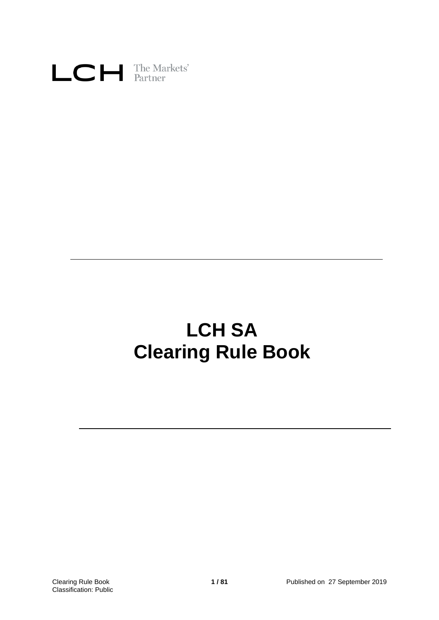

# **LCH SA Clearing Rule Book**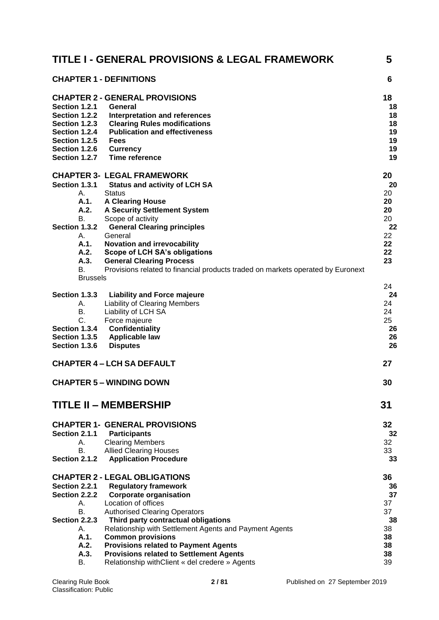|                                                                                                                     | TITLE I - GENERAL PROVISIONS & LEGAL FRAMEWORK                                                                                                                                                                                                                                                                                                                                                                                                       | 5                                                              |
|---------------------------------------------------------------------------------------------------------------------|------------------------------------------------------------------------------------------------------------------------------------------------------------------------------------------------------------------------------------------------------------------------------------------------------------------------------------------------------------------------------------------------------------------------------------------------------|----------------------------------------------------------------|
|                                                                                                                     | <b>CHAPTER 1 - DEFINITIONS</b>                                                                                                                                                                                                                                                                                                                                                                                                                       | 6                                                              |
| Section 1.2.1<br>Section 1.2.2<br>Section 1.2.3<br>Section 1.2.4<br>Section 1.2.5<br>Section 1.2.6<br>Section 1.2.7 | <b>CHAPTER 2 - GENERAL PROVISIONS</b><br>General<br>Interpretation and references<br><b>Clearing Rules modifications</b><br><b>Publication and effectiveness</b><br><b>Fees</b><br><b>Currency</b><br><b>Time reference</b>                                                                                                                                                                                                                          | 18<br>18<br>18<br>18<br>19<br>19<br>19<br>19                   |
| Section 1.3.1<br>А.<br>A.1.<br>A.2.<br>В.<br>Section 1.3.2<br>А.<br>A.1.<br>A.2.<br>A.3.<br>B.<br><b>Brussels</b>   | <b>CHAPTER 3- LEGAL FRAMEWORK</b><br><b>Status and activity of LCH SA</b><br><b>Status</b><br><b>A Clearing House</b><br><b>A Security Settlement System</b><br>Scope of activity<br><b>General Clearing principles</b><br>General<br><b>Novation and irrevocability</b><br>Scope of LCH SA's obligations<br><b>General Clearing Process</b><br>Provisions related to financial products traded on markets operated by Euronext                      | 20<br>20<br>20<br>20<br>20<br>20<br>22<br>22<br>22<br>22<br>23 |
| Section 1.3.3<br>А.<br>В.<br>C.<br>Section 1.3.4<br>Section 1.3.5<br>Section 1.3.6                                  | <b>Liability and Force majeure</b><br><b>Liability of Clearing Members</b><br>Liability of LCH SA<br>Force majeure<br><b>Confidentiality</b><br><b>Applicable law</b><br><b>Disputes</b>                                                                                                                                                                                                                                                             | 24<br>24<br>24<br>24<br>25<br>26<br>26<br>26                   |
|                                                                                                                     | <b>CHAPTER 4 – LCH SA DEFAULT</b>                                                                                                                                                                                                                                                                                                                                                                                                                    | 27                                                             |
|                                                                                                                     | <b>CHAPTER 5 - WINDING DOWN</b>                                                                                                                                                                                                                                                                                                                                                                                                                      | 30                                                             |
|                                                                                                                     | <b>TITLE II - MEMBERSHIP</b>                                                                                                                                                                                                                                                                                                                                                                                                                         | 31                                                             |
| Section 2.1.1<br>А.<br>В.<br>Section 2.1.2                                                                          | <b>CHAPTER 1- GENERAL PROVISIONS</b><br><b>Participants</b><br><b>Clearing Members</b><br><b>Allied Clearing Houses</b><br><b>Application Procedure</b>                                                                                                                                                                                                                                                                                              | 32<br>32<br>32<br>33<br>33                                     |
| Section 2.2.1<br>Section 2.2.2<br>А.<br>В.<br>Section 2.2.3<br>А.<br>A.1.<br>A.2.<br>A.3.<br>В.                     | <b>CHAPTER 2 - LEGAL OBLIGATIONS</b><br><b>Regulatory framework</b><br><b>Corporate organisation</b><br>Location of offices<br><b>Authorised Clearing Operators</b><br>Third party contractual obligations<br>Relationship with Settlement Agents and Payment Agents<br><b>Common provisions</b><br><b>Provisions related to Payment Agents</b><br><b>Provisions related to Settlement Agents</b><br>Relationship with Client « del credere » Agents | 36<br>36<br>37<br>37<br>37<br>38<br>38<br>38<br>38<br>38<br>39 |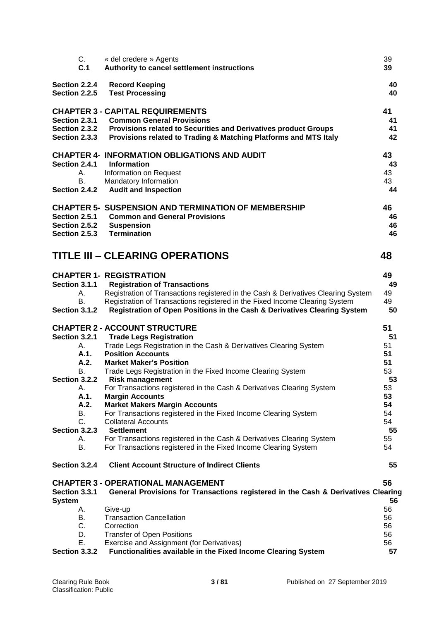| C.                   | « del credere » Agents                                                                                                                   | 39       |
|----------------------|------------------------------------------------------------------------------------------------------------------------------------------|----------|
| C.1                  | Authority to cancel settlement instructions                                                                                              | 39       |
| Section 2.2.4        | <b>Record Keeping</b>                                                                                                                    | 40       |
| Section 2.2.5        | <b>Test Processing</b>                                                                                                                   | 40       |
|                      | <b>CHAPTER 3 - CAPITAL REQUIREMENTS</b>                                                                                                  | 41       |
| Section 2.3.1        | <b>Common General Provisions</b>                                                                                                         | 41       |
| Section 2.3.2        | Provisions related to Securities and Derivatives product Groups                                                                          | 41       |
| Section 2.3.3        | Provisions related to Trading & Matching Platforms and MTS Italy                                                                         | 42       |
|                      | <b>CHAPTER 4- INFORMATION OBLIGATIONS AND AUDIT</b>                                                                                      | 43       |
| Section 2.4.1        | <b>Information</b>                                                                                                                       | 43       |
| А.                   | Information on Request                                                                                                                   | 43       |
| <b>B.</b>            | Mandatory Information                                                                                                                    | 43       |
| Section 2.4.2        | <b>Audit and Inspection</b>                                                                                                              | 44       |
|                      | <b>CHAPTER 5- SUSPENSION AND TERMINATION OF MEMBERSHIP</b>                                                                               | 46       |
| Section 2.5.1        | <b>Common and General Provisions</b>                                                                                                     | 46       |
| Section 2.5.2        | <b>Suspension</b>                                                                                                                        | 46       |
| <b>Section 2.5.3</b> | <b>Termination</b>                                                                                                                       | 46       |
|                      | TITLE III – CLEARING OPERATIONS                                                                                                          | 48       |
|                      |                                                                                                                                          |          |
|                      | <b>CHAPTER 1- REGISTRATION</b>                                                                                                           | 49       |
| Section 3.1.1        | <b>Registration of Transactions</b>                                                                                                      | 49       |
| А.                   | Registration of Transactions registered in the Cash & Derivatives Clearing System                                                        | 49       |
| В.                   | Registration of Transactions registered in the Fixed Income Clearing System                                                              | 49       |
| Section 3.1.2        | Registration of Open Positions in the Cash & Derivatives Clearing System                                                                 | 50       |
|                      | <b>CHAPTER 2 - ACCOUNT STRUCTURE</b>                                                                                                     | 51       |
| <b>Section 3.2.1</b> | <b>Trade Legs Registration</b>                                                                                                           | 51       |
| А.                   | Trade Legs Registration in the Cash & Derivatives Clearing System                                                                        | 51       |
| A.1.                 | <b>Position Accounts</b>                                                                                                                 | 51       |
| A.2.                 | <b>Market Maker's Position</b>                                                                                                           | 51       |
| В.<br>Section 3.2.2  | Trade Legs Registration in the Fixed Income Clearing System<br><b>Risk management</b>                                                    | 53<br>53 |
| А.                   | For Transactions registered in the Cash & Derivatives Clearing System                                                                    | 53       |
| A.1.                 | <b>Margin Accounts</b>                                                                                                                   | 53       |
| A.2.                 | <b>Market Makers Margin Accounts</b>                                                                                                     | 54       |
| В.                   | For Transactions registered in the Fixed Income Clearing System                                                                          | 54       |
| C.                   | <b>Collateral Accounts</b>                                                                                                               | 54       |
| Section 3.2.3        | <b>Settlement</b>                                                                                                                        | 55       |
| А.<br>В.             | For Transactions registered in the Cash & Derivatives Clearing System<br>For Transactions registered in the Fixed Income Clearing System | 55<br>54 |
|                      |                                                                                                                                          |          |
| Section 3.2.4        | <b>Client Account Structure of Indirect Clients</b>                                                                                      | 55       |
|                      | <b>CHAPTER 3 - OPERATIONAL MANAGEMENT</b>                                                                                                | 56       |
| <b>Section 3.3.1</b> | General Provisions for Transactions registered in the Cash & Derivatives Clearing                                                        |          |
| System               |                                                                                                                                          | 56       |
| А.                   | Give-up                                                                                                                                  | 56       |
| В.<br>C.             | <b>Transaction Cancellation</b><br>Correction                                                                                            | 56<br>56 |
| D.                   | <b>Transfer of Open Positions</b>                                                                                                        | 56       |
| Е.                   | Exercise and Assignment (for Derivatives)                                                                                                | 56       |
| Section 3.3.2        | Functionalities available in the Fixed Income Clearing System                                                                            | 57       |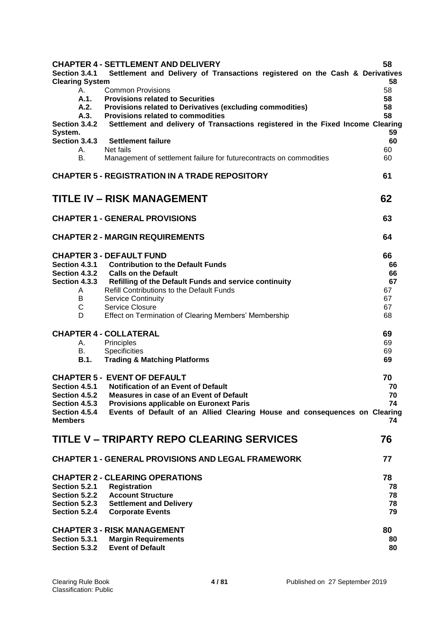| Section 3.4.1<br><b>Clearing System</b>                           | <b>CHAPTER 4 - SETTLEMENT AND DELIVERY</b><br>Settlement and Delivery of Transactions registered on the Cash & Derivatives                                                                                                                                                                                                       | 58<br>58                                     |
|-------------------------------------------------------------------|----------------------------------------------------------------------------------------------------------------------------------------------------------------------------------------------------------------------------------------------------------------------------------------------------------------------------------|----------------------------------------------|
| А.<br>A.1.<br>A.2.<br>A.3.                                        | <b>Common Provisions</b><br><b>Provisions related to Securities</b><br>Provisions related to Derivatives (excluding commodities)<br>Provisions related to commodities                                                                                                                                                            | 58<br>58<br>58<br>58                         |
| Section 3.4.2<br>System.<br>Section 3.4.3                         | Settlement and delivery of Transactions registered in the Fixed Income Clearing<br><b>Settlement failure</b>                                                                                                                                                                                                                     | 59<br>60                                     |
| А.<br><b>B.</b>                                                   | Net fails<br>Management of settlement failure for futurecontracts on commodities                                                                                                                                                                                                                                                 | 60<br>60                                     |
|                                                                   | <b>CHAPTER 5 - REGISTRATION IN A TRADE REPOSITORY</b>                                                                                                                                                                                                                                                                            | 61                                           |
|                                                                   | <b>TITLE IV - RISK MANAGEMENT</b>                                                                                                                                                                                                                                                                                                | 62                                           |
|                                                                   | <b>CHAPTER 1 - GENERAL PROVISIONS</b>                                                                                                                                                                                                                                                                                            | 63                                           |
|                                                                   | <b>CHAPTER 2 - MARGIN REQUIREMENTS</b>                                                                                                                                                                                                                                                                                           | 64                                           |
| Section 4.3.2<br>Section 4.3.3<br>A<br>B<br>C<br>D                | <b>CHAPTER 3 - DEFAULT FUND</b><br>Section 4.3.1 Contribution to the Default Funds<br><b>Calls on the Default</b><br>Refilling of the Default Funds and service continuity<br>Refill Contributions to the Default Funds<br><b>Service Continuity</b><br>Service Closure<br>Effect on Termination of Clearing Members' Membership | 66<br>66<br>66<br>67<br>67<br>67<br>67<br>68 |
| А.<br>В.<br><b>B.1.</b>                                           | <b>CHAPTER 4 - COLLATERAL</b><br>Principles<br><b>Specificities</b><br><b>Trading &amp; Matching Platforms</b>                                                                                                                                                                                                                   | 69<br>69<br>69<br>69                         |
| Section 4.5.2<br>Section 4.5.3<br>Section 4.5.4<br><b>Members</b> | <b>CHAPTER 5 - EVENT OF DEFAULT</b><br>Section 4.5.1 Notification of an Event of Default<br><b>Measures in case of an Event of Default</b><br><b>Provisions applicable on Euronext Paris</b><br>Events of Default of an Allied Clearing House and consequences on Clearing                                                       | 70<br>70<br>70<br>74<br>74                   |
|                                                                   | TITLE V – TRIPARTY REPO CLEARING SERVICES                                                                                                                                                                                                                                                                                        | 76                                           |
|                                                                   | <b>CHAPTER 1 - GENERAL PROVISIONS AND LEGAL FRAMEWORK</b>                                                                                                                                                                                                                                                                        | 77                                           |
| Section 5.2.1<br>Section 5.2.2<br>Section 5.2.3<br>Section 5.2.4  | <b>CHAPTER 2 - CLEARING OPERATIONS</b><br><b>Registration</b><br><b>Account Structure</b><br><b>Settlement and Delivery</b><br><b>Corporate Events</b>                                                                                                                                                                           | 78<br>78<br>78<br>78<br>79                   |
| Section 5.3.1<br>Section 5.3.2                                    | <b>CHAPTER 3 - RISK MANAGEMENT</b><br><b>Margin Requirements</b><br><b>Event of Default</b>                                                                                                                                                                                                                                      | 80<br>80<br>80                               |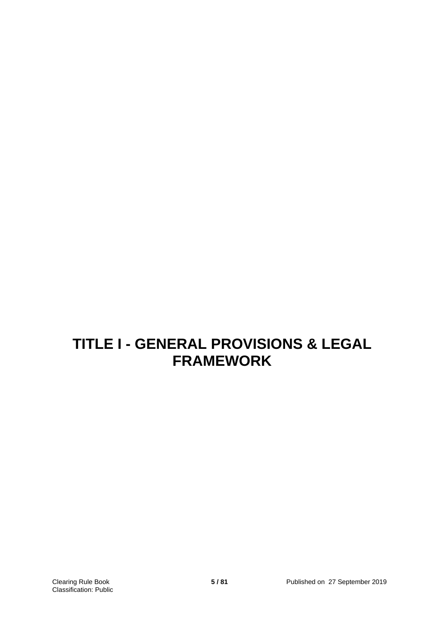# **TITLE I - GENERAL PROVISIONS & LEGAL FRAMEWORK**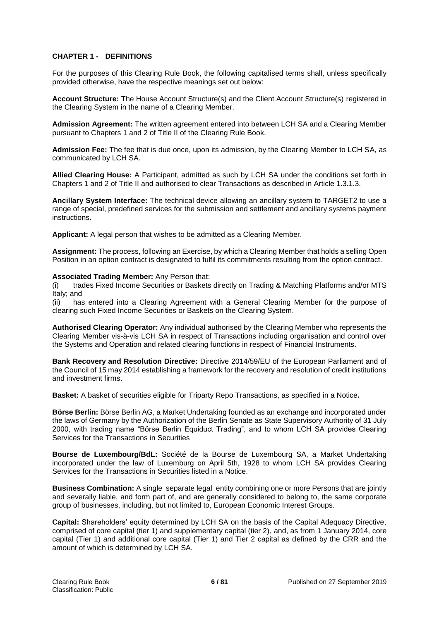# **CHAPTER 1 - DEFINITIONS**

For the purposes of this Clearing Rule Book, the following capitalised terms shall, unless specifically provided otherwise, have the respective meanings set out below:

**Account Structure:** The House Account Structure(s) and the Client Account Structure(s) registered in the Clearing System in the name of a Clearing Member.

**Admission Agreement:** The written agreement entered into between LCH SA and a Clearing Member pursuant to Chapters 1 and 2 of Title II of the Clearing Rule Book.

**Admission Fee:** The fee that is due once, upon its admission, by the Clearing Member to LCH SA, as communicated by LCH SA.

**Allied Clearing House:** A Participant, admitted as such by LCH SA under the conditions set forth in Chapters 1 and 2 of Title II and authorised to clear Transactions as described in Article 1.3.1.3.

**Ancillary System Interface:** The technical device allowing an ancillary system to TARGET2 to use a range of special, predefined services for the submission and settlement and ancillary systems payment instructions.

**Applicant:** A legal person that wishes to be admitted as a Clearing Member.

**Assignment:** The process, following an Exercise, by which a Clearing Member that holds a selling Open Position in an option contract is designated to fulfil its commitments resulting from the option contract.

#### **Associated Trading Member:** Any Person that:

(i) trades Fixed Income Securities or Baskets directly on Trading & Matching Platforms and/or MTS Italy; and

(ii) has entered into a Clearing Agreement with a General Clearing Member for the purpose of clearing such Fixed Income Securities or Baskets on the Clearing System.

**Authorised Clearing Operator:** Any individual authorised by the Clearing Member who represents the Clearing Member vis-à-vis LCH SA in respect of Transactions including organisation and control over the Systems and Operation and related clearing functions in respect of Financial Instruments.

**Bank Recovery and Resolution Directive:** Directive 2014/59/EU of the European Parliament and of the Council of 15 may 2014 establishing a framework for the recovery and resolution of credit institutions and investment firms.

**Basket:** A basket of securities eligible for Triparty Repo Transactions, as specified in a Notice**.**

**Börse Berlin:** Börse Berlin AG, a Market Undertaking founded as an exchange and incorporated under the laws of Germany by the Authorization of the Berlin Senate as State Supervisory Authority of 31 July 2000, with trading name "Börse Berlin Equiduct Trading", and to whom LCH SA provides Clearing Services for the Transactions in Securities

**Bourse de Luxembourg/BdL:** Société de la Bourse de Luxembourg SA, a Market Undertaking incorporated under the law of Luxemburg on April 5th, 1928 to whom LCH SA provides Clearing Services for the Transactions in Securities listed in a Notice.

**Business Combination:** A single separate legal entity combining one or more Persons that are jointly and severally liable, and form part of, and are generally considered to belong to, the same corporate group of businesses, including, but not limited to, European Economic Interest Groups.

**Capital:** Shareholders' equity determined by LCH SA on the basis of the Capital Adequacy Directive, comprised of core capital (tier 1) and supplementary capital (tier 2), and, as from 1 January 2014, core capital (Tier 1) and additional core capital (Tier 1) and Tier 2 capital as defined by the CRR and the amount of which is determined by LCH SA.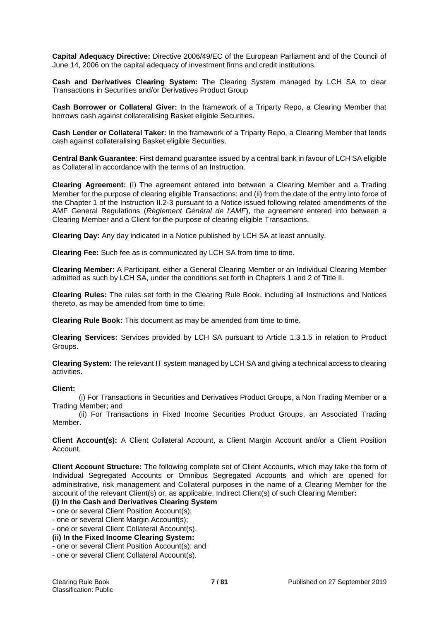**Capital Adequacy Directive:** Directive 2006/49/EC of the European Parliament and of the Council of June 14, 2006 on the capital adequacy of investment firms and credit institutions.

**Cash and Derivatives Clearing System:** The Clearing System managed by LCH SA to clear Transactions in Securities and/or Derivatives Product Group

**Cash Borrower or Collateral Giver:** In the framework of a Triparty Repo, a Clearing Member that borrows cash against collateralising Basket eligible Securities.

**Cash Lender or Collateral Taker:** In the framework of a Triparty Repo, a Clearing Member that lends cash against collateralising Basket eligible Securities.

**Central Bank Guarantee**: First demand guarantee issued by a central bank in favour of LCH SA eligible as Collateral in accordance with the terms of an Instruction.

**Clearing Agreement:** (i) The agreement entered into between a Clearing Member and a Trading Member for the purpose of clearing eligible Transactions; and (ii) from the date of the entry into force of the Chapter 1 of the Instruction II.2-3 pursuant to a Notice issued following related amendments of the AMF General Regulations (*Règlement Général de l'AMF*), the agreement entered into between a Clearing Member and a Client for the purpose of clearing eligible Transactions.

**Clearing Day:** Any day indicated in a Notice published by LCH SA at least annually.

**Clearing Fee:** Such fee as is communicated by LCH SA from time to time.

**Clearing Member:** A Participant, either a General Clearing Member or an Individual Clearing Member admitted as such by LCH SA, under the conditions set forth in Chapters 1 and 2 of Title II.

**Clearing Rules:** The rules set forth in the Clearing Rule Book, including all Instructions and Notices thereto, as may be amended from time to time.

**Clearing Rule Book:** This document as may be amended from time to time.

**Clearing Services:** Services provided by LCH SA pursuant to Article 1.3.1.5 in relation to Product Groups.

**Clearing System:** The relevant IT system managed by LCH SA and giving a technical access to clearing activities.

#### **Client:**

(i) For Transactions in Securities and Derivatives Product Groups, a Non Trading Member or a Trading Member; and

(ii) For Transactions in Fixed Income Securities Product Groups, an Associated Trading Member.

**Client Account(s):** A Client Collateral Account, a Client Margin Account and/or a Client Position Account.

**Client Account Structure:** The following complete set of Client Accounts, which may take the form of Individual Segregated Accounts or Omnibus Segregated Accounts and which are opened for administrative, risk management and Collateral purposes in the name of a Clearing Member for the account of the relevant Client(s) or, as applicable, Indirect Client(s) of such Clearing Member**:**

# **(i) In the Cash and Derivatives Clearing System**

- one or several Client Position Account(s);

- one or several Client Margin Account(s);

- one or several Client Collateral Account(s).

**(ii) In the Fixed Income Clearing System:** 

- one or several Client Position Account(s); and
- one or several Client Collateral Account(s).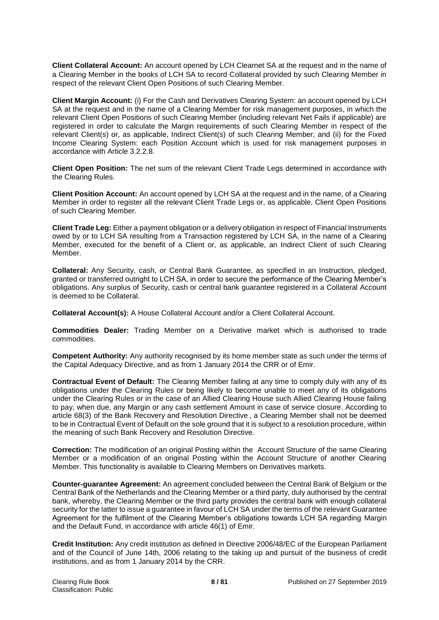**Client Collateral Account:** An account opened by LCH Clearnet SA at the request and in the name of a Clearing Member in the books of LCH SA to record Collateral provided by such Clearing Member in respect of the relevant Client Open Positions of such Clearing Member.

**Client Margin Account:** (i) For the Cash and Derivatives Clearing System: an account opened by LCH SA at the request and in the name of a Clearing Member for risk management purposes, in which the relevant Client Open Positions of such Clearing Member (including relevant Net Fails if applicable) are registered in order to calculate the Margin requirements of such Clearing Member in respect of the relevant Client(s) or, as applicable, Indirect Client(s) of such Clearing Member; and (ii) for the Fixed Income Clearing System: each Position Account which is used for risk management purposes in accordance with Article 3.2.2.8.

**Client Open Position:** The net sum of the relevant Client Trade Legs determined in accordance with the Clearing Rules.

**Client Position Account:** An account opened by LCH SA at the request and in the name, of a Clearing Member in order to register all the relevant Client Trade Legs or, as applicable, Client Open Positions of such Clearing Member.

**Client Trade Leg:** Either a payment obligation or a delivery obligation in respect of Financial Instruments owed by or to LCH SA resulting from a Transaction registered by LCH SA, in the name of a Clearing Member, executed for the benefit of a Client or, as applicable, an Indirect Client of such Clearing Member.

**Collateral:** Any Security, cash, or Central Bank Guarantee, as specified in an Instruction, pledged, granted or transferred outright to LCH SA, in order to secure the performance of the Clearing Member's obligations. Any surplus of Security, cash or central bank guarantee registered in a Collateral Account is deemed to be Collateral.

**Collateral Account(s):** A House Collateral Account and/or a Client Collateral Account.

**Commodities Dealer:** Trading Member on a Derivative market which is authorised to trade commodities.

**Competent Authority:** Any authority recognised by its home member state as such under the terms of the Capital Adequacy Directive, and as from 1 January 2014 the CRR or of Emir.

**Contractual Event of Default:** The Clearing Member failing at any time to comply duly with any of its obligations under the Clearing Rules or being likely to become unable to meet any of its obligations under the Clearing Rules or in the case of an Allied Clearing House such Allied Clearing House failing to pay, when due, any Margin or any cash settlement Amount in case of service closure. According to article 68(3) of the Bank Recovery and Resolution Directive , a Clearing Member shall not be deemed to be in Contractual Event of Default on the sole ground that it is subject to a resolution procedure, within the meaning of such Bank Recovery and Resolution Directive.

**Correction:** The modification of an original Posting within the Account Structure of the same Clearing Member or a modification of an original Posting within the Account Structure of another Clearing Member. This functionality is available to Clearing Members on Derivatives markets.

**Counter-guarantee Agreement:** An agreement concluded between the Central Bank of Belgium or the Central Bank of the Netherlands and the Clearing Member or a third party, duly authorised by the central bank, whereby, the Clearing Member or the third party provides the central bank with enough collateral security for the latter to issue a guarantee in favour of LCH SA under the terms of the relevant Guarantee Agreement for the fulfilment of the Clearing Member's obligations towards LCH SA regarding Margin and the Default Fund, in accordance with article 46(1) of Emir.

**Credit Institution:** Any credit institution as defined in Directive 2006/48/EC of the European Parliament and of the Council of June 14th, 2006 relating to the taking up and pursuit of the business of credit institutions, and as from 1 January 2014 by the CRR.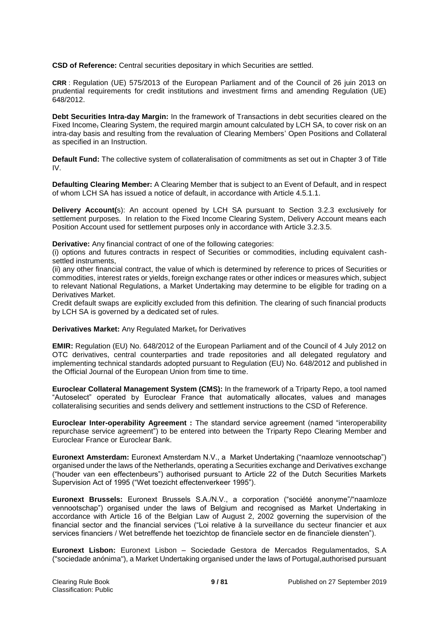**CSD of Reference:** Central securities depositary in which Securities are settled.

**CRR** : Regulation (UE) 575/2013 of the European Parliament and of the Council of 26 juin 2013 on prudential requirements for credit institutions and investment firms and amending Regulation (UE) 648/2012.

**Debt Securities Intra-day Margin:** In the framework of Transactions in debt securities cleared on the Fixed Income, Clearing System, the required margin amount calculated by LCH SA, to cover risk on an intra-day basis and resulting from the revaluation of Clearing Members' Open Positions and Collateral as specified in an Instruction.

**Default Fund:** The collective system of collateralisation of commitments as set out in Chapter 3 of Title IV.

**Defaulting Clearing Member:** A Clearing Member that is subject to an Event of Default, and in respect of whom LCH SA has issued a notice of default, in accordance with Article 4.5.1.1.

**Delivery Account(**s): An account opened by LCH SA pursuant to Section 3.2.3 exclusively for settlement purposes. In relation to the Fixed Income Clearing System, Delivery Account means each Position Account used for settlement purposes only in accordance with Article 3.2.3.5.

**Derivative:** Any financial contract of one of the following categories:

(i) options and futures contracts in respect of Securities or commodities, including equivalent cashsettled instruments,

(ii) any other financial contract, the value of which is determined by reference to prices of Securities or commodities, interest rates or yields, foreign exchange rates or other indices or measures which, subject to relevant National Regulations, a Market Undertaking may determine to be eligible for trading on a Derivatives Market.

Credit default swaps are explicitly excluded from this definition. The clearing of such financial products by LCH SA is governed by a dedicated set of rules.

**Derivatives Market:** Any Regulated Market, for Derivatives

**EMIR:** Regulation (EU) No. 648/2012 of the European Parliament and of the Council of 4 July 2012 on OTC derivatives, central counterparties and trade repositories and all delegated regulatory and implementing technical standards adopted pursuant to Regulation (EU) No. 648/2012 and published in the Official Journal of the European Union from time to time.

**Euroclear Collateral Management System (CMS):** In the framework of a Triparty Repo, a tool named "Autoselect" operated by Euroclear France that automatically allocates, values and manages collateralising securities and sends delivery and settlement instructions to the CSD of Reference.

**Euroclear Inter-operability Agreement :** The standard service agreement (named "interoperability repurchase service agreement") to be entered into between the Triparty Repo Clearing Member and Euroclear France or Euroclear Bank.

**Euronext Amsterdam:** Euronext Amsterdam N.V., a Market Undertaking ("naamloze vennootschap") organised under the laws of the Netherlands, operating a Securities exchange and Derivatives exchange ("houder van een effectenbeurs") authorised pursuant to Article 22 of the Dutch Securities Markets Supervision Act of 1995 ("Wet toezicht effectenverkeer 1995").

**Euronext Brussels:** Euronext Brussels S.A./N.V., a corporation ("société anonyme"/"naamloze vennootschap") organised under the laws of Belgium and recognised as Market Undertaking in accordance with Article 16 of the Belgian Law of August 2, 2002 governing the supervision of the financial sector and the financial services ("Loi relative à la surveillance du secteur financier et aux services financiers / Wet betreffende het toezichtop de financïele sector en de financïele diensten").

**Euronext Lisbon:** Euronext Lisbon – Sociedade Gestora de Mercados Regulamentados, S.A ("sociedade anónima"), a Market Undertaking organised under the laws of Portugal,authorised pursuant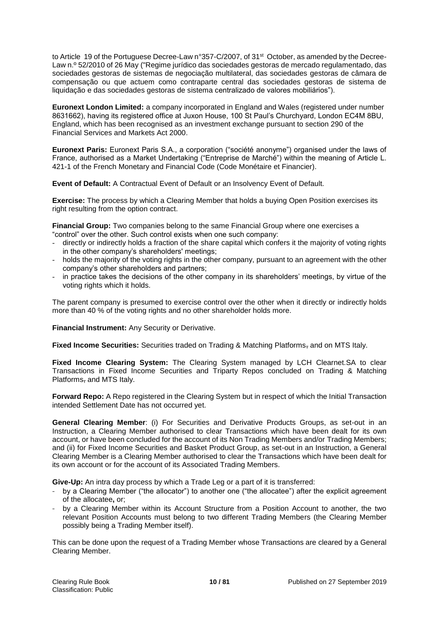to Article 19 of the Portuguese Decree-Law n°357-C/2007, of 31st October, as amended by the Decree-Law n.º 52/2010 of 26 May ("Regime jurídico das sociedades gestoras de mercado regulamentado, das sociedades gestoras de sistemas de negociação multilateral, das sociedades gestoras de câmara de compensação ou que actuem como contraparte central das sociedades gestoras de sistema de liquidação e das sociedades gestoras de sistema centralizado de valores mobiliários").

**Euronext London Limited:** a company incorporated in England and Wales (registered under number 8631662), having its registered office at Juxon House, 100 St Paul's Churchyard, London EC4M 8BU, England, which has been recognised as an investment exchange pursuant to section 290 of the Financial Services and Markets Act 2000.

**Euronext Paris:** Euronext Paris S.A., a corporation ("société anonyme") organised under the laws of France, authorised as a Market Undertaking ("Entreprise de Marché") within the meaning of Article L. 421-1 of the French Monetary and Financial Code (Code Monétaire et Financier).

**Event of Default:** A Contractual Event of Default or an Insolvency Event of Default.

**Exercise:** The process by which a Clearing Member that holds a buying Open Position exercises its right resulting from the option contract.

**Financial Group:** Two companies belong to the same Financial Group where one exercises a "control" over the other. Such control exists when one such company:

- directly or indirectly holds a fraction of the share capital which confers it the majority of voting rights in the other company's shareholders' meetings;
- holds the majority of the voting rights in the other company, pursuant to an agreement with the other company's other shareholders and partners;
- in practice takes the decisions of the other company in its shareholders' meetings, by virtue of the voting rights which it holds.

The parent company is presumed to exercise control over the other when it directly or indirectly holds more than 40 % of the voting rights and no other shareholder holds more.

**Financial Instrument:** Any Security or Derivative.

**Fixed Income Securities:** Securities traded on Trading & Matching Platforms, and on MTS Italy.

**Fixed Income Clearing System:** The Clearing System managed by LCH Clearnet.SA to clear Transactions in Fixed Income Securities and Triparty Repos concluded on Trading & Matching Platforms, and MTS Italy.

**Forward Repo:** A Repo registered in the Clearing System but in respect of which the Initial Transaction intended Settlement Date has not occurred yet.

**General Clearing Member**: (i) For Securities and Derivative Products Groups, as set-out in an Instruction, a Clearing Member authorised to clear Transactions which have been dealt for its own account, or have been concluded for the account of its Non Trading Members and/or Trading Members; and (ii) for Fixed Income Securities and Basket Product Group, as set-out in an Instruction, a General Clearing Member is a Clearing Member authorised to clear the Transactions which have been dealt for its own account or for the account of its Associated Trading Members.

**Give-Up:** An intra day process by which a Trade Leg or a part of it is transferred:

- by a Clearing Member ("the allocator") to another one ("the allocatee") after the explicit agreement of the allocatee**,** or;
- by a Clearing Member within its Account Structure from a Position Account to another, the two relevant Position Accounts must belong to two different Trading Members (the Clearing Member possibly being a Trading Member itself).

This can be done upon the request of a Trading Member whose Transactions are cleared by a General Clearing Member.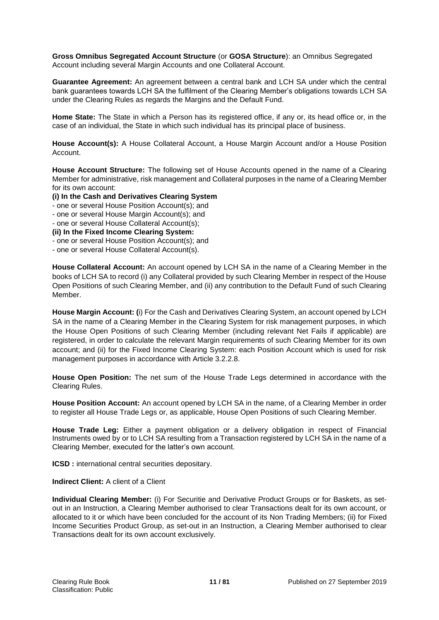**Gross Omnibus Segregated Account Structure** (or **GOSA Structure**): an Omnibus Segregated Account including several Margin Accounts and one Collateral Account.

**Guarantee Agreement:** An agreement between a central bank and LCH SA under which the central bank guarantees towards LCH SA the fulfilment of the Clearing Member's obligations towards LCH SA under the Clearing Rules as regards the Margins and the Default Fund.

**Home State:** The State in which a Person has its registered office, if any or, its head office or, in the case of an individual, the State in which such individual has its principal place of business.

**House Account(s):** A House Collateral Account, a House Margin Account and/or a House Position Account.

**House Account Structure:** The following set of House Accounts opened in the name of a Clearing Member for administrative, risk management and Collateral purposes in the name of a Clearing Member for its own account:

**(i) In the Cash and Derivatives Clearing System** 

- one or several House Position Account(s); and
- one or several House Margin Account(s); and
- one or several House Collateral Account(s);

**(ii) In the Fixed Income Clearing System:** 

- one or several House Position Account(s); and
- one or several House Collateral Account(s).

**House Collateral Account:** An account opened by LCH SA in the name of a Clearing Member in the books of LCH SA to record (i) any Collateral provided by such Clearing Member in respect of the House Open Positions of such Clearing Member, and (ii) any contribution to the Default Fund of such Clearing Member.

**House Margin Account: (**i) For the Cash and Derivatives Clearing System, an account opened by LCH SA in the name of a Clearing Member in the Clearing System for risk management purposes, in which the House Open Positions of such Clearing Member (including relevant Net Fails if applicable) are registered, in order to calculate the relevant Margin requirements of such Clearing Member for its own account; and (ii) for the Fixed Income Clearing System: each Position Account which is used for risk management purposes in accordance with Article 3.2.2.8.

**House Open Position:** The net sum of the House Trade Legs determined in accordance with the Clearing Rules.

**House Position Account:** An account opened by LCH SA in the name, of a Clearing Member in order to register all House Trade Legs or, as applicable, House Open Positions of such Clearing Member.

**House Trade Leg:** Either a payment obligation or a delivery obligation in respect of Financial Instruments owed by or to LCH SA resulting from a Transaction registered by LCH SA in the name of a Clearing Member, executed for the latter's own account.

**ICSD** : international central securities depositary.

**Indirect Client:** A client of a Client

**Individual Clearing Member:** (i) For Securitie and Derivative Product Groups or for Baskets, as setout in an Instruction, a Clearing Member authorised to clear Transactions dealt for its own account, or allocated to it or which have been concluded for the account of its Non Trading Members; (ii) for Fixed Income Securities Product Group, as set-out in an Instruction, a Clearing Member authorised to clear Transactions dealt for its own account exclusively.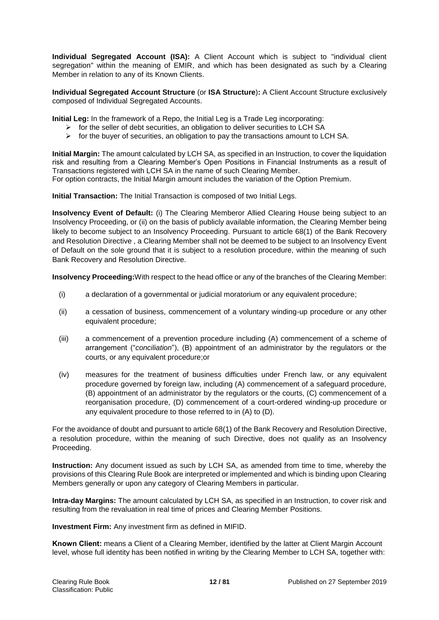**Individual Segregated Account (ISA):** A Client Account which is subject to "individual client segregation" within the meaning of EMIR, and which has been designated as such by a Clearing Member in relation to any of its Known Clients.

**Individual Segregated Account Structure** (or **ISA Structure**)**:** A Client Account Structure exclusively composed of Individual Segregated Accounts.

**Initial Leg:** In the framework of a Repo, the Initial Leg is a Trade Leg incorporating:

- $\triangleright$  for the seller of debt securities, an obligation to deliver securities to LCH SA
- $\triangleright$  for the buyer of securities, an obligation to pay the transactions amount to LCH SA.

**Initial Margin:** The amount calculated by LCH SA, as specified in an Instruction, to cover the liquidation risk and resulting from a Clearing Member's Open Positions in Financial Instruments as a result of Transactions registered with LCH SA in the name of such Clearing Member. For option contracts, the Initial Margin amount includes the variation of the Option Premium.

**Initial Transaction:** The Initial Transaction is composed of two Initial Legs.

**Insolvency Event of Default:** (i) The Clearing Memberor Allied Clearing House being subject to an Insolvency Proceeding, or (ii) on the basis of publicly available information, the Clearing Member being likely to become subject to an Insolvency Proceeding. Pursuant to article 68(1) of the Bank Recovery and Resolution Directive , a Clearing Member shall not be deemed to be subject to an Insolvency Event of Default on the sole ground that it is subject to a resolution procedure, within the meaning of such Bank Recovery and Resolution Directive.

**Insolvency Proceeding:**With respect to the head office or any of the branches of the Clearing Member:

- (i) a declaration of a governmental or judicial moratorium or any equivalent procedure;
- (ii) a cessation of business, commencement of a voluntary winding-up procedure or any other equivalent procedure;
- (iii) a commencement of a prevention procedure including (A) commencement of a scheme of arrangement ("*conciliation*"), (B) appointment of an administrator by the regulators or the courts, or any equivalent procedure;or
- (iv) measures for the treatment of business difficulties under French law, or any equivalent procedure governed by foreign law, including (A) commencement of a safeguard procedure, (B) appointment of an administrator by the regulators or the courts, (C) commencement of a reorganisation procedure, (D) commencement of a court-ordered winding-up procedure or any equivalent procedure to those referred to in (A) to (D).

For the avoidance of doubt and pursuant to article 68(1) of the Bank Recovery and Resolution Directive, a resolution procedure, within the meaning of such Directive, does not qualify as an Insolvency Proceeding.

**Instruction:** Any document issued as such by LCH SA, as amended from time to time, whereby the provisions of this Clearing Rule Book are interpreted or implemented and which is binding upon Clearing Members generally or upon any category of Clearing Members in particular.

**Intra-day Margins:** The amount calculated by LCH SA, as specified in an Instruction, to cover risk and resulting from the revaluation in real time of prices and Clearing Member Positions.

**Investment Firm:** Any investment firm as defined in MIFID.

**Known Client:** means a Client of a Clearing Member, identified by the latter at Client Margin Account level, whose full identity has been notified in writing by the Clearing Member to LCH SA, together with: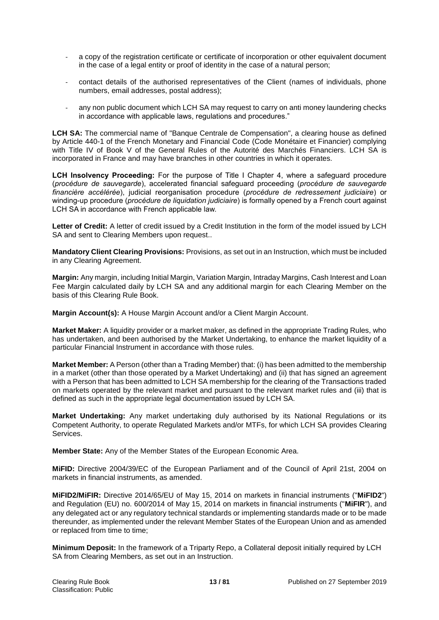- a copy of the registration certificate or certificate of incorporation or other equivalent document in the case of a legal entity or proof of identity in the case of a natural person;
- contact details of the authorised representatives of the Client (names of individuals, phone numbers, email addresses, postal address);
- any non public document which LCH SA may request to carry on anti money laundering checks in accordance with applicable laws, regulations and procedures."

**LCH SA:** The commercial name of "Banque Centrale de Compensation", a clearing house as defined by Article 440-1 of the French Monetary and Financial Code (Code Monétaire et Financier) complying with Title IV of Book V of the General Rules of the Autorité des Marchés Financiers. LCH SA is incorporated in France and may have branches in other countries in which it operates.

**LCH Insolvency Proceeding:** For the purpose of Title I Chapter 4, where a safeguard procedure (*procédure de sauvegarde*), accelerated financial safeguard proceeding (*procédure de sauvegarde financière accélérée*), judicial reorganisation procedure (*procédure de redressement judiciaire*) or winding-up procedure (*procédure de liquidation judiciaire*) is formally opened by a French court against LCH SA in accordance with French applicable law.

**Letter of Credit:** A letter of credit issued by a Credit Institution in the form of the model issued by LCH SA and sent to Clearing Members upon request..

**Mandatory Client Clearing Provisions:** Provisions, as set out in an Instruction, which must be included in any Clearing Agreement.

**Margin:** Any margin, including Initial Margin, Variation Margin, Intraday Margins, Cash Interest and Loan Fee Margin calculated daily by LCH SA and any additional margin for each Clearing Member on the basis of this Clearing Rule Book.

**Margin Account(s):** A House Margin Account and/or a Client Margin Account.

**Market Maker:** A liquidity provider or a market maker, as defined in the appropriate Trading Rules, who has undertaken, and been authorised by the Market Undertaking, to enhance the market liquidity of a particular Financial Instrument in accordance with those rules.

**Market Member:** A Person (other than a Trading Member) that: (i) has been admitted to the membership in a market (other than those operated by a Market Undertaking) and (ii) that has signed an agreement with a Person that has been admitted to LCH SA membership for the clearing of the Transactions traded on markets operated by the relevant market and pursuant to the relevant market rules and (iii) that is defined as such in the appropriate legal documentation issued by LCH SA.

**Market Undertaking:** Any market undertaking duly authorised by its National Regulations or its Competent Authority, to operate Regulated Markets and/or MTFs, for which LCH SA provides Clearing Services.

**Member State:** Any of the Member States of the European Economic Area.

**MiFID:** Directive 2004/39/EC of the European Parliament and of the Council of April 21st, 2004 on markets in financial instruments, as amended.

**MiFID2/MiFIR:** Directive 2014/65/EU of May 15, 2014 on markets in financial instruments ("**MiFID2**") and Regulation (EU) no. 600/2014 of May 15, 2014 on markets in financial instruments ("**MiFIR**"), and any delegated act or any regulatory technical standards or implementing standards made or to be made thereunder, as implemented under the relevant Member States of the European Union and as amended or replaced from time to time;

**Minimum Deposit:** In the framework of a Triparty Repo, a Collateral deposit initially required by LCH SA from Clearing Members, as set out in an Instruction.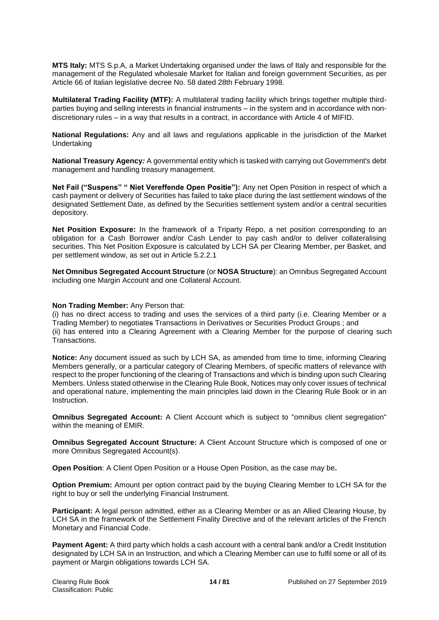**MTS Italy:** MTS S.p.A, a Market Undertaking organised under the laws of Italy and responsible for the management of the Regulated wholesale Market for Italian and foreign government Securities, as per Article 66 of Italian legislative decree No. 58 dated 28th February 1998.

**Multilateral Trading Facility (MTF):** A multilateral trading facility which brings together multiple thirdparties buying and selling interests in financial instruments – in the system and in accordance with nondiscretionary rules – in a way that results in a contract, in accordance with Article 4 of MIFID.

**National Regulations:** Any and all laws and regulations applicable in the jurisdiction of the Market Undertaking

**National Treasury Agency***:* A governmental entity which is tasked with carrying out Government's debt management and handling treasury management.

**Net Fail ("Suspens" " Niet Vereffende Open Positie"):** Any net Open Position in respect of which a cash payment or delivery of Securities has failed to take place during the last settlement windows of the designated Settlement Date, as defined by the Securities settlement system and/or a central securities depository.

**Net Position Exposure:** In the framework of a Triparty Repo, a net position corresponding to an obligation for a Cash Borrower and/or Cash Lender to pay cash and/or to deliver collateralising securities. This Net Position Exposure is calculated by LCH SA per Clearing Member, per Basket, and per settlement window, as set out in Article 5.2.2.1

**Net Omnibus Segregated Account Structure** (or **NOSA Structure**): an Omnibus Segregated Account including one Margin Account and one Collateral Account.

# **Non Trading Member:** Any Person that:

(i) has no direct access to trading and uses the services of a third party (i.e. Clearing Member or a Trading Member) to negotiates Transactions in Derivatives or Securities Product Groups ; and (ii) has entered into a Clearing Agreement with a Clearing Member for the purpose of clearing such Transactions.

**Notice:** Any document issued as such by LCH SA, as amended from time to time, informing Clearing Members generally, or a particular category of Clearing Members, of specific matters of relevance with respect to the proper functioning of the clearing of Transactions and which is binding upon such Clearing Members. Unless stated otherwise in the Clearing Rule Book, Notices may only cover issues of technical and operational nature, implementing the main principles laid down in the Clearing Rule Book or in an Instruction.

**Omnibus Segregated Account:** A Client Account which is subject to "omnibus client segregation" within the meaning of EMIR.

**Omnibus Segregated Account Structure:** A Client Account Structure which is composed of one or more Omnibus Segregated Account(s).

**Open Position**: A Client Open Position or a House Open Position, as the case may be**.**

**Option Premium:** Amount per option contract paid by the buying Clearing Member to LCH SA for the right to buy or sell the underlying Financial Instrument.

**Participant:** A legal person admitted, either as a Clearing Member or as an Allied Clearing House, by LCH SA in the framework of the Settlement Finality Directive and of the relevant articles of the French Monetary and Financial Code.

**Payment Agent:** A third party which holds a cash account with a central bank and/or a Credit Institution designated by LCH SA in an Instruction, and which a Clearing Member can use to fulfil some or all of its payment or Margin obligations towards LCH SA.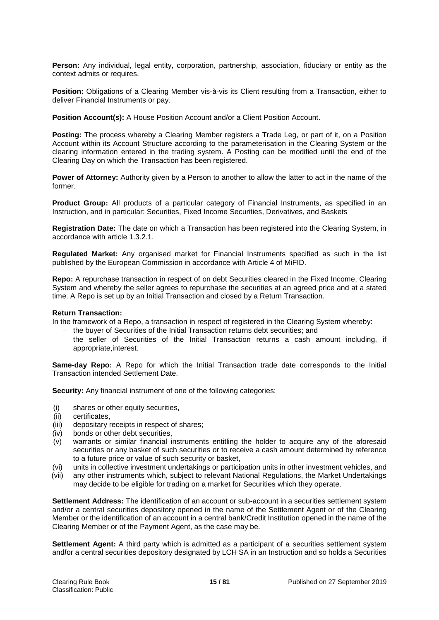**Person:** Any individual, legal entity, corporation, partnership, association, fiduciary or entity as the context admits or requires.

**Position:** Obligations of a Clearing Member vis-à-vis its Client resulting from a Transaction, either to deliver Financial Instruments or pay.

**Position Account(s):** A House Position Account and/or a Client Position Account.

Posting: The process whereby a Clearing Member registers a Trade Leg, or part of it, on a Position Account within its Account Structure according to the parameterisation in the Clearing System or the clearing information entered in the trading system. A Posting can be modified until the end of the Clearing Day on which the Transaction has been registered.

**Power of Attorney:** Authority given by a Person to another to allow the latter to act in the name of the former.

**Product Group:** All products of a particular category of Financial Instruments, as specified in an Instruction, and in particular: Securities, Fixed Income Securities, Derivatives, and Baskets

**Registration Date:** The date on which a Transaction has been registered into the Clearing System, in accordance with article 1.3.2.1.

**Regulated Market:** Any organised market for Financial Instruments specified as such in the list published by the European Commission in accordance with Article 4 of MiFID.

**Repo:** A repurchase transaction in respect of on debt Securities cleared in the Fixed Income, Clearing System and whereby the seller agrees to repurchase the securities at an agreed price and at a stated time. A Repo is set up by an Initial Transaction and closed by a Return Transaction.

#### **Return Transaction:**

In the framework of a Repo, a transaction in respect of registered in the Clearing System whereby:

- the buyer of Securities of the Initial Transaction returns debt securities; and
- the seller of Securities of the Initial Transaction returns a cash amount including, if appropriate,interest.

**Same-day Repo:** A Repo for which the Initial Transaction trade date corresponds to the Initial Transaction intended Settlement Date.

**Security:** Any financial instrument of one of the following categories:

- (i) shares or other equity securities,
- (ii) certificates,
- (iii) depositary receipts in respect of shares;
- (iv) bonds or other debt securities,
- (v) warrants or similar financial instruments entitling the holder to acquire any of the aforesaid securities or any basket of such securities or to receive a cash amount determined by reference to a future price or value of such security or basket,
- (vi) units in collective investment undertakings or participation units in other investment vehicles, and
- (vii) any other instruments which, subject to relevant National Regulations, the Market Undertakings may decide to be eligible for trading on a market for Securities which they operate.

**Settlement Address:** The identification of an account or sub-account in a securities settlement system and/or a central securities depository opened in the name of the Settlement Agent or of the Clearing Member or the identification of an account in a central bank/Credit Institution opened in the name of the Clearing Member or of the Payment Agent, as the case may be.

**Settlement Agent:** A third party which is admitted as a participant of a securities settlement system and**/**or a central securities depository designated by LCH SA in an Instruction and so holds a Securities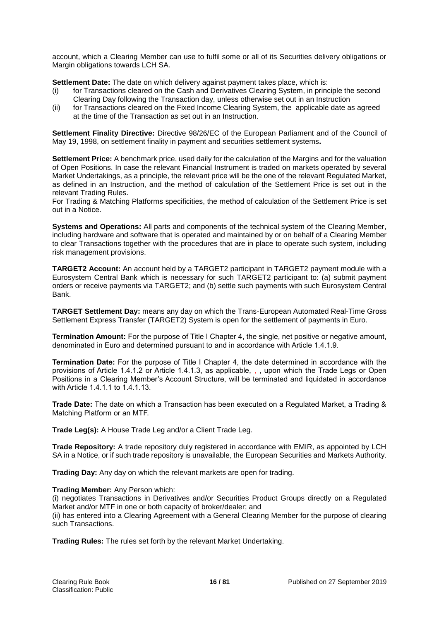account, which a Clearing Member can use to fulfil some or all of its Securities delivery obligations or Margin obligations towards LCH SA.

**Settlement Date:** The date on which delivery against payment takes place, which is:

- (i) for Transactions cleared on the Cash and Derivatives Clearing System, in principle the second Clearing Day following the Transaction day, unless otherwise set out in an Instruction
- (ii) for Transactions cleared on the Fixed Income Clearing System, the applicable date as agreed at the time of the Transaction as set out in an Instruction.

**Settlement Finality Directive:** Directive 98/26/EC of the European Parliament and of the Council of May 19, 1998, on settlement finality in payment and securities settlement systems**.**

**Settlement Price:** A benchmark price, used daily for the calculation of the Margins and for the valuation of Open Positions. In case the relevant Financial Instrument is traded on markets operated by several Market Undertakings, as a principle, the relevant price will be the one of the relevant Regulated Market, as defined in an Instruction, and the method of calculation of the Settlement Price is set out in the relevant Trading Rules.

For Trading & Matching Platforms specificities, the method of calculation of the Settlement Price is set out in a Notice.

**Systems and Operations:** All parts and components of the technical system of the Clearing Member, including hardware and software that is operated and maintained by or on behalf of a Clearing Member to clear Transactions together with the procedures that are in place to operate such system, including risk management provisions.

**TARGET2 Account:** An account held by a TARGET2 participant in TARGET2 payment module with a Eurosystem Central Bank which is necessary for such TARGET2 participant to: (a) submit payment orders or receive payments via TARGET2; and (b) settle such payments with such Eurosystem Central Bank.

**TARGET Settlement Day:** means any day on which the Trans-European Automated Real-Time Gross Settlement Express Transfer (TARGET2) System is open for the settlement of payments in Euro.

**Termination Amount:** For the purpose of Title I Chapter 4, the single, net positive or negative amount, denominated in Euro and determined pursuant to and in accordance with Article 1.4.1.9.

**Termination Date:** For the purpose of Title I Chapter 4, the date determined in accordance with the provisions of Article 1.4.1.2 or Article 1.4.1.3, as applicable, , , upon which the Trade Legs or Open Positions in a Clearing Member's Account Structure, will be terminated and liquidated in accordance with Article 1.4.1.1 to 1.4.1.13.

**Trade Date:** The date on which a Transaction has been executed on a Regulated Market, a Trading & Matching Platform or an MTF.

**Trade Leg(s):** A House Trade Leg and/or a Client Trade Leg.

**Trade Repository:** A trade repository duly registered in accordance with EMIR, as appointed by LCH SA in a Notice, or if such trade repository is unavailable, the European Securities and Markets Authority.

**Trading Day:** Any day on which the relevant markets are open for trading.

#### **Trading Member:** Any Person which:

(i) negotiates Transactions in Derivatives and/or Securities Product Groups directly on a Regulated Market and/or MTF in one or both capacity of broker/dealer; and (ii) has entered into a Clearing Agreement with a General Clearing Member for the purpose of clearing such Transactions.

**Trading Rules:** The rules set forth by the relevant Market Undertaking.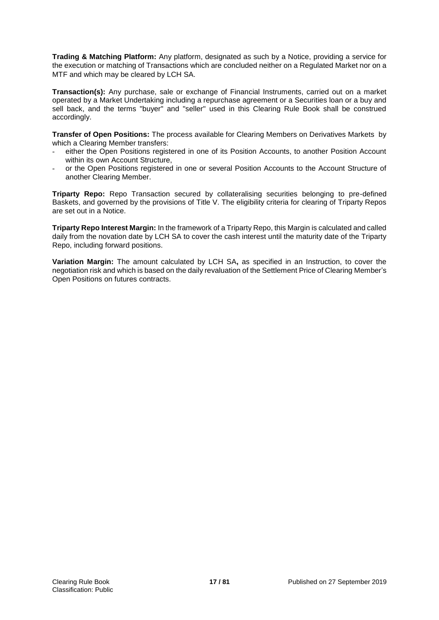**Trading & Matching Platform:** Any platform, designated as such by a Notice, providing a service for the execution or matching of Transactions which are concluded neither on a Regulated Market nor on a MTF and which may be cleared by LCH SA.

**Transaction(s):** Any purchase, sale or exchange of Financial Instruments, carried out on a market operated by a Market Undertaking including a repurchase agreement or a Securities loan or a buy and sell back, and the terms "buyer" and "seller" used in this Clearing Rule Book shall be construed accordingly.

**Transfer of Open Positions:** The process available for Clearing Members on Derivatives Markets by which a Clearing Member transfers:

- either the Open Positions registered in one of its Position Accounts, to another Position Account within its own Account Structure.
- or the Open Positions registered in one or several Position Accounts to the Account Structure of another Clearing Member.

**Triparty Repo:** Repo Transaction secured by collateralising securities belonging to pre-defined Baskets, and governed by the provisions of Title V. The eligibility criteria for clearing of Triparty Repos are set out in a Notice.

**Triparty Repo Interest Margin:** In the framework of a Triparty Repo, this Margin is calculated and called daily from the novation date by LCH SA to cover the cash interest until the maturity date of the Triparty Repo, including forward positions.

**Variation Margin:** The amount calculated by LCH SA**,** as specified in an Instruction, to cover the negotiation risk and which is based on the daily revaluation of the Settlement Price of Clearing Member's Open Positions on futures contracts.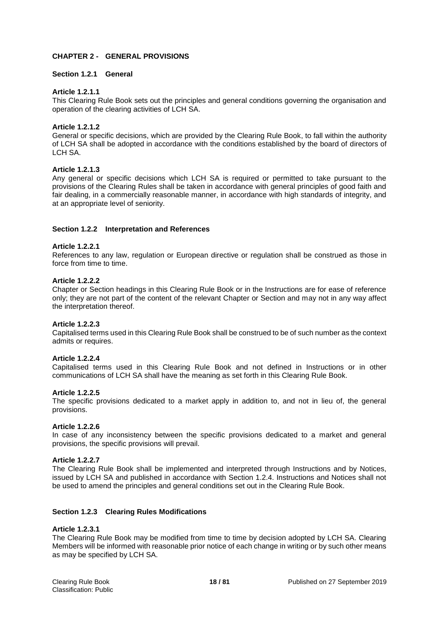# **CHAPTER 2 - GENERAL PROVISIONS**

# **Section 1.2.1 General**

# **Article 1.2.1.1**

This Clearing Rule Book sets out the principles and general conditions governing the organisation and operation of the clearing activities of LCH SA.

# **Article 1.2.1.2**

General or specific decisions, which are provided by the Clearing Rule Book, to fall within the authority of LCH SA shall be adopted in accordance with the conditions established by the board of directors of LCH SA.

# **Article 1.2.1.3**

Any general or specific decisions which LCH SA is required or permitted to take pursuant to the provisions of the Clearing Rules shall be taken in accordance with general principles of good faith and fair dealing, in a commercially reasonable manner, in accordance with high standards of integrity, and at an appropriate level of seniority.

# **Section 1.2.2 Interpretation and References**

# **Article 1.2.2.1**

References to any law, regulation or European directive or regulation shall be construed as those in force from time to time.

#### **Article 1.2.2.2**

Chapter or Section headings in this Clearing Rule Book or in the Instructions are for ease of reference only; they are not part of the content of the relevant Chapter or Section and may not in any way affect the interpretation thereof.

#### **Article 1.2.2.3**

Capitalised terms used in this Clearing Rule Book shall be construed to be of such number as the context admits or requires.

# **Article 1.2.2.4**

Capitalised terms used in this Clearing Rule Book and not defined in Instructions or in other communications of LCH SA shall have the meaning as set forth in this Clearing Rule Book.

#### **Article 1.2.2.5**

The specific provisions dedicated to a market apply in addition to, and not in lieu of, the general provisions.

#### **Article 1.2.2.6**

In case of any inconsistency between the specific provisions dedicated to a market and general provisions, the specific provisions will prevail.

#### **Article 1.2.2.7**

The Clearing Rule Book shall be implemented and interpreted through Instructions and by Notices, issued by LCH SA and published in accordance with Section 1.2.4. Instructions and Notices shall not be used to amend the principles and general conditions set out in the Clearing Rule Book.

#### **Section 1.2.3 Clearing Rules Modifications**

#### **Article 1.2.3.1**

The Clearing Rule Book may be modified from time to time by decision adopted by LCH SA. Clearing Members will be informed with reasonable prior notice of each change in writing or by such other means as may be specified by LCH SA.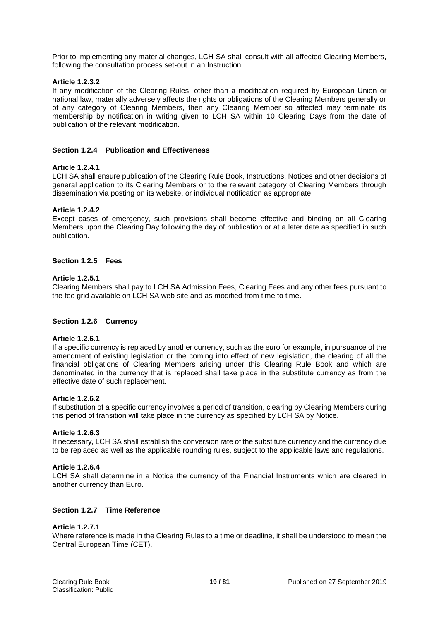Prior to implementing any material changes, LCH SA shall consult with all affected Clearing Members, following the consultation process set-out in an Instruction.

# **Article 1.2.3.2**

If any modification of the Clearing Rules, other than a modification required by European Union or national law, materially adversely affects the rights or obligations of the Clearing Members generally or of any category of Clearing Members, then any Clearing Member so affected may terminate its membership by notification in writing given to LCH SA within 10 Clearing Days from the date of publication of the relevant modification.

# **Section 1.2.4 Publication and Effectiveness**

#### **Article 1.2.4.1**

LCH SA shall ensure publication of the Clearing Rule Book, Instructions, Notices and other decisions of general application to its Clearing Members or to the relevant category of Clearing Members through dissemination via posting on its website, or individual notification as appropriate.

# **Article 1.2.4.2**

Except cases of emergency, such provisions shall become effective and binding on all Clearing Members upon the Clearing Day following the day of publication or at a later date as specified in such publication.

#### **Section 1.2.5 Fees**

#### **Article 1.2.5.1**

Clearing Members shall pay to LCH SA Admission Fees, Clearing Fees and any other fees pursuant to the fee grid available on LCH SA web site and as modified from time to time.

#### **Section 1.2.6 Currency**

#### **Article 1.2.6.1**

If a specific currency is replaced by another currency, such as the euro for example, in pursuance of the amendment of existing legislation or the coming into effect of new legislation, the clearing of all the financial obligations of Clearing Members arising under this Clearing Rule Book and which are denominated in the currency that is replaced shall take place in the substitute currency as from the effective date of such replacement.

#### **Article 1.2.6.2**

If substitution of a specific currency involves a period of transition, clearing by Clearing Members during this period of transition will take place in the currency as specified by LCH SA by Notice.

#### **Article 1.2.6.3**

If necessary, LCH SA shall establish the conversion rate of the substitute currency and the currency due to be replaced as well as the applicable rounding rules, subject to the applicable laws and regulations.

#### **Article 1.2.6.4**

LCH SA shall determine in a Notice the currency of the Financial Instruments which are cleared in another currency than Euro.

#### **Section 1.2.7 Time Reference**

#### **Article 1.2.7.1**

Where reference is made in the Clearing Rules to a time or deadline, it shall be understood to mean the Central European Time (CET).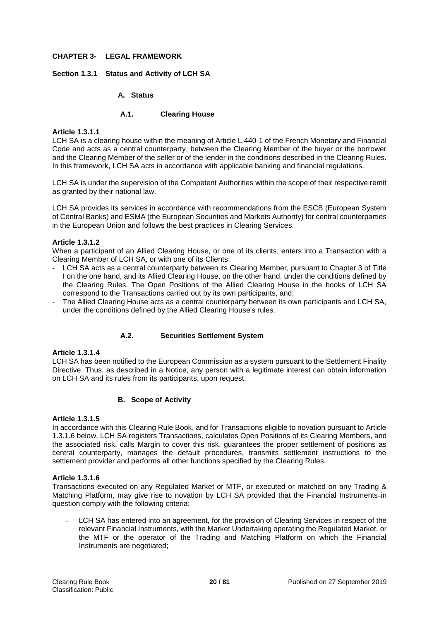# **CHAPTER 3- LEGAL FRAMEWORK**

# **Section 1.3.1 Status and Activity of LCH SA**

# **A. Status**

# **A.1. Clearing House**

# **Article 1.3.1.1**

LCH SA is a clearing house within the meaning of Article L.440-1 of the French Monetary and Financial Code and acts as a central counterparty, between the Clearing Member of the buyer or the borrower and the Clearing Member of the seller or of the lender in the conditions described in the Clearing Rules. In this framework, LCH SA acts in accordance with applicable banking and financial regulations.

LCH SA is under the supervision of the Competent Authorities within the scope of their respective remit as granted by their national law.

LCH SA provides its services in accordance with recommendations from the ESCB (European System of Central Banks) and ESMA (the European Securities and Markets Authority) for central counterparties in the European Union and follows the best practices in Clearing Services.

# **Article 1.3.1.2**

When a participant of an Allied Clearing House, or one of its clients, enters into a Transaction with a Clearing Member of LCH SA, or with one of its Clients:

- LCH SA acts as a central counterparty between its Clearing Member, pursuant to Chapter 3 of Title I on the one hand, and its Allied Clearing House, on the other hand, under the conditions defined by the Clearing Rules. The Open Positions of the Allied Clearing House in the books of LCH SA correspond to the Transactions carried out by its own participants, and;
- The Allied Clearing House acts as a central counterparty between its own participants and LCH SA, under the conditions defined by the Allied Clearing House's rules.

# **A.2. Securities Settlement System**

#### **Article 1.3.1.4**

LCH SA has been notified to the European Commission as a system pursuant to the Settlement Finality Directive. Thus, as described in a Notice, any person with a legitimate interest can obtain information on LCH SA and its rules from its participants, upon request.

# **B. Scope of Activity**

#### **Article 1.3.1.5**

In accordance with this Clearing Rule Book, and for Transactions eligible to novation pursuant to Article 1.3.1.6 below, LCH SA registers Transactions, calculates Open Positions of its Clearing Members, and the associated risk, calls Margin to cover this risk, guarantees the proper settlement of positions as central counterparty, manages the default procedures, transmits settlement instructions to the settlement provider and performs all other functions specified by the Clearing Rules.

# **Article 1.3.1.6**

Transactions executed on any Regulated Market or MTF, or executed or matched on any Trading & Matching Platform, may give rise to novation by LCH SA provided that the Financial Instruments-in question comply with the following criteria:

LCH SA has entered into an agreement, for the provision of Clearing Services in respect of the relevant Financial Instruments, with the Market Undertaking operating the Regulated Market, or the MTF or the operator of the Trading and Matching Platform on which the Financial Instruments are negotiated;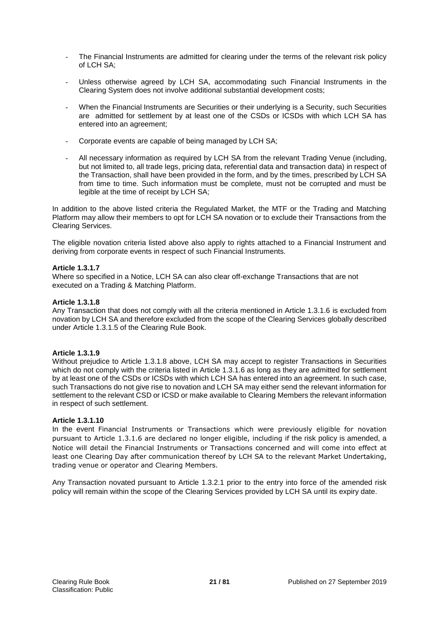- The Financial Instruments are admitted for clearing under the terms of the relevant risk policy of LCH SA;
- Unless otherwise agreed by LCH SA, accommodating such Financial Instruments in the Clearing System does not involve additional substantial development costs;
- When the Financial Instruments are Securities or their underlying is a Security, such Securities are admitted for settlement by at least one of the CSDs or ICSDs with which LCH SA has entered into an agreement;
- Corporate events are capable of being managed by LCH SA;
- All necessary information as required by LCH SA from the relevant Trading Venue (including, but not limited to, all trade legs, pricing data, referential data and transaction data) in respect of the Transaction, shall have been provided in the form, and by the times, prescribed by LCH SA from time to time. Such information must be complete, must not be corrupted and must be legible at the time of receipt by LCH SA;

In addition to the above listed criteria the Regulated Market, the MTF or the Trading and Matching Platform may allow their members to opt for LCH SA novation or to exclude their Transactions from the Clearing Services.

The eligible novation criteria listed above also apply to rights attached to a Financial Instrument and deriving from corporate events in respect of such Financial Instruments.

# **Article 1.3.1.7**

Where so specified in a Notice, LCH SA can also clear off-exchange Transactions that are not executed on a Trading & Matching Platform.

# **Article 1.3.1.8**

Any Transaction that does not comply with all the criteria mentioned in Article 1.3.1.6 is excluded from novation by LCH SA and therefore excluded from the scope of the Clearing Services globally described under Article 1.3.1.5 of the Clearing Rule Book.

#### **Article 1.3.1.9**

Without prejudice to Article 1.3.1.8 above, LCH SA may accept to register Transactions in Securities which do not comply with the criteria listed in Article 1.3.1.6 as long as they are admitted for settlement by at least one of the CSDs or ICSDs with which LCH SA has entered into an agreement. In such case, such Transactions do not give rise to novation and LCH SA may either send the relevant information for settlement to the relevant CSD or ICSD or make available to Clearing Members the relevant information in respect of such settlement.

#### **Article 1.3.1.10**

In the event Financial Instruments or Transactions which were previously eligible for novation pursuant to Article 1.3.1.6 are declared no longer eligible, including if the risk policy is amended, a Notice will detail the Financial Instruments or Transactions concerned and will come into effect at least one Clearing Day after communication thereof by LCH SA to the relevant Market Undertaking, trading venue or operator and Clearing Members.

Any Transaction novated pursuant to Article 1.3.2.1 prior to the entry into force of the amended risk policy will remain within the scope of the Clearing Services provided by LCH SA until its expiry date.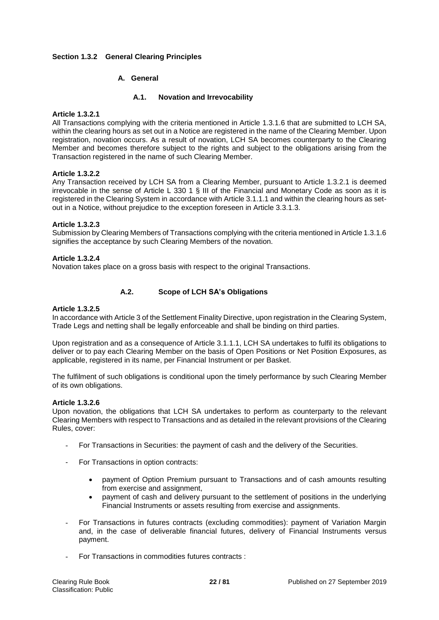# **Section 1.3.2 General Clearing Principles**

# **A. General**

#### **A.1. Novation and Irrevocability**

#### **Article 1.3.2.1**

All Transactions complying with the criteria mentioned in Article 1.3.1.6 that are submitted to LCH SA, within the clearing hours as set out in a Notice are registered in the name of the Clearing Member. Upon registration, novation occurs. As a result of novation, LCH SA becomes counterparty to the Clearing Member and becomes therefore subject to the rights and subject to the obligations arising from the Transaction registered in the name of such Clearing Member.

# **Article 1.3.2.2**

Any Transaction received by LCH SA from a Clearing Member, pursuant to Article 1.3.2.1 is deemed irrevocable in the sense of Article L 330 1 § III of the Financial and Monetary Code as soon as it is registered in the Clearing System in accordance with Article 3.1.1.1 and within the clearing hours as setout in a Notice, without prejudice to the exception foreseen in Article 3.3.1.3.

# **Article 1.3.2.3**

Submission by Clearing Members of Transactions complying with the criteria mentioned in Article 1.3.1.6 signifies the acceptance by such Clearing Members of the novation.

# **Article 1.3.2.4**

Novation takes place on a gross basis with respect to the original Transactions.

# **A.2. Scope of LCH SA's Obligations**

#### **Article 1.3.2.5**

In accordance with Article 3 of the Settlement Finality Directive, upon registration in the Clearing System, Trade Legs and netting shall be legally enforceable and shall be binding on third parties.

Upon registration and as a consequence of Article 3.1.1.1, LCH SA undertakes to fulfil its obligations to deliver or to pay each Clearing Member on the basis of Open Positions or Net Position Exposures, as applicable, registered in its name, per Financial Instrument or per Basket.

The fulfilment of such obligations is conditional upon the timely performance by such Clearing Member of its own obligations.

#### **Article 1.3.2.6**

Upon novation, the obligations that LCH SA undertakes to perform as counterparty to the relevant Clearing Members with respect to Transactions and as detailed in the relevant provisions of the Clearing Rules, cover:

- For Transactions in Securities: the payment of cash and the delivery of the Securities.
- For Transactions in option contracts:
	- payment of Option Premium pursuant to Transactions and of cash amounts resulting from exercise and assignment,
	- payment of cash and delivery pursuant to the settlement of positions in the underlying Financial Instruments or assets resulting from exercise and assignments.
- For Transactions in futures contracts (excluding commodities): payment of Variation Margin and, in the case of deliverable financial futures, delivery of Financial Instruments versus payment.
- For Transactions in commodities futures contracts :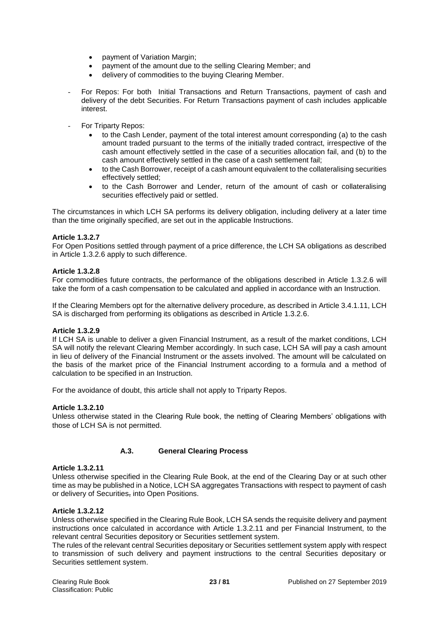- payment of Variation Margin;
- payment of the amount due to the selling Clearing Member; and
- delivery of commodities to the buying Clearing Member.
- For Repos: For both Initial Transactions and Return Transactions, payment of cash and delivery of the debt Securities. For Return Transactions payment of cash includes applicable interest.
- For Triparty Repos:
	- to the Cash Lender, payment of the total interest amount corresponding (a) to the cash amount traded pursuant to the terms of the initially traded contract, irrespective of the cash amount effectively settled in the case of a securities allocation fail, and (b) to the cash amount effectively settled in the case of a cash settlement fail;
	- to the Cash Borrower, receipt of a cash amount equivalent to the collateralising securities effectively settled;
	- to the Cash Borrower and Lender, return of the amount of cash or collateralising securities effectively paid or settled.

The circumstances in which LCH SA performs its delivery obligation, including delivery at a later time than the time originally specified, are set out in the applicable Instructions.

# **Article 1.3.2.7**

For Open Positions settled through payment of a price difference, the LCH SA obligations as described in Article 1.3.2.6 apply to such difference.

#### **Article 1.3.2.8**

For commodities future contracts, the performance of the obligations described in Article 1.3.2.6 will take the form of a cash compensation to be calculated and applied in accordance with an Instruction.

If the Clearing Members opt for the alternative delivery procedure, as described in Article 3.4.1.11, LCH SA is discharged from performing its obligations as described in Article 1.3.2.6.

#### **Article 1.3.2.9**

If LCH SA is unable to deliver a given Financial Instrument, as a result of the market conditions, LCH SA will notify the relevant Clearing Member accordingly. In such case, LCH SA will pay a cash amount in lieu of delivery of the Financial Instrument or the assets involved. The amount will be calculated on the basis of the market price of the Financial Instrument according to a formula and a method of calculation to be specified in an Instruction.

For the avoidance of doubt, this article shall not apply to Triparty Repos.

#### **Article 1.3.2.10**

Unless otherwise stated in the Clearing Rule book, the netting of Clearing Members' obligations with those of LCH SA is not permitted.

# **A.3. General Clearing Process**

#### **Article 1.3.2.11**

Unless otherwise specified in the Clearing Rule Book, at the end of the Clearing Day or at such other time as may be published in a Notice, LCH SA aggregates Transactions with respect to payment of cash or delivery of Securities, into Open Positions.

#### **Article 1.3.2.12**

Unless otherwise specified in the Clearing Rule Book, LCH SA sends the requisite delivery and payment instructions once calculated in accordance with Article 1.3.2.11 and per Financial Instrument, to the relevant central Securities depository or Securities settlement system.

The rules of the relevant central Securities depositary or Securities settlement system apply with respect to transmission of such delivery and payment instructions to the central Securities depositary or Securities settlement system.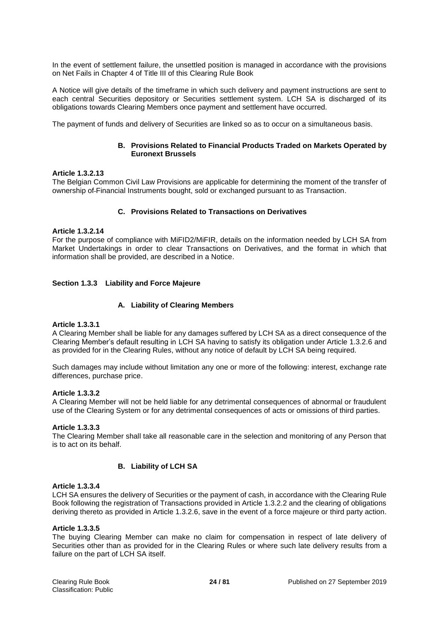In the event of settlement failure, the unsettled position is managed in accordance with the provisions on Net Fails in Chapter 4 of Title III of this Clearing Rule Book

A Notice will give details of the timeframe in which such delivery and payment instructions are sent to each central Securities depository or Securities settlement system. LCH SA is discharged of its obligations towards Clearing Members once payment and settlement have occurred.

The payment of funds and delivery of Securities are linked so as to occur on a simultaneous basis.

# **B. Provisions Related to Financial Products Traded on Markets Operated by Euronext Brussels**

#### **Article 1.3.2.13**

The Belgian Common Civil Law Provisions are applicable for determining the moment of the transfer of ownership of Financial Instruments bought, sold or exchanged pursuant to as Transaction.

#### **C. Provisions Related to Transactions on Derivatives**

#### **Article 1.3.2.14**

For the purpose of compliance with MiFID2/MiFIR, details on the information needed by LCH SA from Market Undertakings in order to clear Transactions on Derivatives, and the format in which that information shall be provided, are described in a Notice.

#### **Section 1.3.3 Liability and Force Majeure**

#### **A. Liability of Clearing Members**

#### **Article 1.3.3.1**

A Clearing Member shall be liable for any damages suffered by LCH SA as a direct consequence of the Clearing Member's default resulting in LCH SA having to satisfy its obligation under Article 1.3.2.6 and as provided for in the Clearing Rules, without any notice of default by LCH SA being required.

Such damages may include without limitation any one or more of the following: interest, exchange rate differences, purchase price.

#### **Article 1.3.3.2**

A Clearing Member will not be held liable for any detrimental consequences of abnormal or fraudulent use of the Clearing System or for any detrimental consequences of acts or omissions of third parties.

#### **Article 1.3.3.3**

The Clearing Member shall take all reasonable care in the selection and monitoring of any Person that is to act on its behalf.

#### **B. Liability of LCH SA**

#### **Article 1.3.3.4**

LCH SA ensures the delivery of Securities or the payment of cash, in accordance with the Clearing Rule Book following the registration of Transactions provided in Article 1.3.2.2 and the clearing of obligations deriving thereto as provided in Article 1.3.2.6, save in the event of a force majeure or third party action.

#### **Article 1.3.3.5**

The buying Clearing Member can make no claim for compensation in respect of late delivery of Securities other than as provided for in the Clearing Rules or where such late delivery results from a failure on the part of LCH SA itself.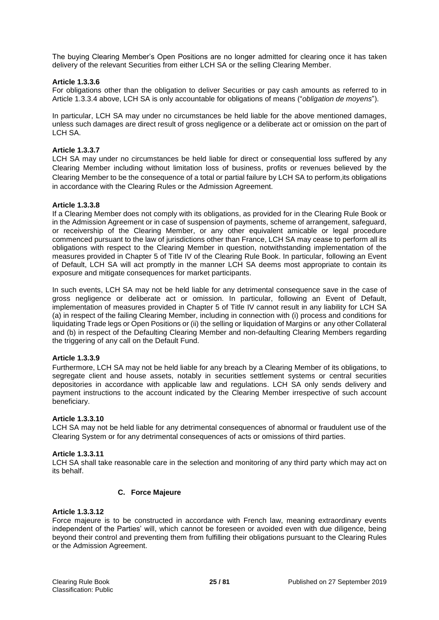The buying Clearing Member's Open Positions are no longer admitted for clearing once it has taken delivery of the relevant Securities from either LCH SA or the selling Clearing Member.

# **Article 1.3.3.6**

For obligations other than the obligation to deliver Securities or pay cash amounts as referred to in Article 1.3.3.4 above, LCH SA is only accountable for obligations of means ("*obligation de moyens*").

In particular, LCH SA may under no circumstances be held liable for the above mentioned damages, unless such damages are direct result of gross negligence or a deliberate act or omission on the part of LCH SA.

# **Article 1.3.3.7**

LCH SA may under no circumstances be held liable for direct or consequential loss suffered by any Clearing Member including without limitation loss of business, profits or revenues believed by the Clearing Member to be the consequence of a total or partial failure by LCH SA to perform,its obligations in accordance with the Clearing Rules or the Admission Agreement.

# **Article 1.3.3.8**

If a Clearing Member does not comply with its obligations, as provided for in the Clearing Rule Book or in the Admission Agreement or in case of suspension of payments, scheme of arrangement, safeguard, or receivership of the Clearing Member, or any other equivalent amicable or legal procedure commenced pursuant to the law of jurisdictions other than France, LCH SA may cease to perform all its obligations with respect to the Clearing Member in question, notwithstanding implementation of the measures provided in Chapter 5 of Title IV of the Clearing Rule Book. In particular, following an Event of Default, LCH SA will act promptly in the manner LCH SA deems most appropriate to contain its exposure and mitigate consequences for market participants.

In such events, LCH SA may not be held liable for any detrimental consequence save in the case of gross negligence or deliberate act or omission. In particular, following an Event of Default, implementation of measures provided in Chapter 5 of Title IV cannot result in any liability for LCH SA (a) in respect of the failing Clearing Member, including in connection with (i) process and conditions for liquidating Trade legs or Open Positions or (ii) the selling or liquidation of Margins or any other Collateral and (b) in respect of the Defaulting Clearing Member and non-defaulting Clearing Members regarding the triggering of any call on the Default Fund.

#### **Article 1.3.3.9**

Furthermore, LCH SA may not be held liable for any breach by a Clearing Member of its obligations, to segregate client and house assets, notably in securities settlement systems or central securities depositories in accordance with applicable law and regulations. LCH SA only sends delivery and payment instructions to the account indicated by the Clearing Member irrespective of such account beneficiary.

#### **Article 1.3.3.10**

LCH SA may not be held liable for any detrimental consequences of abnormal or fraudulent use of the Clearing System or for any detrimental consequences of acts or omissions of third parties.

#### **Article 1.3.3.11**

LCH SA shall take reasonable care in the selection and monitoring of any third party which may act on its behalf.

#### **C. Force Majeure**

# **Article 1.3.3.12**

Force majeure is to be constructed in accordance with French law, meaning extraordinary events independent of the Parties' will, which cannot be foreseen or avoided even with due diligence, being beyond their control and preventing them from fulfilling their obligations pursuant to the Clearing Rules or the Admission Agreement.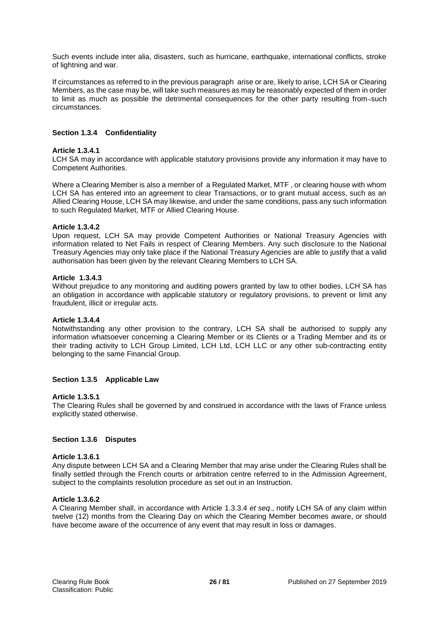Such events include inter alia, disasters, such as hurricane, earthquake, international conflicts, stroke of lightning and war.

If circumstances as referred to in the previous paragraph arise or are, likely to arise, LCH SA or Clearing Members, as the case may be, will take such measures as may be reasonably expected of them in order to limit as much as possible the detrimental consequences for the other party resulting from-such circumstances.

# **Section 1.3.4 Confidentiality**

# **Article 1.3.4.1**

LCH SA may in accordance with applicable statutory provisions provide any information it may have to Competent Authorities.

Where a Clearing Member is also a member of a Regulated Market, MTF , or clearing house with whom LCH SA has entered into an agreement to clear Transactions, or to grant mutual access, such as an Allied Clearing House, LCH SA may likewise, and under the same conditions, pass any such information to such Regulated Market, MTF or Allied Clearing House.

# **Article 1.3.4.2**

Upon request, LCH SA may provide Competent Authorities or National Treasury Agencies with information related to Net Fails in respect of Clearing Members. Any such disclosure to the National Treasury Agencies may only take place if the National Treasury Agencies are able to justify that a valid authorisation has been given by the relevant Clearing Members to LCH SA.

# **Article 1.3.4.3**

Without prejudice to any monitoring and auditing powers granted by law to other bodies, LCH SA has an obligation in accordance with applicable statutory or regulatory provisions, to prevent or limit any fraudulent, illicit or irregular acts.

#### **Article 1.3.4.4**

Notwithstanding any other provision to the contrary, LCH SA shall be authorised to supply any information whatsoever concerning a Clearing Member or its Clients or a Trading Member and its or their trading activity to LCH Group Limited, LCH Ltd, LCH LLC or any other sub-contracting entity belonging to the same Financial Group.

# **Section 1.3.5 Applicable Law**

#### **Article 1.3.5.1**

The Clearing Rules shall be governed by and construed in accordance with the laws of France unless explicitly stated otherwise.

#### **Section 1.3.6 Disputes**

#### **Article 1.3.6.1**

Any dispute between LCH SA and a Clearing Member that may arise under the Clearing Rules shall be finally settled through the French courts or arbitration centre referred to in the Admission Agreement, subject to the complaints resolution procedure as set out in an Instruction.

# **Article 1.3.6.2**

A Clearing Member shall, in accordance with Article 1.3.3.4 *et seq*., notify LCH SA of any claim within twelve (12) months from the Clearing Day on which the Clearing Member becomes aware, or should have become aware of the occurrence of any event that may result in loss or damages.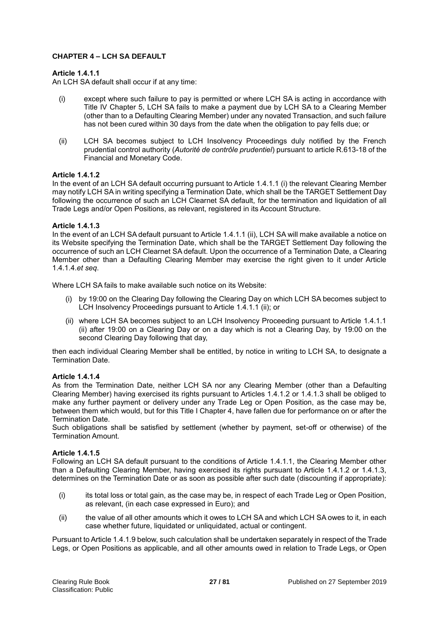# **CHAPTER 4 – LCH SA DEFAULT**

# **Article 1.4.1.1**

An LCH SA default shall occur if at any time:

- (i) except where such failure to pay is permitted or where LCH SA is acting in accordance with Title IV Chapter 5, LCH SA fails to make a payment due by LCH SA to a Clearing Member (other than to a Defaulting Clearing Member) under any novated Transaction, and such failure has not been cured within 30 days from the date when the obligation to pay fells due; or
- (ii) LCH SA becomes subject to LCH Insolvency Proceedings duly notified by the French prudential control authority (*Autorité de contrôle prudentiel*) pursuant to article R.613-18 of the Financial and Monetary Code.

# **Article 1.4.1.2**

In the event of an LCH SA default occurring pursuant to Article 1.4.1.1 (i) the relevant Clearing Member may notify LCH SA in writing specifying a Termination Date, which shall be the TARGET Settlement Day following the occurrence of such an LCH Clearnet SA default, for the termination and liquidation of all Trade Legs and/or Open Positions, as relevant, registered in its Account Structure.

# **Article 1.4.1.3**

In the event of an LCH SA default pursuant to Article 1.4.1.1 (ii), LCH SA will make available a notice on its Website specifying the Termination Date, which shall be the TARGET Settlement Day following the occurrence of such an LCH Clearnet SA default. Upon the occurrence of a Termination Date, a Clearing Member other than a Defaulting Clearing Member may exercise the right given to it under Article 1.4.1.4.*et seq*.

Where LCH SA fails to make available such notice on its Website:

- (i) by 19:00 on the Clearing Day following the Clearing Day on which LCH SA becomes subject to LCH Insolvency Proceedings pursuant to Article 1.4.1.1 (ii); or
- (ii) where LCH SA becomes subject to an LCH Insolvency Proceeding pursuant to Article 1.4.1.1 (ii) after 19:00 on a Clearing Day or on a day which is not a Clearing Day, by 19:00 on the second Clearing Day following that day,

then each individual Clearing Member shall be entitled, by notice in writing to LCH SA, to designate a Termination Date.

# **Article 1.4.1.4**

As from the Termination Date, neither LCH SA nor any Clearing Member (other than a Defaulting Clearing Member) having exercised its rights pursuant to Articles 1.4.1.2 or 1.4.1.3 shall be obliged to make any further payment or delivery under any Trade Leg or Open Position, as the case may be, between them which would, but for this Title I Chapter 4, have fallen due for performance on or after the Termination Date.

Such obligations shall be satisfied by settlement (whether by payment, set-off or otherwise) of the Termination Amount.

#### **Article 1.4.1.5**

Following an LCH SA default pursuant to the conditions of Article 1.4.1.1, the Clearing Member other than a Defaulting Clearing Member, having exercised its rights pursuant to Article 1.4.1.2 or 1.4.1.3, determines on the Termination Date or as soon as possible after such date (discounting if appropriate):

- (i) its total loss or total gain, as the case may be, in respect of each Trade Leg or Open Position, as relevant, (in each case expressed in Euro); and
- (ii) the value of all other amounts which it owes to LCH SA and which LCH SA owes to it, in each case whether future, liquidated or unliquidated, actual or contingent.

Pursuant to Article 1.4.1.9 below, such calculation shall be undertaken separately in respect of the Trade Legs, or Open Positions as applicable, and all other amounts owed in relation to Trade Legs, or Open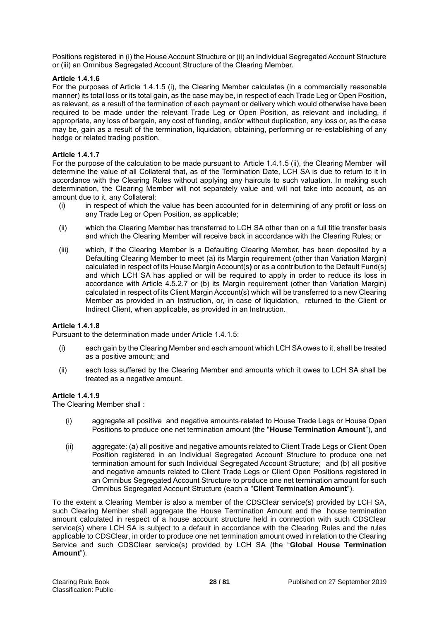Positions registered in (i) the House Account Structure or (ii) an Individual Segregated Account Structure or (iii) an Omnibus Segregated Account Structure of the Clearing Member.

# **Article 1.4.1.6**

For the purposes of Article 1.4.1.5 (i), the Clearing Member calculates (in a commercially reasonable manner) its total loss or its total gain, as the case may be, in respect of each Trade Leg or Open Position, as relevant, as a result of the termination of each payment or delivery which would otherwise have been required to be made under the relevant Trade Leg or Open Position, as relevant and including, if appropriate, any loss of bargain, any cost of funding, and/or without duplication, any loss or, as the case may be, gain as a result of the termination, liquidation, obtaining, performing or re-establishing of any hedge or related trading position.

# **Article 1.4.1.7**

For the purpose of the calculation to be made pursuant to Article 1.4.1.5 (ii), the Clearing Member will determine the value of all Collateral that, as of the Termination Date, LCH SA is due to return to it in accordance with the Clearing Rules without applying any haircuts to such valuation. In making such determination, the Clearing Member will not separately value and will not take into account, as an amount due to it, any Collateral:

- (i) in respect of which the value has been accounted for in determining of any profit or loss on any Trade Leg or Open Position, as applicable;
- (ii) which the Clearing Member has transferred to LCH SA other than on a full title transfer basis and which the Clearing Member will receive back in accordance with the Clearing Rules; or
- (iii) which, if the Clearing Member is a Defaulting Clearing Member, has been deposited by a Defaulting Clearing Member to meet (a) its Margin requirement (other than Variation Margin) calculated in respect of its House Margin Account(s**)** or as a contribution to the Default Fund(s) and which LCH SA has applied or will be required to apply in order to reduce its loss in accordance with Article 4.5.2.7 or (b) its Margin requirement (other than Variation Margin) calculated in respect of its Client Margin Account(s) which will be transferred to a new Clearing Member as provided in an Instruction, or, in case of liquidation, returned to the Client or Indirect Client, when applicable, as provided in an Instruction.

#### **Article 1.4.1.8**

Pursuant to the determination made under Article 1.4.1.5:

- (i) each gain by the Clearing Member and each amount which LCH SA owes to it, shall be treated as a positive amount; and
- (ii) each loss suffered by the Clearing Member and amounts which it owes to LCH SA shall be treated as a negative amount.

# **Article 1.4.1.9**

The Clearing Member shall :

- (i) aggregate all positive and negative amounts related to House Trade Legs or House Open Positions to produce one net termination amount (the "**House Termination Amount**"), and
- (ii) aggregate: (a) all positive and negative amounts related to Client Trade Legs or Client Open Position registered in an Individual Segregated Account Structure to produce one net termination amount for such Individual Segregated Account Structure; and (b) all positive and negative amounts related to Client Trade Legs or Client Open Positions registered in an Omnibus Segregated Account Structure to produce one net termination amount for such Omnibus Segregated Account Structure (each a "**Client Termination Amount**").

To the extent a Clearing Member is also a member of the CDSClear service(s) provided by LCH SA, such Clearing Member shall aggregate the House Termination Amount and the house termination amount calculated in respect of a house account structure held in connection with such CDSClear service(s) where LCH SA is subject to a default in accordance with the Clearing Rules and the rules applicable to CDSClear, in order to produce one net termination amount owed in relation to the Clearing Service and such CDSClear service(s) provided by LCH SA (the "**Global House Termination Amount**").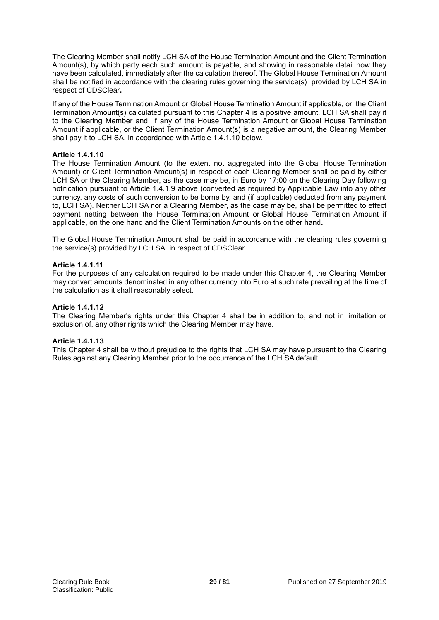The Clearing Member shall notify LCH SA of the House Termination Amount and the Client Termination Amount(s), by which party each such amount is payable, and showing in reasonable detail how they have been calculated, immediately after the calculation thereof. The Global House Termination Amount shall be notified in accordance with the clearing rules governing the service(s) provided by LCH SA in respect of CDSClear**.**

If any of the House Termination Amount or Global House Termination Amount if applicable*,* or the Client Termination Amount(s) calculated pursuant to this Chapter 4 is a positive amount, LCH SA shall pay it to the Clearing Member and, if any of the House Termination Amount or Global House Termination Amount if applicable, or the Client Termination Amount(s) is a negative amount, the Clearing Member shall pay it to LCH SA, in accordance with Article 1.4.1.10 below.

# **Article 1.4.1.10**

The House Termination Amount (to the extent not aggregated into the Global House Termination Amount) or Client Termination Amount(s) in respect of each Clearing Member shall be paid by either LCH SA or the Clearing Member, as the case may be, in Euro by 17:00 on the Clearing Day following notification pursuant to Article 1.4.1.9 above (converted as required by Applicable Law into any other currency, any costs of such conversion to be borne by, and (if applicable) deducted from any payment to, LCH SA). Neither LCH SA nor a Clearing Member, as the case may be, shall be permitted to effect payment netting between the House Termination Amount or Global House Termination Amount if applicable, on the one hand and the Client Termination Amounts on the other hand**.**

The Global House Termination Amount shall be paid in accordance with the clearing rules governing the service(s) provided by LCH SA in respect of CDSClear.

# **Article 1.4.1.11**

For the purposes of any calculation required to be made under this Chapter 4, the Clearing Member may convert amounts denominated in any other currency into Euro at such rate prevailing at the time of the calculation as it shall reasonably select.

# **Article 1.4.1.12**

The Clearing Member's rights under this Chapter 4 shall be in addition to, and not in limitation or exclusion of, any other rights which the Clearing Member may have.

#### **Article 1.4.1.13**

This Chapter 4 shall be without prejudice to the rights that LCH SA may have pursuant to the Clearing Rules against any Clearing Member prior to the occurrence of the LCH SA default.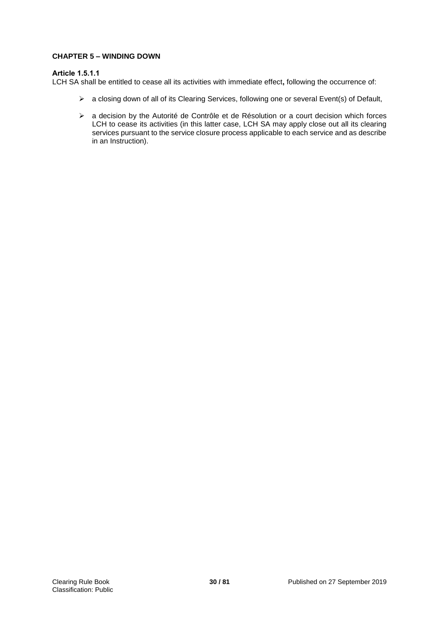# **CHAPTER 5 – WINDING DOWN**

# **Article 1.5.1.1**

LCH SA shall be entitled to cease all its activities with immediate effect**,** following the occurrence of:

- a closing down of all of its Clearing Services, following one or several Event(s) of Default,
- a decision by the Autorité de Contrôle et de Résolution or a court decision which forces LCH to cease its activities (in this latter case, LCH SA may apply close out all its clearing services pursuant to the service closure process applicable to each service and as describe in an Instruction).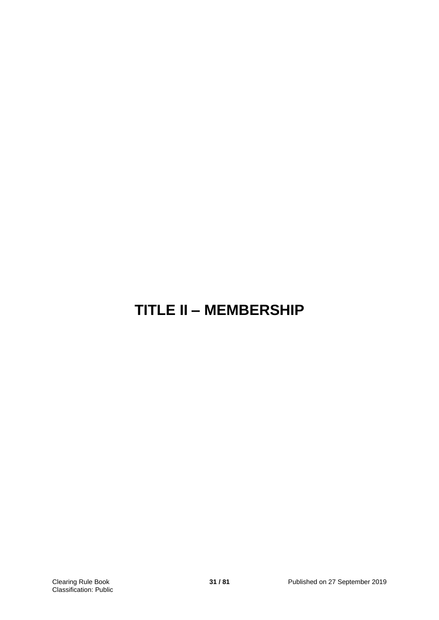# **TITLE II – MEMBERSHIP**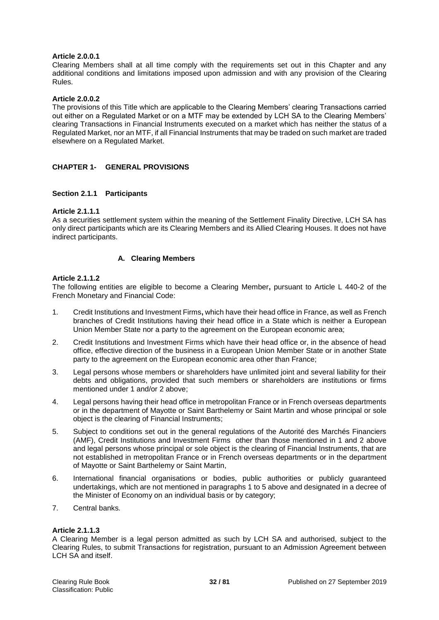# **Article 2.0.0.1**

Clearing Members shall at all time comply with the requirements set out in this Chapter and any additional conditions and limitations imposed upon admission and with any provision of the Clearing Rules.

# **Article 2.0.0.2**

The provisions of this Title which are applicable to the Clearing Members' clearing Transactions carried out either on a Regulated Market or on a MTF may be extended by LCH SA to the Clearing Members' clearing Transactions in Financial Instruments executed on a market which has neither the status of a Regulated Market, nor an MTF, if all Financial Instruments that may be traded on such market are traded elsewhere on a Regulated Market.

# **CHAPTER 1- GENERAL PROVISIONS**

#### **Section 2.1.1 Participants**

# **Article 2.1.1.1**

As a securities settlement system within the meaning of the Settlement Finality Directive, LCH SA has only direct participants which are its Clearing Members and its Allied Clearing Houses. It does not have indirect participants.

# **A. Clearing Members**

# **Article 2.1.1.2**

The following entities are eligible to become a Clearing Member**,** pursuant to Article L 440-2 of the French Monetary and Financial Code:

- 1. Credit Institutions and Investment Firms**,** which have their head office in France, as well as French branches of Credit Institutions having their head office in a State which is neither a European Union Member State nor a party to the agreement on the European economic area;
- 2. Credit Institutions and Investment Firms which have their head office or, in the absence of head office, effective direction of the business in a European Union Member State or in another State party to the agreement on the European economic area other than France;
- 3. Legal persons whose members or shareholders have unlimited joint and several liability for their debts and obligations, provided that such members or shareholders are institutions or firms mentioned under 1 and/or 2 above;
- 4. Legal persons having their head office in metropolitan France or in French overseas departments or in the department of Mayotte or Saint Barthelemy or Saint Martin and whose principal or sole object is the clearing of Financial Instruments;
- 5. Subject to conditions set out in the general regulations of the Autorité des Marchés Financiers (AMF), Credit Institutions and Investment Firms other than those mentioned in 1 and 2 above and legal persons whose principal or sole object is the clearing of Financial Instruments, that are not established in metropolitan France or in French overseas departments or in the department of Mayotte or Saint Barthelemy or Saint Martin,
- 6. International financial organisations or bodies, public authorities or publicly guaranteed undertakings, which are not mentioned in paragraphs 1 to 5 above and designated in a decree of the Minister of Economy on an individual basis or by category;
- 7. Central banks*.*

#### **Article 2.1.1.3**

A Clearing Member is a legal person admitted as such by LCH SA and authorised, subject to the Clearing Rules, to submit Transactions for registration, pursuant to an Admission Agreement between LCH SA and itself.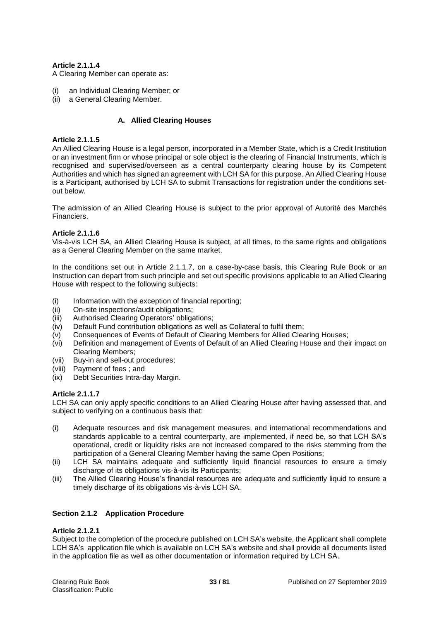# **Article 2.1.1.4**

A Clearing Member can operate as:

- an Individual Clearing Member; or
- (ii) a General Clearing Member.

# **A. Allied Clearing Houses**

# **Article 2.1.1.5**

An Allied Clearing House is a legal person, incorporated in a Member State, which is a Credit Institution or an investment firm or whose principal or sole object is the clearing of Financial Instruments, which is recognised and supervised/overseen as a central counterparty clearing house by its Competent Authorities and which has signed an agreement with LCH SA for this purpose. An Allied Clearing House is a Participant, authorised by LCH SA to submit Transactions for registration under the conditions setout below.

The admission of an Allied Clearing House is subject to the prior approval of Autorité des Marchés Financiers.

# **Article 2.1.1.6**

Vis-à-vis LCH SA, an Allied Clearing House is subject, at all times, to the same rights and obligations as a General Clearing Member on the same market.

In the conditions set out in Article 2.1.1.7, on a case-by-case basis, this Clearing Rule Book or an Instruction can depart from such principle and set out specific provisions applicable to an Allied Clearing House with respect to the following subjects:

- (i) Information with the exception of financial reporting;
- (ii) On-site inspections/audit obligations;
- (iii) Authorised Clearing Operators' obligations;
- (iv) Default Fund contribution obligations as well as Collateral to fulfil them;
- (v) Consequences of Events of Default of Clearing Members for Allied Clearing Houses;
- (vi) Definition and management of Events of Default of an Allied Clearing House and their impact on Clearing Members;
- (vii) Buy-in and sell-out procedures;
- (viii) Payment of fees ; and
- (ix) Debt Securities Intra-day Margin.

# **Article 2.1.1.7**

LCH SA can only apply specific conditions to an Allied Clearing House after having assessed that, and subject to verifying on a continuous basis that:

- (i) Adequate resources and risk management measures, and international recommendations and standards applicable to a central counterparty, are implemented, if need be, so that LCH SA's operational, credit or liquidity risks are not increased compared to the risks stemming from the participation of a General Clearing Member having the same Open Positions;
- (ii) LCH SA maintains adequate and sufficiently liquid financial resources to ensure a timely discharge of its obligations vis-à-vis its Participants;
- (iii) The Allied Clearing House's financial resources are adequate and sufficiently liquid to ensure a timely discharge of its obligations vis-à-vis LCH SA.

# **Section 2.1.2 Application Procedure**

#### **Article 2.1.2.1**

Subject to the completion of the procedure published on LCH SA's website, the Applicant shall complete LCH SA's application file which is available on LCH SA's website and shall provide all documents listed in the application file as well as other documentation or information required by LCH SA.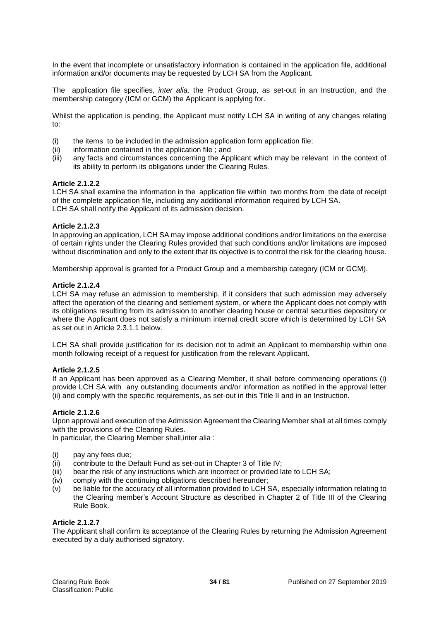In the event that incomplete or unsatisfactory information is contained in the application file, additional information and/or documents may be requested by LCH SA from the Applicant.

The application file specifies, *inter alia,* the Product Group, as set-out in an Instruction, and the membership category (ICM or GCM) the Applicant is applying for.

Whilst the application is pending, the Applicant must notify LCH SA in writing of any changes relating to:

- (i) the items to be included in the admission application form application file;
- (ii) information contained in the application file ; and
- (iii) any facts and circumstances concerning the Applicant which may be relevant in the context of its ability to perform its obligations under the Clearing Rules.

#### **Article 2.1.2.2**

LCH SA shall examine the information in the application file within two months from the date of receipt of the complete application file, including any additional information required by LCH SA. LCH SA shall notify the Applicant of its admission decision.

# **Article 2.1.2.3**

In approving an application, LCH SA may impose additional conditions and/or limitations on the exercise of certain rights under the Clearing Rules provided that such conditions and/or limitations are imposed without discrimination and only to the extent that its objective is to control the risk for the clearing house.

Membership approval is granted for a Product Group and a membership category (ICM or GCM).

# **Article 2.1.2.4**

LCH SA may refuse an admission to membership, if it considers that such admission may adversely affect the operation of the clearing and settlement system, or where the Applicant does not comply with its obligations resulting from its admission to another clearing house or central securities depository or where the Applicant does not satisfy a minimum internal credit score which is determined by LCH SA as set out in Article 2.3.1.1 below.

LCH SA shall provide justification for its decision not to admit an Applicant to membership within one month following receipt of a request for justification from the relevant Applicant.

#### **Article 2.1.2.5**

If an Applicant has been approved as a Clearing Member, it shall before commencing operations (i) provide LCH SA with any outstanding documents and/or information as notified in the approval letter (ii) and comply with the specific requirements, as set-out in this Title II and in an Instruction.

#### **Article 2.1.2.6**

Upon approval and execution of the Admission Agreement the Clearing Member shall at all times comply with the provisions of the Clearing Rules.

In particular, the Clearing Member shall,inter alia :

- (i) pay any fees due;
- (ii) contribute to the Default Fund as set-out in Chapter 3 of Title IV;
- $(iii)$  bear the risk of any instructions which are incorrect or provided late to LCH SA;
- (iv) comply with the continuing obligations described hereunder;
- (v) be liable for the accuracy of all information provided to LCH SA, especially information relating to the Clearing member's Account Structure as described in Chapter 2 of Title III of the Clearing Rule Book.

#### **Article 2.1.2.7**

The Applicant shall confirm its acceptance of the Clearing Rules by returning the Admission Agreement executed by a duly authorised signatory.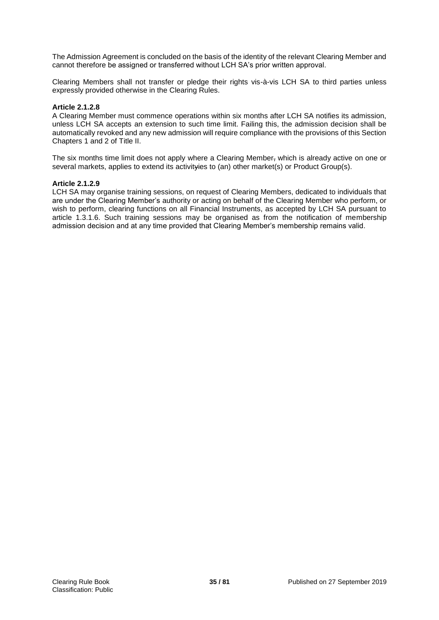The Admission Agreement is concluded on the basis of the identity of the relevant Clearing Member and cannot therefore be assigned or transferred without LCH SA's prior written approval.

Clearing Members shall not transfer or pledge their rights vis-à-vis LCH SA to third parties unless expressly provided otherwise in the Clearing Rules.

# **Article 2.1.2.8**

A Clearing Member must commence operations within six months after LCH SA notifies its admission, unless LCH SA accepts an extension to such time limit. Failing this, the admission decision shall be automatically revoked and any new admission will require compliance with the provisions of this Section Chapters 1 and 2 of Title II.

The six months time limit does not apply where a Clearing Member, which is already active on one or several markets, applies to extend its activityies to (an) other market(s) or Product Group(s).

#### **Article 2.1.2.9**

LCH SA may organise training sessions, on request of Clearing Members, dedicated to individuals that are under the Clearing Member's authority or acting on behalf of the Clearing Member who perform, or wish to perform, clearing functions on all Financial Instruments, as accepted by LCH SA pursuant to article 1.3.1.6. Such training sessions may be organised as from the notification of membership admission decision and at any time provided that Clearing Member's membership remains valid.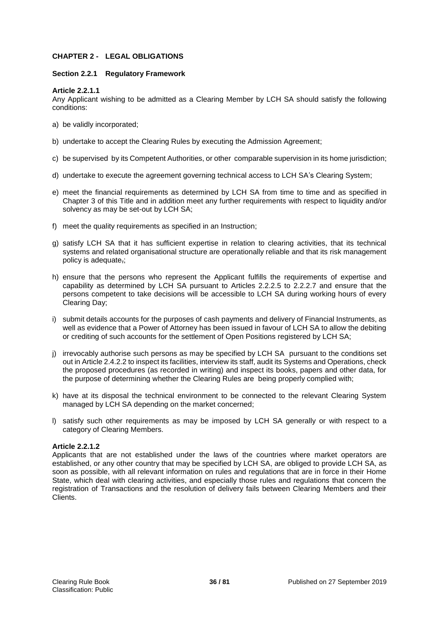# **CHAPTER 2 - LEGAL OBLIGATIONS**

# **Section 2.2.1 Regulatory Framework**

# **Article 2.2.1.1**

Any Applicant wishing to be admitted as a Clearing Member by LCH SA should satisfy the following conditions:

- a) be validly incorporated;
- b) undertake to accept the Clearing Rules by executing the Admission Agreement;
- c) be supervised by its Competent Authorities, or other comparable supervision in its home jurisdiction;
- d) undertake to execute the agreement governing technical access to LCH SA's Clearing System;
- e) meet the financial requirements as determined by LCH SA from time to time and as specified in Chapter 3 of this Title and in addition meet any further requirements with respect to liquidity and/or solvency as may be set-out by LCH SA;
- f) meet the quality requirements as specified in an Instruction;
- g) satisfy LCH SA that it has sufficient expertise in relation to clearing activities, that its technical systems and related organisational structure are operationally reliable and that its risk management policy is adequate,;
- h) ensure that the persons who represent the Applicant fulfills the requirements of expertise and capability as determined by LCH SA pursuant to Articles 2.2.2.5 to 2.2.2.7 and ensure that the persons competent to take decisions will be accessible to LCH SA during working hours of every Clearing Day;
- i) submit details accounts for the purposes of cash payments and delivery of Financial Instruments, as well as evidence that a Power of Attorney has been issued in favour of LCH SA to allow the debiting or crediting of such accounts for the settlement of Open Positions registered by LCH SA;
- j) irrevocably authorise such persons as may be specified by LCH SA pursuant to the conditions set out in Article 2.4.2.2 to inspect its facilities, interview its staff, audit its Systems and Operations, check the proposed procedures (as recorded in writing) and inspect its books, papers and other data, for the purpose of determining whether the Clearing Rules are being properly complied with;
- k) have at its disposal the technical environment to be connected to the relevant Clearing System managed by LCH SA depending on the market concerned;
- l) satisfy such other requirements as may be imposed by LCH SA generally or with respect to a category of Clearing Members.

# **Article 2.2.1.2**

Applicants that are not established under the laws of the countries where market operators are established, or any other country that may be specified by LCH SA, are obliged to provide LCH SA, as soon as possible, with all relevant information on rules and regulations that are in force in their Home State, which deal with clearing activities, and especially those rules and regulations that concern the registration of Transactions and the resolution of delivery fails between Clearing Members and their Clients.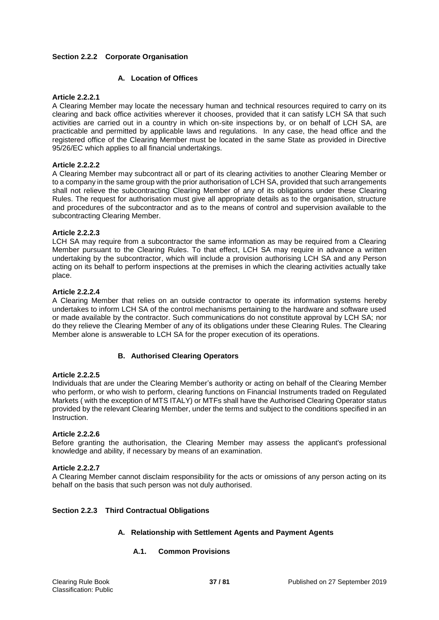# **Section 2.2.2 Corporate Organisation**

# **A. Location of Offices**

## **Article 2.2.2.1**

A Clearing Member may locate the necessary human and technical resources required to carry on its clearing and back office activities wherever it chooses, provided that it can satisfy LCH SA that such activities are carried out in a country in which on-site inspections by, or on behalf of LCH SA, are practicable and permitted by applicable laws and regulations. In any case, the head office and the registered office of the Clearing Member must be located in the same State as provided in Directive 95/26/EC which applies to all financial undertakings.

## **Article 2.2.2.2**

A Clearing Member may subcontract all or part of its clearing activities to another Clearing Member or to a company in the same group with the prior authorisation of LCH SA, provided that such arrangements shall not relieve the subcontracting Clearing Member of any of its obligations under these Clearing Rules. The request for authorisation must give all appropriate details as to the organisation, structure and procedures of the subcontractor and as to the means of control and supervision available to the subcontracting Clearing Member.

## **Article 2.2.2.3**

LCH SA may require from a subcontractor the same information as may be required from a Clearing Member pursuant to the Clearing Rules. To that effect, LCH SA may require in advance a written undertaking by the subcontractor, which will include a provision authorising LCH SA and any Person acting on its behalf to perform inspections at the premises in which the clearing activities actually take place.

#### **Article 2.2.2.4**

A Clearing Member that relies on an outside contractor to operate its information systems hereby undertakes to inform LCH SA of the control mechanisms pertaining to the hardware and software used or made available by the contractor. Such communications do not constitute approval by LCH SA; nor do they relieve the Clearing Member of any of its obligations under these Clearing Rules. The Clearing Member alone is answerable to LCH SA for the proper execution of its operations.

# **B. Authorised Clearing Operators**

## **Article 2.2.2.5**

Individuals that are under the Clearing Member's authority or acting on behalf of the Clearing Member who perform, or who wish to perform, clearing functions on Financial Instruments traded on Regulated Markets ( with the exception of MTS ITALY) or MTFs shall have the Authorised Clearing Operator status provided by the relevant Clearing Member, under the terms and subject to the conditions specified in an Instruction.

#### **Article 2.2.2.6**

Before granting the authorisation, the Clearing Member may assess the applicant's professional knowledge and ability, if necessary by means of an examination.

#### **Article 2.2.2.7**

A Clearing Member cannot disclaim responsibility for the acts or omissions of any person acting on its behalf on the basis that such person was not duly authorised.

#### **Section 2.2.3 Third Contractual Obligations**

# **A. Relationship with Settlement Agents and Payment Agents**

**A.1. Common Provisions**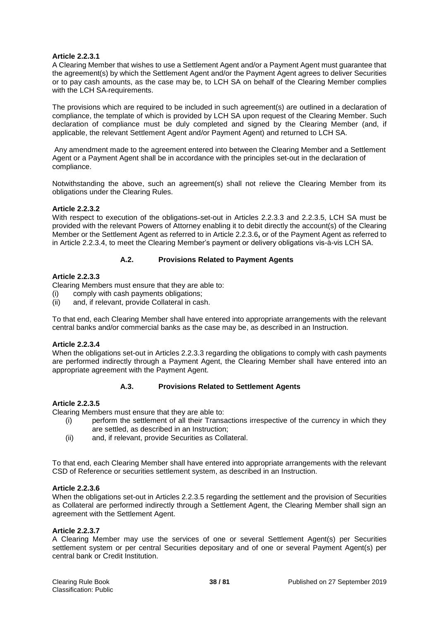# **Article 2.2.3.1**

A Clearing Member that wishes to use a Settlement Agent and/or a Payment Agent must guarantee that the agreement(s) by which the Settlement Agent and/or the Payment Agent agrees to deliver Securities or to pay cash amounts, as the case may be, to LCH SA on behalf of the Clearing Member complies with the LCH SA-requirements.

The provisions which are required to be included in such agreement(s) are outlined in a declaration of compliance, the template of which is provided by LCH SA upon request of the Clearing Member. Such declaration of compliance must be duly completed and signed by the Clearing Member (and, if applicable, the relevant Settlement Agent and/or Payment Agent) and returned to LCH SA.

Any amendment made to the agreement entered into between the Clearing Member and a Settlement Agent or a Payment Agent shall be in accordance with the principles set-out in the declaration of compliance.

Notwithstanding the above, such an agreement(s) shall not relieve the Clearing Member from its obligations under the Clearing Rules.

## **Article 2.2.3.2**

With respect to execution of the obligations-set-out in Articles 2.2.3.3 and 2.2.3.5, LCH SA must be provided with the relevant Powers of Attorney enabling it to debit directly the account(s) of the Clearing Member or the Settlement Agent as referred to in Article 2.2.3.6**,** or of the Payment Agent as referred to in Article 2.2.3.4, to meet the Clearing Member's payment or delivery obligations vis-à-vis LCH SA.

## **A.2. Provisions Related to Payment Agents**

## **Article 2.2.3.3**

Clearing Members must ensure that they are able to:

- (i) comply with cash payments obligations;
- (ii) and, if relevant, provide Collateral in cash.

To that end, each Clearing Member shall have entered into appropriate arrangements with the relevant central banks and/or commercial banks as the case may be, as described in an Instruction.

#### **Article 2.2.3.4**

When the obligations set-out in Articles 2.2.3.3 regarding the obligations to comply with cash payments are performed indirectly through a Payment Agent, the Clearing Member shall have entered into an appropriate agreement with the Payment Agent.

#### **A.3. Provisions Related to Settlement Agents**

#### **Article 2.2.3.5**

Clearing Members must ensure that they are able to:

- (i) perform the settlement of all their Transactions irrespective of the currency in which they are settled, as described in an Instruction;
- (ii) and, if relevant, provide Securities as Collateral.

To that end, each Clearing Member shall have entered into appropriate arrangements with the relevant CSD of Reference or securities settlement system, as described in an Instruction.

#### **Article 2.2.3.6**

When the obligations set-out in Articles 2.2.3.5 regarding the settlement and the provision of Securities as Collateral are performed indirectly through a Settlement Agent, the Clearing Member shall sign an agreement with the Settlement Agent.

#### **Article 2.2.3.7**

A Clearing Member may use the services of one or several Settlement Agent(s) per Securities settlement system or per central Securities depositary and of one or several Payment Agent(s) per central bank or Credit Institution.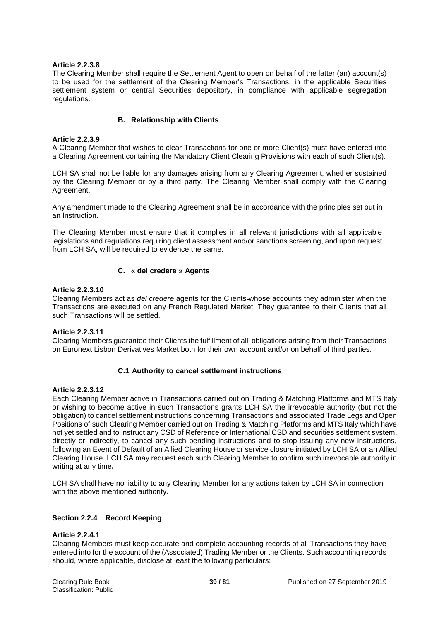# **Article 2.2.3.8**

The Clearing Member shall require the Settlement Agent to open on behalf of the latter (an) account(s) to be used for the settlement of the Clearing Member's Transactions, in the applicable Securities settlement system or central Securities depository, in compliance with applicable segregation regulations.

# **B. Relationship with Clients**

# **Article 2.2.3.9**

A Clearing Member that wishes to clear Transactions for one or more Client(s) must have entered into a Clearing Agreement containing the Mandatory Client Clearing Provisions with each of such Client(s).

LCH SA shall not be liable for any damages arising from any Clearing Agreement, whether sustained by the Clearing Member or by a third party. The Clearing Member shall comply with the Clearing Agreement.

Any amendment made to the Clearing Agreement shall be in accordance with the principles set out in an Instruction.

The Clearing Member must ensure that it complies in all relevant jurisdictions with all applicable legislations and regulations requiring client assessment and/or sanctions screening, and upon request from LCH SA, will be required to evidence the same.

# **C. « del credere » Agents**

## **Article 2.2.3.10**

Clearing Members act as *del credere* agents for the Clients whose accounts they administer when the Transactions are executed on any French Regulated Market. They guarantee to their Clients that all such Transactions will be settled.

# **Article 2.2.3.11**

Clearing Members guarantee their Clients the fulfillment of all obligations arising from their Transactions on Euronext Lisbon Derivatives Market.both for their own account and/or on behalf of third parties.

# **C.1 Authority to cancel settlement instructions**

# **Article 2.2.3.12**

Each Clearing Member active in Transactions carried out on Trading & Matching Platforms and MTS Italy or wishing to become active in such Transactions grants LCH SA the irrevocable authority (but not the obligation) to cancel settlement instructions concerning Transactions and associated Trade Legs and Open Positions of such Clearing Member carried out on Trading & Matching Platforms and MTS Italy which have not yet settled and to instruct any CSD of Reference or International CSD and securities settlement system, directly or indirectly, to cancel any such pending instructions and to stop issuing any new instructions, following an Event of Default of an Allied Clearing House or service closure initiated by LCH SA or an Allied Clearing House. LCH SA may request each such Clearing Member to confirm such irrevocable authority in writing at any time**.**

LCH SA shall have no liability to any Clearing Member for any actions taken by LCH SA in connection with the above mentioned authority.

#### **Section 2.2.4 Record Keeping**

#### **Article 2.2.4.1**

Clearing Members must keep accurate and complete accounting records of all Transactions they have entered into for the account of the (Associated) Trading Member or the Clients. Such accounting records should, where applicable, disclose at least the following particulars: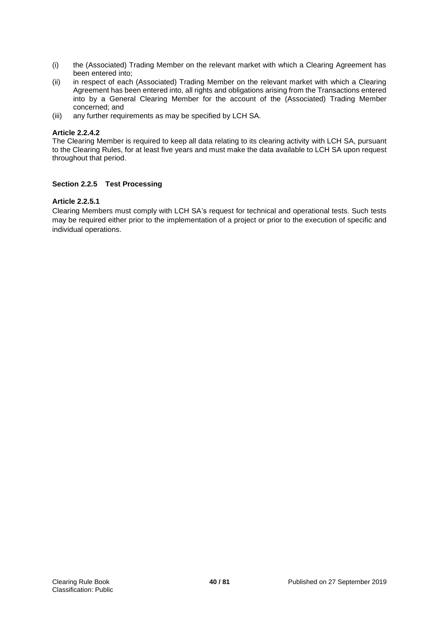- (i) the (Associated) Trading Member on the relevant market with which a Clearing Agreement has been entered into;
- (ii) in respect of each (Associated) Trading Member on the relevant market with which a Clearing Agreement has been entered into, all rights and obligations arising from the Transactions entered into by a General Clearing Member for the account of the (Associated) Trading Member concerned; and
- (iii) any further requirements as may be specified by LCH SA.

# **Article 2.2.4.2**

The Clearing Member is required to keep all data relating to its clearing activity with LCH SA, pursuant to the Clearing Rules, for at least five years and must make the data available to LCH SA upon request throughout that period.

# **Section 2.2.5 Test Processing**

# **Article 2.2.5.1**

Clearing Members must comply with LCH SA's request for technical and operational tests. Such tests may be required either prior to the implementation of a project or prior to the execution of specific and individual operations.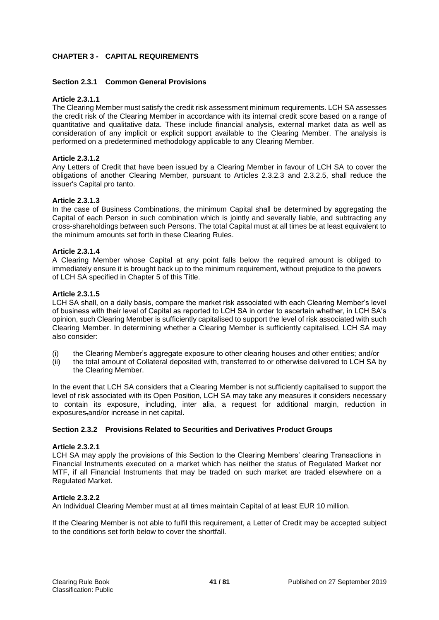# **CHAPTER 3 - CAPITAL REQUIREMENTS**

## **Section 2.3.1 Common General Provisions**

## **Article 2.3.1.1**

The Clearing Member must satisfy the credit risk assessment minimum requirements. LCH SA assesses the credit risk of the Clearing Member in accordance with its internal credit score based on a range of quantitative and qualitative data. These include financial analysis, external market data as well as consideration of any implicit or explicit support available to the Clearing Member. The analysis is performed on a predetermined methodology applicable to any Clearing Member.

#### **Article 2.3.1.2**

Any Letters of Credit that have been issued by a Clearing Member in favour of LCH SA to cover the obligations of another Clearing Member, pursuant to Articles 2.3.2.3 and 2.3.2.5, shall reduce the issuer's Capital pro tanto.

## **Article 2.3.1.3**

In the case of Business Combinations, the minimum Capital shall be determined by aggregating the Capital of each Person in such combination which is jointly and severally liable, and subtracting any cross-shareholdings between such Persons. The total Capital must at all times be at least equivalent to the minimum amounts set forth in these Clearing Rules.

## **Article 2.3.1.4**

A Clearing Member whose Capital at any point falls below the required amount is obliged to immediately ensure it is brought back up to the minimum requirement, without prejudice to the powers of LCH SA specified in Chapter 5 of this Title.

#### **Article 2.3.1.5**

LCH SA shall, on a daily basis, compare the market risk associated with each Clearing Member's level of business with their level of Capital as reported to LCH SA in order to ascertain whether, in LCH SA's opinion, such Clearing Member is sufficiently capitalised to support the level of risk associated with such Clearing Member. In determining whether a Clearing Member is sufficiently capitalised, LCH SA may also consider:

- (i) the Clearing Member's aggregate exposure to other clearing houses and other entities; and/or
- (ii) the total amount of Collateral deposited with, transferred to or otherwise delivered to LCH SA by the Clearing Member.

In the event that LCH SA considers that a Clearing Member is not sufficiently capitalised to support the level of risk associated with its Open Position, LCH SA may take any measures it considers necessary to contain its exposure, including, inter alia, a request for additional margin, reduction in exposures,and/or increase in net capital.

#### **Section 2.3.2 Provisions Related to Securities and Derivatives Product Groups**

#### **Article 2.3.2.1**

LCH SA may apply the provisions of this Section to the Clearing Members' clearing Transactions in Financial Instruments executed on a market which has neither the status of Regulated Market nor MTF, if all Financial Instruments that may be traded on such market are traded elsewhere on a Regulated Market.

# **Article 2.3.2.2**

An Individual Clearing Member must at all times maintain Capital of at least EUR 10 million.

If the Clearing Member is not able to fulfil this requirement, a Letter of Credit may be accepted subject to the conditions set forth below to cover the shortfall.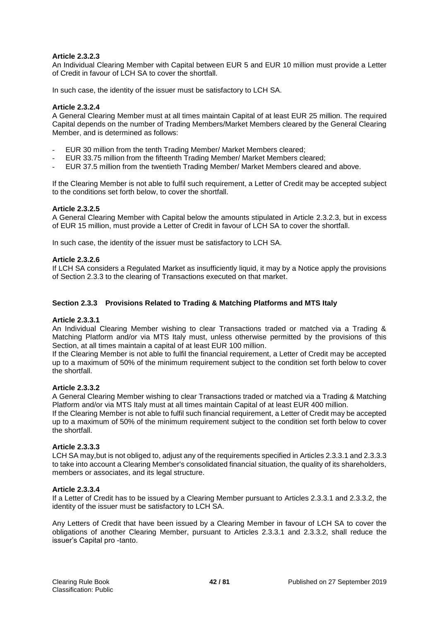# **Article 2.3.2.3**

An Individual Clearing Member with Capital between EUR 5 and EUR 10 million must provide a Letter of Credit in favour of LCH SA to cover the shortfall.

In such case, the identity of the issuer must be satisfactory to LCH SA.

# **Article 2.3.2.4**

A General Clearing Member must at all times maintain Capital of at least EUR 25 million. The required Capital depends on the number of Trading Members/Market Members cleared by the General Clearing Member, and is determined as follows:

- EUR 30 million from the tenth Trading Member/ Market Members cleared;
- EUR 33.75 million from the fifteenth Trading Member/ Market Members cleared;
- EUR 37.5 million from the twentieth Trading Member/ Market Members cleared and above.

If the Clearing Member is not able to fulfil such requirement, a Letter of Credit may be accepted subject to the conditions set forth below, to cover the shortfall.

# **Article 2.3.2.5**

A General Clearing Member with Capital below the amounts stipulated in Article 2.3.2.3, but in excess of EUR 15 million, must provide a Letter of Credit in favour of LCH SA to cover the shortfall.

In such case, the identity of the issuer must be satisfactory to LCH SA.

## **Article 2.3.2.6**

If LCH SA considers a Regulated Market as insufficiently liquid, it may by a Notice apply the provisions of Section 2.3.3 to the clearing of Transactions executed on that market.

## **Section 2.3.3 Provisions Related to Trading & Matching Platforms and MTS Italy**

#### **Article 2.3.3.1**

An Individual Clearing Member wishing to clear Transactions traded or matched via a Trading & Matching Platform and/or via MTS Italy must, unless otherwise permitted by the provisions of this Section, at all times maintain a capital of at least EUR 100 million.

If the Clearing Member is not able to fulfil the financial requirement, a Letter of Credit may be accepted up to a maximum of 50% of the minimum requirement subject to the condition set forth below to cover the shortfall.

#### **Article 2.3.3.2**

A General Clearing Member wishing to clear Transactions traded or matched via a Trading & Matching Platform and/or via MTS Italy must at all times maintain Capital of at least EUR 400 million.

If the Clearing Member is not able to fulfil such financial requirement, a Letter of Credit may be accepted up to a maximum of 50% of the minimum requirement subject to the condition set forth below to cover the shortfall.

# **Article 2.3.3.3**

LCH SA may,but is not obliged to, adjust any of the requirements specified in Articles 2.3.3.1 and 2.3.3.3 to take into account a Clearing Member's consolidated financial situation, the quality of its shareholders, members or associates, and its legal structure.

#### **Article 2.3.3.4**

If a Letter of Credit has to be issued by a Clearing Member pursuant to Articles 2.3.3.1 and 2.3.3.2, the identity of the issuer must be satisfactory to LCH SA.

Any Letters of Credit that have been issued by a Clearing Member in favour of LCH SA to cover the obligations of another Clearing Member, pursuant to Articles 2.3.3.1 and 2.3.3.2, shall reduce the issuer's Capital pro -tanto.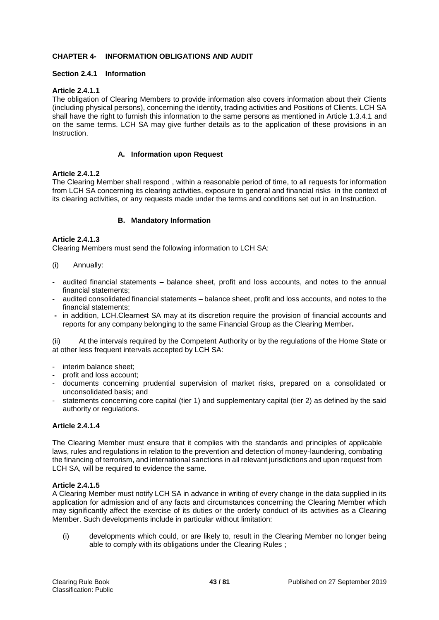# **CHAPTER 4- INFORMATION OBLIGATIONS AND AUDIT**

## **Section 2.4.1 Information**

## **Article 2.4.1.1**

The obligation of Clearing Members to provide information also covers information about their Clients (including physical persons), concerning the identity, trading activities and Positions of Clients. LCH SA shall have the right to furnish this information to the same persons as mentioned in Article 1.3.4.1 and on the same terms. LCH SA may give further details as to the application of these provisions in an Instruction.

## **A. Information upon Request**

## **Article 2.4.1.2**

The Clearing Member shall respond , within a reasonable period of time, to all requests for information from LCH SA concerning its clearing activities, exposure to general and financial risks in the context of its clearing activities, or any requests made under the terms and conditions set out in an Instruction.

## **B. Mandatory Information**

## **Article 2.4.1.3**

Clearing Members must send the following information to LCH SA:

- (i) Annually:
- audited financial statements balance sheet, profit and loss accounts, and notes to the annual financial statements;
- audited consolidated financial statements balance sheet, profit and loss accounts, and notes to the financial statements;
- **-** in addition, LCH.Clearnert SA may at its discretion require the provision of financial accounts and reports for any company belonging to the same Financial Group as the Clearing Member**.**

(ii) At the intervals required by the Competent Authority or by the regulations of the Home State or at other less frequent intervals accepted by LCH SA:

- interim balance sheet;
- profit and loss account;
- documents concerning prudential supervision of market risks, prepared on a consolidated or unconsolidated basis; and
- statements concerning core capital (tier 1) and supplementary capital (tier 2) as defined by the said authority or regulations.

# **Article 2.4.1.4**

The Clearing Member must ensure that it complies with the standards and principles of applicable laws, rules and regulations in relation to the prevention and detection of money-laundering, combating the financing of terrorism, and international sanctions in all relevant jurisdictions and upon request from LCH SA, will be required to evidence the same.

#### **Article 2.4.1.5**

A Clearing Member must notify LCH SA in advance in writing of every change in the data supplied in its application for admission and of any facts and circumstances concerning the Clearing Member which may significantly affect the exercise of its duties or the orderly conduct of its activities as a Clearing Member. Such developments include in particular without limitation:

(i) developments which could, or are likely to, result in the Clearing Member no longer being able to comply with its obligations under the Clearing Rules ;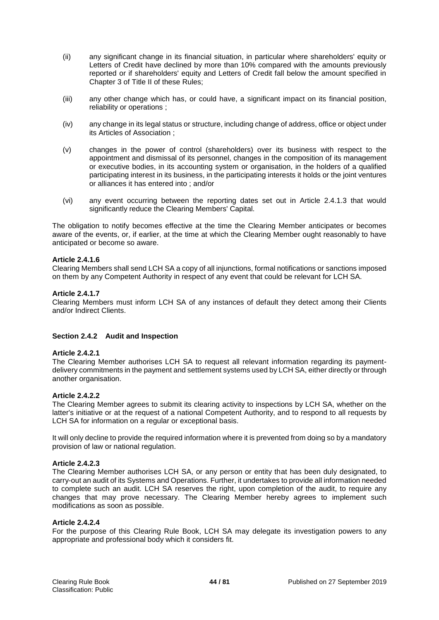- (ii) any significant change in its financial situation, in particular where shareholders' equity or Letters of Credit have declined by more than 10% compared with the amounts previously reported or if shareholders' equity and Letters of Credit fall below the amount specified in Chapter 3 of Title II of these Rules;
- (iii) any other change which has, or could have, a significant impact on its financial position, reliability or operations ;
- (iv) any change in its legal status or structure, including change of address, office or object under its Articles of Association ;
- (v) changes in the power of control (shareholders) over its business with respect to the appointment and dismissal of its personnel, changes in the composition of its management or executive bodies, in its accounting system or organisation, in the holders of a qualified participating interest in its business, in the participating interests it holds or the joint ventures or alliances it has entered into ; and/or
- (vi) any event occurring between the reporting dates set out in Article 2.4.1.3 that would significantly reduce the Clearing Members' Capital.

The obligation to notify becomes effective at the time the Clearing Member anticipates or becomes aware of the events, or, if earlier, at the time at which the Clearing Member ought reasonably to have anticipated or become so aware.

## **Article 2.4.1.6**

Clearing Members shall send LCH SA a copy of all injunctions, formal notifications or sanctions imposed on them by any Competent Authority in respect of any event that could be relevant for LCH SA.

## **Article 2.4.1.7**

Clearing Members must inform LCH SA of any instances of default they detect among their Clients and/or Indirect Clients.

## **Section 2.4.2 Audit and Inspection**

#### **Article 2.4.2.1**

The Clearing Member authorises LCH SA to request all relevant information regarding its paymentdelivery commitments in the payment and settlement systems used by LCH SA, either directly or through another organisation.

# **Article 2.4.2.2**

The Clearing Member agrees to submit its clearing activity to inspections by LCH SA, whether on the latter's initiative or at the request of a national Competent Authority, and to respond to all requests by LCH SA for information on a regular or exceptional basis.

It will only decline to provide the required information where it is prevented from doing so by a mandatory provision of law or national regulation.

#### **Article 2.4.2.3**

The Clearing Member authorises LCH SA, or any person or entity that has been duly designated, to carry-out an audit of its Systems and Operations. Further, it undertakes to provide all information needed to complete such an audit. LCH SA reserves the right, upon completion of the audit, to require any changes that may prove necessary. The Clearing Member hereby agrees to implement such modifications as soon as possible.

#### **Article 2.4.2.4**

For the purpose of this Clearing Rule Book, LCH SA may delegate its investigation powers to any appropriate and professional body which it considers fit.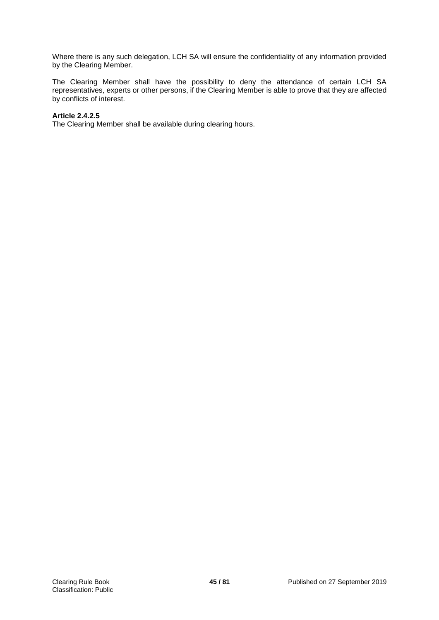Where there is any such delegation, LCH SA will ensure the confidentiality of any information provided by the Clearing Member.

The Clearing Member shall have the possibility to deny the attendance of certain LCH SA representatives, experts or other persons, if the Clearing Member is able to prove that they are affected by conflicts of interest.

## **Article 2.4.2.5**

The Clearing Member shall be available during clearing hours.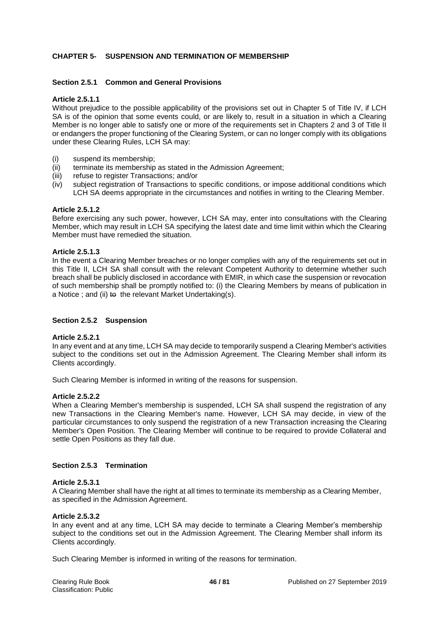# **CHAPTER 5- SUSPENSION AND TERMINATION OF MEMBERSHIP**

## **Section 2.5.1 Common and General Provisions**

#### **Article 2.5.1.1**

Without prejudice to the possible applicability of the provisions set out in Chapter 5 of Title IV, if LCH SA is of the opinion that some events could, or are likely to, result in a situation in which a Clearing Member is no longer able to satisfy one or more of the requirements set in Chapters 2 and 3 of Title II or endangers the proper functioning of the Clearing System, or can no longer comply with its obligations under these Clearing Rules, LCH SA may:

- (i) suspend its membership;
- (ii) terminate its membership as stated in the Admission Agreement;
- (iii) refuse to register Transactions; and/or
- (iv) subject registration of Transactions to specific conditions, or impose additional conditions which LCH SA deems appropriate in the circumstances and notifies in writing to the Clearing Member.

#### **Article 2.5.1.2**

Before exercising any such power, however, LCH SA may, enter into consultations with the Clearing Member, which may result in LCH SA specifying the latest date and time limit within which the Clearing Member must have remedied the situation.

#### **Article 2.5.1.3**

In the event a Clearing Member breaches or no longer complies with any of the requirements set out in this Title II, LCH SA shall consult with the relevant Competent Authority to determine whether such breach shall be publicly disclosed in accordance with EMIR, in which case the suspension or revocation of such membership shall be promptly notified to: (i) the Clearing Members by means of publication in a Notice ; and (ii) to the relevant Market Undertaking(s).

#### **Section 2.5.2 Suspension**

#### **Article 2.5.2.1**

In any event and at any time, LCH SA may decide to temporarily suspend a Clearing Member's activities subject to the conditions set out in the Admission Agreement. The Clearing Member shall inform its Clients accordingly.

Such Clearing Member is informed in writing of the reasons for suspension.

#### **Article 2.5.2.2**

When a Clearing Member's membership is suspended, LCH SA shall suspend the registration of any new Transactions in the Clearing Member's name. However, LCH SA may decide, in view of the particular circumstances to only suspend the registration of a new Transaction increasing the Clearing Member's Open Position. The Clearing Member will continue to be required to provide Collateral and settle Open Positions as they fall due.

## **Section 2.5.3 Termination**

#### **Article 2.5.3.1**

A Clearing Member shall have the right at all times to terminate its membership as a Clearing Member, as specified in the Admission Agreement.

#### **Article 2.5.3.2**

In any event and at any time, LCH SA may decide to terminate a Clearing Member's membership subject to the conditions set out in the Admission Agreement. The Clearing Member shall inform its Clients accordingly.

Such Clearing Member is informed in writing of the reasons for termination.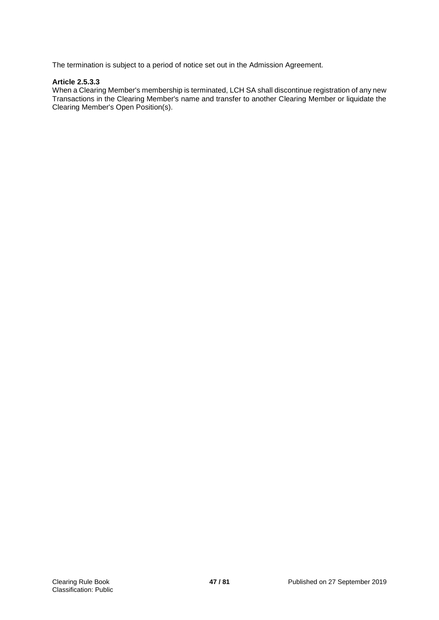The termination is subject to a period of notice set out in the Admission Agreement.

# **Article 2.5.3.3**

When a Clearing Member's membership is terminated, LCH SA shall discontinue registration of any new Transactions in the Clearing Member's name and transfer to another Clearing Member or liquidate the Clearing Member's Open Position(s).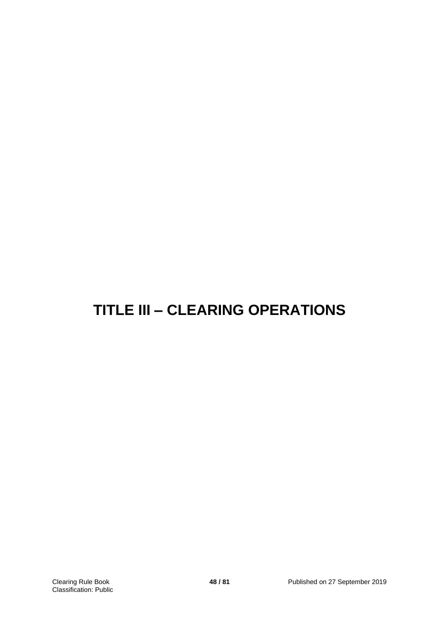# **TITLE III – CLEARING OPERATIONS**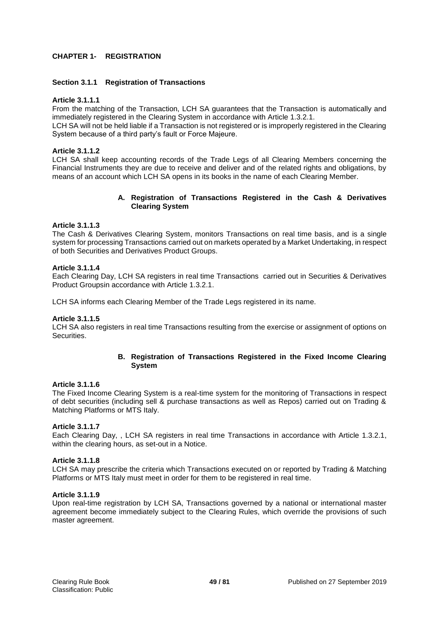## **CHAPTER 1- REGISTRATION**

## **Section 3.1.1 Registration of Transactions**

#### **Article 3.1.1.1**

From the matching of the Transaction, LCH SA guarantees that the Transaction is automatically and immediately registered in the Clearing System in accordance with Article 1.3.2.1.

LCH SA will not be held liable if a Transaction is not registered or is improperly registered in the Clearing System because of a third party's fault or Force Majeure.

#### **Article 3.1.1.2**

LCH SA shall keep accounting records of the Trade Legs of all Clearing Members concerning the Financial Instruments they are due to receive and deliver and of the related rights and obligations, by means of an account which LCH SA opens in its books in the name of each Clearing Member.

## **A. Registration of Transactions Registered in the Cash & Derivatives Clearing System**

## **Article 3.1.1.3**

The Cash & Derivatives Clearing System, monitors Transactions on real time basis, and is a single system for processing Transactions carried out on markets operated by a Market Undertaking, in respect of both Securities and Derivatives Product Groups.

#### **Article 3.1.1.4**

Each Clearing Day, LCH SA registers in real time Transactions carried out in Securities & Derivatives Product Groupsin accordance with Article 1.3.2.1.

LCH SA informs each Clearing Member of the Trade Legs registered in its name.

#### **Article 3.1.1.5**

LCH SA also registers in real time Transactions resulting from the exercise or assignment of options on Securities.

## **B. Registration of Transactions Registered in the Fixed Income Clearing System**

#### **Article 3.1.1.6**

The Fixed Income Clearing System is a real-time system for the monitoring of Transactions in respect of debt securities (including sell & purchase transactions as well as Repos) carried out on Trading & Matching Platforms or MTS Italy.

#### **Article 3.1.1.7**

Each Clearing Day, , LCH SA registers in real time Transactions in accordance with Article 1.3.2.1, within the clearing hours, as set-out in a Notice.

#### **Article 3.1.1.8**

LCH SA may prescribe the criteria which Transactions executed on or reported by Trading & Matching Platforms or MTS Italy must meet in order for them to be registered in real time.

#### **Article 3.1.1.9**

Upon real-time registration by LCH SA, Transactions governed by a national or international master agreement become immediately subject to the Clearing Rules, which override the provisions of such master agreement.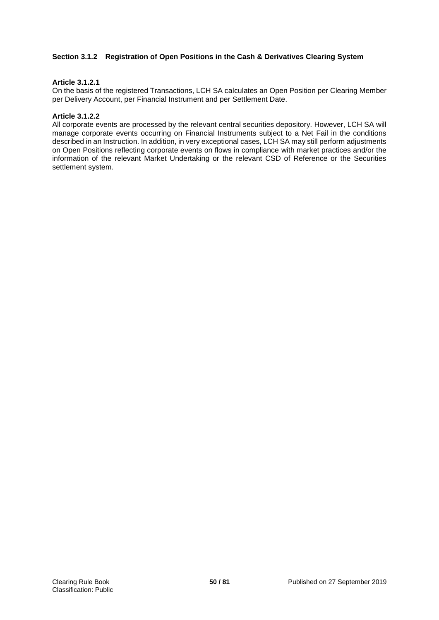# **Section 3.1.2 Registration of Open Positions in the Cash & Derivatives Clearing System**

## **Article 3.1.2.1**

On the basis of the registered Transactions, LCH SA calculates an Open Position per Clearing Member per Delivery Account, per Financial Instrument and per Settlement Date.

#### **Article 3.1.2.2**

All corporate events are processed by the relevant central securities depository. However, LCH SA will manage corporate events occurring on Financial Instruments subject to a Net Fail in the conditions described in an Instruction. In addition, in very exceptional cases, LCH SA may still perform adjustments on Open Positions reflecting corporate events on flows in compliance with market practices and/or the information of the relevant Market Undertaking or the relevant CSD of Reference or the Securities settlement system.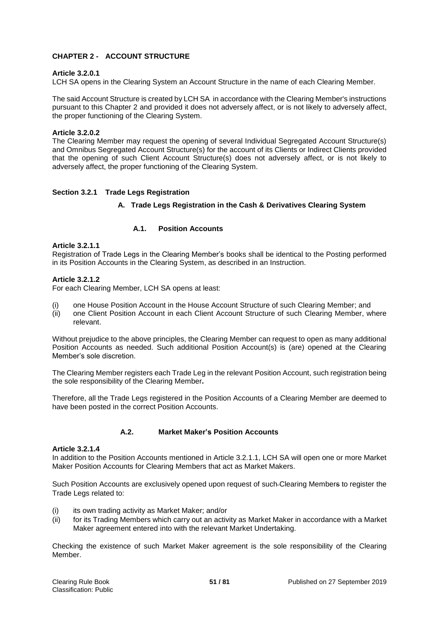# **CHAPTER 2 - ACCOUNT STRUCTURE**

## **Article 3.2.0.1**

LCH SA opens in the Clearing System an Account Structure in the name of each Clearing Member.

The said Account Structure is created by LCH SA in accordance with the Clearing Member's instructions pursuant to this Chapter 2 and provided it does not adversely affect, or is not likely to adversely affect, the proper functioning of the Clearing System.

## **Article 3.2.0.2**

The Clearing Member may request the opening of several Individual Segregated Account Structure(s) and Omnibus Segregated Account Structure(s) for the account of its Clients or Indirect Clients provided that the opening of such Client Account Structure(s) does not adversely affect, or is not likely to adversely affect, the proper functioning of the Clearing System.

# **Section 3.2.1 Trade Legs Registration**

## **A. Trade Legs Registration in the Cash & Derivatives Clearing System**

# **A.1. Position Accounts**

## **Article 3.2.1.1**

Registration of Trade Legs in the Clearing Member's books shall be identical to the Posting performed in its Position Accounts in the Clearing System, as described in an Instruction.

## **Article 3.2.1.2**

For each Clearing Member, LCH SA opens at least:

- (i) one House Position Account in the House Account Structure of such Clearing Member; and
- (ii) one Client Position Account in each Client Account Structure of such Clearing Member, where relevant.

Without prejudice to the above principles, the Clearing Member can request to open as many additional Position Accounts as needed. Such additional Position Account(s) is (are) opened at the Clearing Member's sole discretion.

The Clearing Member registers each Trade Leg in the relevant Position Account, such registration being the sole responsibility of the Clearing Member**.**

Therefore, all the Trade Legs registered in the Position Accounts of a Clearing Member are deemed to have been posted in the correct Position Accounts.

#### **A.2. Market Maker's Position Accounts**

#### **Article 3.2.1.4**

In addition to the Position Accounts mentioned in Article 3.2.1.1, LCH SA will open one or more Market Maker Position Accounts for Clearing Members that act as Market Makers.

Such Position Accounts are exclusively opened upon request of such Clearing Members to register the Trade Legs related to:

- (i) its own trading activity as Market Maker; and/or
- (ii) for its Trading Members which carry out an activity as Market Maker in accordance with a Market Maker agreement entered into with the relevant Market Undertaking.

Checking the existence of such Market Maker agreement is the sole responsibility of the Clearing Member.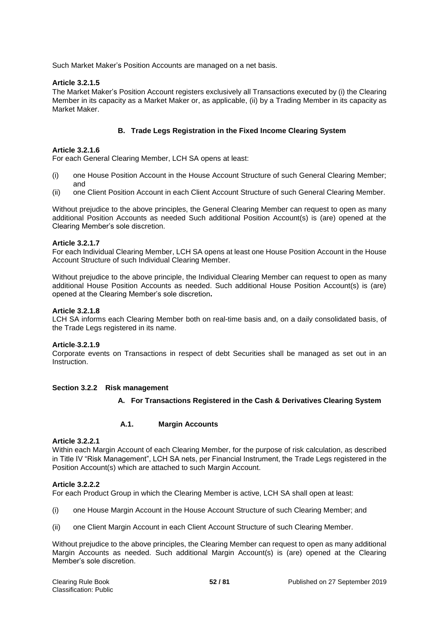Such Market Maker's Position Accounts are managed on a net basis.

# **Article 3.2.1.5**

The Market Maker's Position Account registers exclusively all Transactions executed by (i) the Clearing Member in its capacity as a Market Maker or, as applicable, (ii) by a Trading Member in its capacity as Market Maker.

# **B. Trade Legs Registration in the Fixed Income Clearing System**

# **Article 3.2.1.6**

For each General Clearing Member, LCH SA opens at least:

- (i) one House Position Account in the House Account Structure of such General Clearing Member; and
- (ii) one Client Position Account in each Client Account Structure of such General Clearing Member.

Without prejudice to the above principles, the General Clearing Member can request to open as many additional Position Accounts as needed Such additional Position Account(s) is (are) opened at the Clearing Member's sole discretion.

# **Article 3.2.1.7**

For each Individual Clearing Member, LCH SA opens at least one House Position Account in the House Account Structure of such Individual Clearing Member.

Without prejudice to the above principle, the Individual Clearing Member can request to open as many additional House Position Accounts as needed. Such additional House Position Account(s) is (are) opened at the Clearing Member's sole discretion**.**

## **Article 3.2.1.8**

LCH SA informs each Clearing Member both on real-time basis and, on a daily consolidated basis, of the Trade Legs registered in its name.

# **Article 3.2.1.9**

Corporate events on Transactions in respect of debt Securities shall be managed as set out in an **Instruction** 

# **Section 3.2.2 Risk management**

# **A. For Transactions Registered in the Cash & Derivatives Clearing System**

# **A.1. Margin Accounts**

## **Article 3.2.2.1**

Within each Margin Account of each Clearing Member, for the purpose of risk calculation, as described in Title IV "Risk Management", LCH SA nets, per Financial Instrument, the Trade Legs registered in the Position Account(s) which are attached to such Margin Account.

#### **Article 3.2.2.2**

For each Product Group in which the Clearing Member is active, LCH SA shall open at least:

- (i) one House Margin Account in the House Account Structure of such Clearing Member; and
- (ii) one Client Margin Account in each Client Account Structure of such Clearing Member.

Without prejudice to the above principles, the Clearing Member can request to open as many additional Margin Accounts as needed. Such additional Margin Account(s) is (are) opened at the Clearing Member's sole discretion.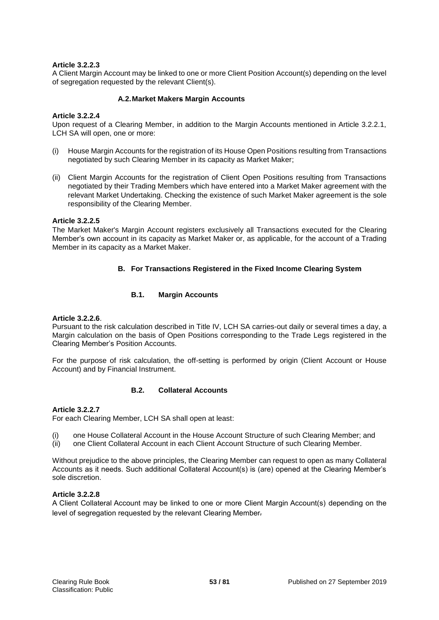# **Article 3.2.2.3**

A Client Margin Account may be linked to one or more Client Position Account(s) depending on the level of segregation requested by the relevant Client(s).

# **A.2.Market Makers Margin Accounts**

# **Article 3.2.2.4**

Upon request of a Clearing Member, in addition to the Margin Accounts mentioned in Article 3.2.2.1, LCH SA will open, one or more:

- (i) House Margin Accounts for the registration of its House Open Positions resulting from Transactions negotiated by such Clearing Member in its capacity as Market Maker;
- (ii) Client Margin Accounts for the registration of Client Open Positions resulting from Transactions negotiated by their Trading Members which have entered into a Market Maker agreement with the relevant Market Undertaking. Checking the existence of such Market Maker agreement is the sole responsibility of the Clearing Member.

## **Article 3.2.2.5**

The Market Maker's Margin Account registers exclusively all Transactions executed for the Clearing Member's own account in its capacity as Market Maker or, as applicable, for the account of a Trading Member in its capacity as a Market Maker.

# **B. For Transactions Registered in the Fixed Income Clearing System**

# **B.1. Margin Accounts**

# **Article 3.2.2.6**.

Pursuant to the risk calculation described in Title IV, LCH SA carries-out daily or several times a day, a Margin calculation on the basis of Open Positions corresponding to the Trade Legs registered in the Clearing Member's Position Accounts.

For the purpose of risk calculation, the off-setting is performed by origin (Client Account or House Account) and by Financial Instrument.

# **B.2. Collateral Accounts**

# **Article 3.2.2.7**

For each Clearing Member, LCH SA shall open at least:

- (i) one House Collateral Account in the House Account Structure of such Clearing Member; and
- (ii) one Client Collateral Account in each Client Account Structure of such Clearing Member.

Without prejudice to the above principles, the Clearing Member can request to open as many Collateral Accounts as it needs. Such additional Collateral Account(s) is (are) opened at the Clearing Member's sole discretion.

#### **Article 3.2.2.8**

A Client Collateral Account may be linked to one or more Client Margin Account(s) depending on the level of segregation requested by the relevant Clearing Member.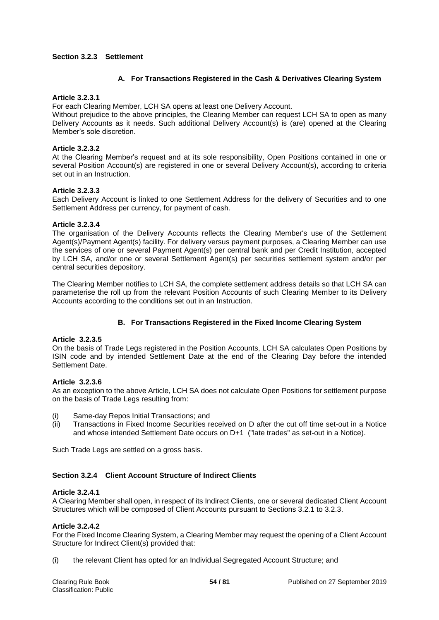# **Section 3.2.3 Settlement**

# **A. For Transactions Registered in the Cash & Derivatives Clearing System**

#### **Article 3.2.3.1**

For each Clearing Member, LCH SA opens at least one Delivery Account.

Without prejudice to the above principles, the Clearing Member can request LCH SA to open as many Delivery Accounts as it needs. Such additional Delivery Account(s) is (are) opened at the Clearing Member's sole discretion.

#### **Article 3.2.3.2**

At the Clearing Member's request and at its sole responsibility, Open Positions contained in one or several Position Account(s) are registered in one or several Delivery Account(s), according to criteria set out in an Instruction.

## **Article 3.2.3.3**

Each Delivery Account is linked to one Settlement Address for the delivery of Securities and to one Settlement Address per currency, for payment of cash.

## **Article 3.2.3.4**

The organisation of the Delivery Accounts reflects the Clearing Member's use of the Settlement Agent(s)/Payment Agent(s) facility. For delivery versus payment purposes, a Clearing Member can use the services of one or several Payment Agent(s) per central bank and per Credit Institution, accepted by LCH SA, and/or one or several Settlement Agent(s) per securities settlement system and/or per central securities depository.

The Clearing Member notifies to LCH SA, the complete settlement address details so that LCH SA can parameterise the roll up from the relevant Position Accounts of such Clearing Member to its Delivery Accounts according to the conditions set out in an Instruction.

# **B. For Transactions Registered in the Fixed Income Clearing System**

#### **Article 3.2.3.5**

On the basis of Trade Legs registered in the Position Accounts, LCH SA calculates Open Positions by ISIN code and by intended Settlement Date at the end of the Clearing Day before the intended Settlement Date.

# **Article 3.2.3.6**

As an exception to the above Article, LCH SA does not calculate Open Positions for settlement purpose on the basis of Trade Legs resulting from:

- (i) Same-day Repos Initial Transactions; and
- (ii) Transactions in Fixed Income Securities received on D after the cut off time set-out in a Notice and whose intended Settlement Date occurs on D+1 ("late trades" as set-out in a Notice).

Such Trade Legs are settled on a gross basis.

# **Section 3.2.4 Client Account Structure of Indirect Clients**

# **Article 3.2.4.1**

A Clearing Member shall open, in respect of its Indirect Clients, one or several dedicated Client Account Structures which will be composed of Client Accounts pursuant to Sections 3.2.1 to 3.2.3.

#### **Article 3.2.4.2**

For the Fixed Income Clearing System, a Clearing Member may request the opening of a Client Account Structure for Indirect Client(s) provided that:

(i) the relevant Client has opted for an Individual Segregated Account Structure; and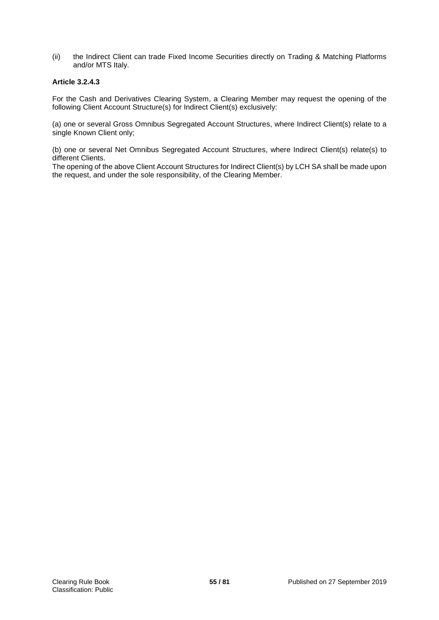(ii) the Indirect Client can trade Fixed Income Securities directly on Trading & Matching Platforms and/or MTS Italy.

# **Article 3.2.4.3**

For the Cash and Derivatives Clearing System, a Clearing Member may request the opening of the following Client Account Structure(s) for Indirect Client(s) exclusively:

(a) one or several Gross Omnibus Segregated Account Structures, where Indirect Client(s) relate to a single Known Client only;

(b) one or several Net Omnibus Segregated Account Structures, where Indirect Client(s) relate(s) to different Clients.

The opening of the above Client Account Structures for Indirect Client(s) by LCH SA shall be made upon the request, and under the sole responsibility, of the Clearing Member.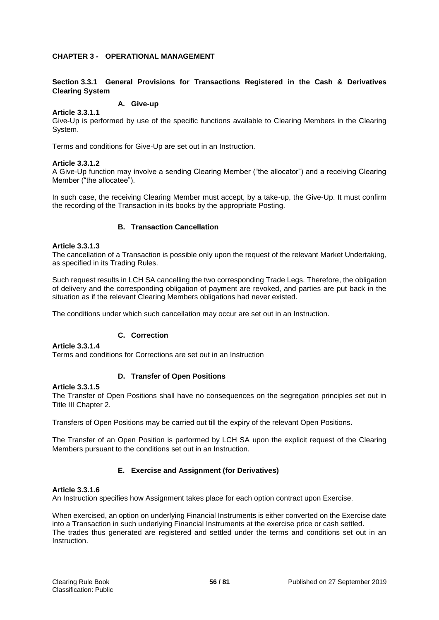# **CHAPTER 3 - OPERATIONAL MANAGEMENT**

# **Section 3.3.1 General Provisions for Transactions Registered in the Cash & Derivatives Clearing System**

# **A. Give-up**

Give-Up is performed by use of the specific functions available to Clearing Members in the Clearing System.

Terms and conditions for Give-Up are set out in an Instruction.

## **Article 3.3.1.2**

**Article 3.3.1.1**

A Give-Up function may involve a sending Clearing Member ("the allocator") and a receiving Clearing Member ("the allocatee").

In such case, the receiving Clearing Member must accept, by a take-up, the Give-Up. It must confirm the recording of the Transaction in its books by the appropriate Posting.

## **B. Transaction Cancellation**

## **Article 3.3.1.3**

The cancellation of a Transaction is possible only upon the request of the relevant Market Undertaking, as specified in its Trading Rules.

Such request results in LCH SA cancelling the two corresponding Trade Legs. Therefore, the obligation of delivery and the corresponding obligation of payment are revoked, and parties are put back in the situation as if the relevant Clearing Members obligations had never existed.

The conditions under which such cancellation may occur are set out in an Instruction.

# **C. Correction**

**Article 3.3.1.4**

Terms and conditions for Corrections are set out in an Instruction

#### **D. Transfer of Open Positions**

#### **Article 3.3.1.5**

The Transfer of Open Positions shall have no consequences on the segregation principles set out in Title III Chapter 2.

Transfers of Open Positions may be carried out till the expiry of the relevant Open Positions**.**

The Transfer of an Open Position is performed by LCH SA upon the explicit request of the Clearing Members pursuant to the conditions set out in an Instruction.

# **E. Exercise and Assignment (for Derivatives)**

#### **Article 3.3.1.6**

An Instruction specifies how Assignment takes place for each option contract upon Exercise.

When exercised, an option on underlying Financial Instruments is either converted on the Exercise date into a Transaction in such underlying Financial Instruments at the exercise price or cash settled. The trades thus generated are registered and settled under the terms and conditions set out in an **Instruction**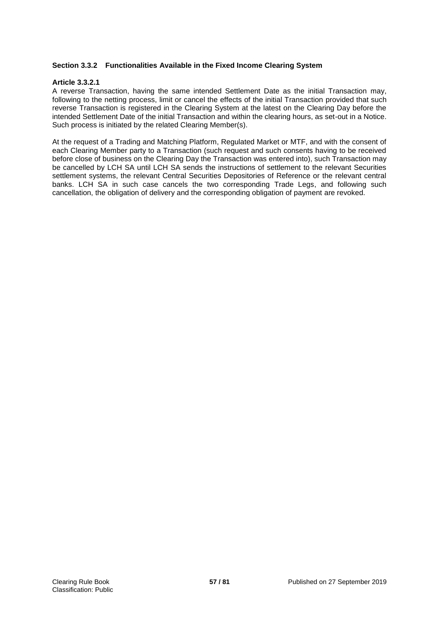# **Section 3.3.2 Functionalities Available in the Fixed Income Clearing System**

# **Article 3.3.2.1**

A reverse Transaction, having the same intended Settlement Date as the initial Transaction may, following to the netting process, limit or cancel the effects of the initial Transaction provided that such reverse Transaction is registered in the Clearing System at the latest on the Clearing Day before the intended Settlement Date of the initial Transaction and within the clearing hours, as set-out in a Notice. Such process is initiated by the related Clearing Member(s).

At the request of a Trading and Matching Platform, Regulated Market or MTF, and with the consent of each Clearing Member party to a Transaction (such request and such consents having to be received before close of business on the Clearing Day the Transaction was entered into), such Transaction may be cancelled by LCH SA until LCH SA sends the instructions of settlement to the relevant Securities settlement systems, the relevant Central Securities Depositories of Reference or the relevant central banks. LCH SA in such case cancels the two corresponding Trade Legs, and following such cancellation, the obligation of delivery and the corresponding obligation of payment are revoked.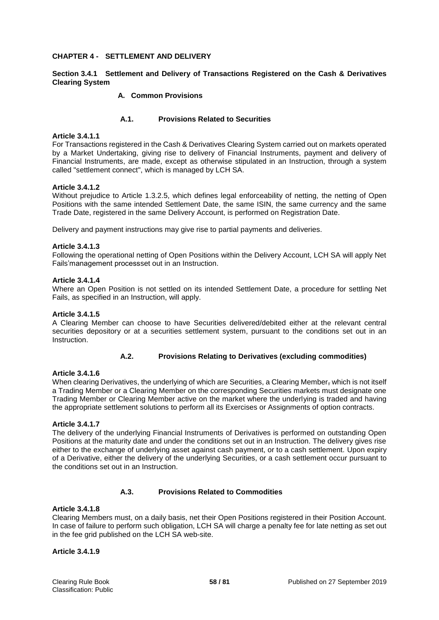## **CHAPTER 4 - SETTLEMENT AND DELIVERY**

# **Section 3.4.1 Settlement and Delivery of Transactions Registered on the Cash & Derivatives Clearing System**

# **A. Common Provisions**

# **A.1. Provisions Related to Securities**

#### **Article 3.4.1.1**

For Transactions registered in the Cash & Derivatives Clearing System carried out on markets operated by a Market Undertaking, giving rise to delivery of Financial Instruments, payment and delivery of Financial Instruments, are made, except as otherwise stipulated in an Instruction, through a system called "settlement connect", which is managed by LCH SA.

## **Article 3.4.1.2**

Without prejudice to Article 1.3.2.5, which defines legal enforceability of netting, the netting of Open Positions with the same intended Settlement Date, the same ISIN, the same currency and the same Trade Date, registered in the same Delivery Account, is performed on Registration Date.

Delivery and payment instructions may give rise to partial payments and deliveries.

## **Article 3.4.1.3**

Following the operational netting of Open Positions within the Delivery Account, LCH SA will apply Net Fails'management processset out in an Instruction.

## **Article 3.4.1.4**

Where an Open Position is not settled on its intended Settlement Date, a procedure for settling Net Fails, as specified in an Instruction, will apply.

#### **Article 3.4.1.5**

A Clearing Member can choose to have Securities delivered/debited either at the relevant central securities depository or at a securities settlement system, pursuant to the conditions set out in an **Instruction** 

# **A.2. Provisions Relating to Derivatives (excluding commodities)**

#### **Article 3.4.1.6**

When clearing Derivatives, the underlying of which are Securities, a Clearing Member, which is not itself a Trading Member or a Clearing Member on the corresponding Securities markets must designate one Trading Member or Clearing Member active on the market where the underlying is traded and having the appropriate settlement solutions to perform all its Exercises or Assignments of option contracts.

#### **Article 3.4.1.7**

The delivery of the underlying Financial Instruments of Derivatives is performed on outstanding Open Positions at the maturity date and under the conditions set out in an Instruction. The delivery gives rise either to the exchange of underlying asset against cash payment, or to a cash settlement. Upon expiry of a Derivative, either the delivery of the underlying Securities, or a cash settlement occur pursuant to the conditions set out in an Instruction.

#### **A.3. Provisions Related to Commodities**

## **Article 3.4.1.8**

Clearing Members must, on a daily basis, net their Open Positions registered in their Position Account. In case of failure to perform such obligation, LCH SA will charge a penalty fee for late netting as set out in the fee grid published on the LCH SA web-site.

#### **Article 3.4.1.9**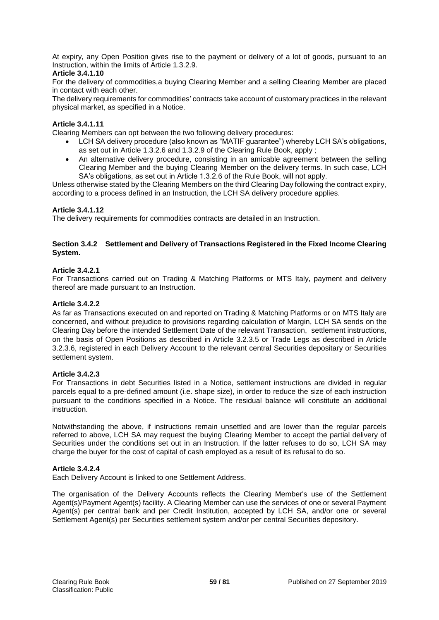At expiry, any Open Position gives rise to the payment or delivery of a lot of goods, pursuant to an Instruction, within the limits of Article 1.3.2.9.

# **Article 3.4.1.10**

For the delivery of commodities,a buying Clearing Member and a selling Clearing Member are placed in contact with each other.

The delivery requirements for commodities' contracts take account of customary practices in the relevant physical market, as specified in a Notice.

## **Article 3.4.1.11**

Clearing Members can opt between the two following delivery procedures:

- LCH SA delivery procedure (also known as "MATIF guarantee") whereby LCH SA's obligations, as set out in Article 1.3.2.6 and 1.3.2.9 of the Clearing Rule Book, apply ;
- An alternative delivery procedure, consisting in an amicable agreement between the selling Clearing Member and the buying Clearing Member on the delivery terms. In such case, LCH SA's obligations, as set out in Article 1.3.2.6 of the Rule Book, will not apply.

Unless otherwise stated by the Clearing Members on the third Clearing Day following the contract expiry, according to a process defined in an Instruction, the LCH SA delivery procedure applies.

## **Article 3.4.1.12**

The delivery requirements for commodities contracts are detailed in an Instruction.

# **Section 3.4.2 Settlement and Delivery of Transactions Registered in the Fixed Income Clearing System.**

## **Article 3.4.2.1**

For Transactions carried out on Trading & Matching Platforms or MTS Italy, payment and delivery thereof are made pursuant to an Instruction.

## **Article 3.4.2.2**

As far as Transactions executed on and reported on Trading & Matching Platforms or on MTS Italy are concerned, and without prejudice to provisions regarding calculation of Margin, LCH SA sends on the Clearing Day before the intended Settlement Date of the relevant Transaction, settlement instructions, on the basis of Open Positions as described in Article 3.2.3.5 or Trade Legs as described in Article 3.2.3.6, registered in each Delivery Account to the relevant central Securities depositary or Securities settlement system.

#### **Article 3.4.2.3**

For Transactions in debt Securities listed in a Notice, settlement instructions are divided in regular parcels equal to a pre-defined amount (i.e. shape size), in order to reduce the size of each instruction pursuant to the conditions specified in a Notice. The residual balance will constitute an additional instruction.

Notwithstanding the above, if instructions remain unsettled and are lower than the regular parcels referred to above, LCH SA may request the buying Clearing Member to accept the partial delivery of Securities under the conditions set out in an Instruction. If the latter refuses to do so, LCH SA may charge the buyer for the cost of capital of cash employed as a result of its refusal to do so.

#### **Article 3.4.2.4**

Each Delivery Account is linked to one Settlement Address.

The organisation of the Delivery Accounts reflects the Clearing Member's use of the Settlement Agent(s)/Payment Agent(s) facility. A Clearing Member can use the services of one or several Payment Agent(s) per central bank and per Credit Institution, accepted by LCH SA, and/or one or several Settlement Agent(s) per Securities settlement system and/or per central Securities depository.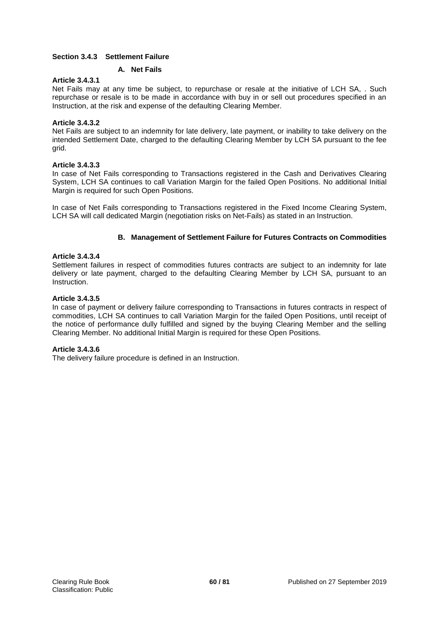# **Section 3.4.3 Settlement Failure**

# **A. Net Fails**

# **Article 3.4.3.1**

Net Fails may at any time be subject, to repurchase or resale at the initiative of LCH SA, . Such repurchase or resale is to be made in accordance with buy in or sell out procedures specified in an Instruction, at the risk and expense of the defaulting Clearing Member.

# **Article 3.4.3.2**

Net Fails are subject to an indemnity for late delivery, late payment, or inability to take delivery on the intended Settlement Date, charged to the defaulting Clearing Member by LCH SA pursuant to the fee grid.

# **Article 3.4.3.3**

In case of Net Fails corresponding to Transactions registered in the Cash and Derivatives Clearing System, LCH SA continues to call Variation Margin for the failed Open Positions. No additional Initial Margin is required for such Open Positions.

In case of Net Fails corresponding to Transactions registered in the Fixed Income Clearing System, LCH SA will call dedicated Margin (negotiation risks on Net-Fails) as stated in an Instruction.

# **B. Management of Settlement Failure for Futures Contracts on Commodities**

# **Article 3.4.3.4**

Settlement failures in respect of commodities futures contracts are subject to an indemnity for late delivery or late payment, charged to the defaulting Clearing Member by LCH SA, pursuant to an Instruction.

# **Article 3.4.3.5**

In case of payment or delivery failure corresponding to Transactions in futures contracts in respect of commodities, LCH SA continues to call Variation Margin for the failed Open Positions, until receipt of the notice of performance dully fulfilled and signed by the buying Clearing Member and the selling Clearing Member. No additional Initial Margin is required for these Open Positions.

# **Article 3.4.3.6**

The delivery failure procedure is defined in an Instruction.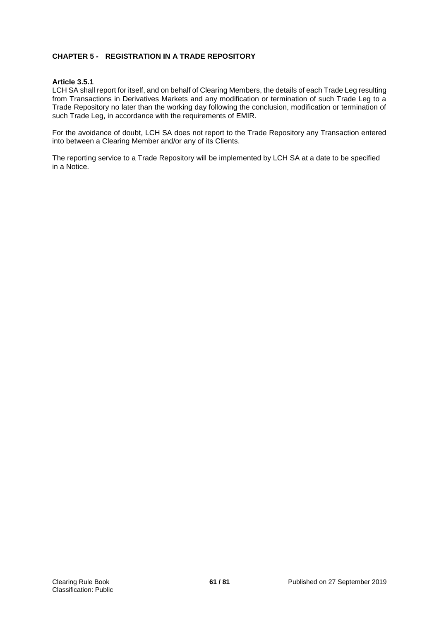# **CHAPTER 5 - REGISTRATION IN A TRADE REPOSITORY**

## **Article 3.5.1**

LCH SA shall report for itself, and on behalf of Clearing Members, the details of each Trade Leg resulting from Transactions in Derivatives Markets and any modification or termination of such Trade Leg to a Trade Repository no later than the working day following the conclusion, modification or termination of such Trade Leg, in accordance with the requirements of EMIR.

For the avoidance of doubt, LCH SA does not report to the Trade Repository any Transaction entered into between a Clearing Member and/or any of its Clients.

The reporting service to a Trade Repository will be implemented by LCH SA at a date to be specified in a Notice.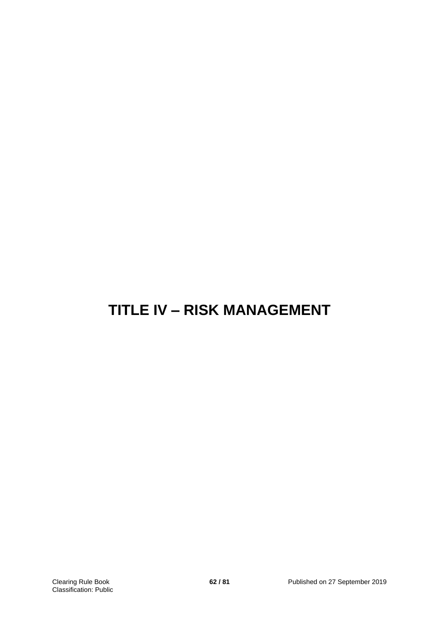# **TITLE IV – RISK MANAGEMENT**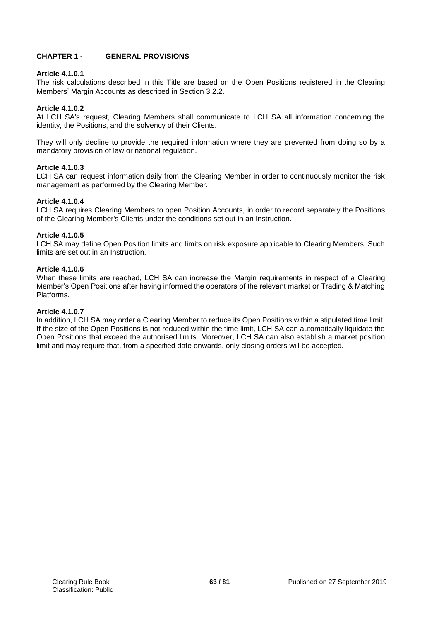# **CHAPTER 1 - GENERAL PROVISIONS**

# **Article 4.1.0.1**

The risk calculations described in this Title are based on the Open Positions registered in the Clearing Members' Margin Accounts as described in Section 3.2.2.

# **Article 4.1.0.2**

At LCH SA's request, Clearing Members shall communicate to LCH SA all information concerning the identity, the Positions, and the solvency of their Clients.

They will only decline to provide the required information where they are prevented from doing so by a mandatory provision of law or national regulation.

# **Article 4.1.0.3**

LCH SA can request information daily from the Clearing Member in order to continuously monitor the risk management as performed by the Clearing Member.

# **Article 4.1.0.4**

LCH SA requires Clearing Members to open Position Accounts, in order to record separately the Positions of the Clearing Member's Clients under the conditions set out in an Instruction.

# **Article 4.1.0.5**

LCH SA may define Open Position limits and limits on risk exposure applicable to Clearing Members. Such limits are set out in an Instruction.

# **Article 4.1.0.6**

When these limits are reached, LCH SA can increase the Margin requirements in respect of a Clearing Member's Open Positions after having informed the operators of the relevant market or Trading & Matching Platforms.

## **Article 4.1.0.7**

In addition, LCH SA may order a Clearing Member to reduce its Open Positions within a stipulated time limit. If the size of the Open Positions is not reduced within the time limit, LCH SA can automatically liquidate the Open Positions that exceed the authorised limits. Moreover, LCH SA can also establish a market position limit and may require that, from a specified date onwards, only closing orders will be accepted.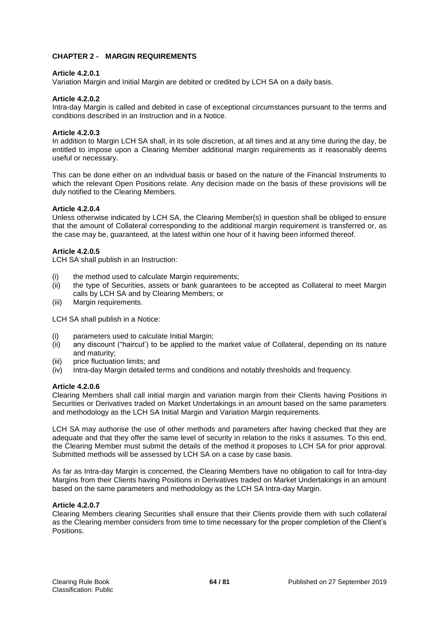# **CHAPTER 2 - MARGIN REQUIREMENTS**

## **Article 4.2.0.1**

Variation Margin and Initial Margin are debited or credited by LCH SA on a daily basis.

## **Article 4.2.0.2**

Intra-day Margin is called and debited in case of exceptional circumstances pursuant to the terms and conditions described in an Instruction and in a Notice.

## **Article 4.2.0.3**

In addition to Margin LCH SA shall, in its sole discretion, at all times and at any time during the day, be entitled to impose upon a Clearing Member additional margin requirements as it reasonably deems useful or necessary.

This can be done either on an individual basis or based on the nature of the Financial Instruments to which the relevant Open Positions relate. Any decision made on the basis of these provisions will be duly notified to the Clearing Members.

## **Article 4.2.0.4**

Unless otherwise indicated by LCH SA, the Clearing Member(s) in question shall be obliged to ensure that the amount of Collateral corresponding to the additional margin requirement is transferred or, as the case may be, guaranteed, at the latest within one hour of it having been informed thereof.

## **Article 4.2.0.5**

LCH SA shall publish in an Instruction:

- (i) the method used to calculate Margin requirements;
- (ii) the type of Securities, assets or bank guarantees to be accepted as Collateral to meet Margin calls by LCH SA and by Clearing Members; or
- (iii) Margin requirements.

LCH SA shall publish in a Notice:

- (i) parameters used to calculate Initial Margin;
- (ii) any discount ("haircut') to be applied to the market value of Collateral, depending on its nature and maturity;
- (iii) price fluctuation limits; and
- (iv) Intra-day Margin detailed terms and conditions and notably thresholds and frequency.

#### **Article 4.2.0.6**

Clearing Members shall call initial margin and variation margin from their Clients having Positions in Securities or Derivatives traded on Market Undertakings in an amount based on the same parameters and methodology as the LCH SA Initial Margin and Variation Margin requirements.

LCH SA may authorise the use of other methods and parameters after having checked that they are adequate and that they offer the same level of security in relation to the risks it assumes. To this end, the Clearing Member must submit the details of the method it proposes to LCH SA for prior approval. Submitted methods will be assessed by LCH SA on a case by case basis.

As far as Intra-day Margin is concerned, the Clearing Members have no obligation to call for Intra-day Margins from their Clients having Positions in Derivatives traded on Market Undertakings in an amount based on the same parameters and methodology as the LCH SA Intra-day Margin.

# **Article 4.2.0.7**

Clearing Members clearing Securities shall ensure that their Clients provide them with such collateral as the Clearing member considers from time to time necessary for the proper completion of the Client's **Positions**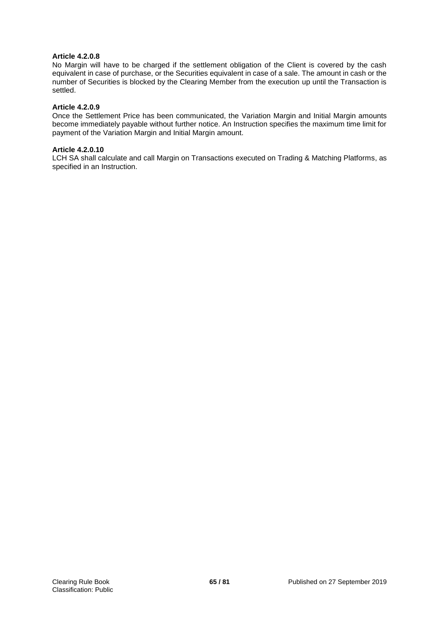# **Article 4.2.0.8**

No Margin will have to be charged if the settlement obligation of the Client is covered by the cash equivalent in case of purchase, or the Securities equivalent in case of a sale. The amount in cash or the number of Securities is blocked by the Clearing Member from the execution up until the Transaction is settled.

## **Article 4.2.0.9**

Once the Settlement Price has been communicated, the Variation Margin and Initial Margin amounts become immediately payable without further notice. An Instruction specifies the maximum time limit for payment of the Variation Margin and Initial Margin amount.

## **Article 4.2.0.10**

LCH SA shall calculate and call Margin on Transactions executed on Trading & Matching Platforms, as specified in an Instruction.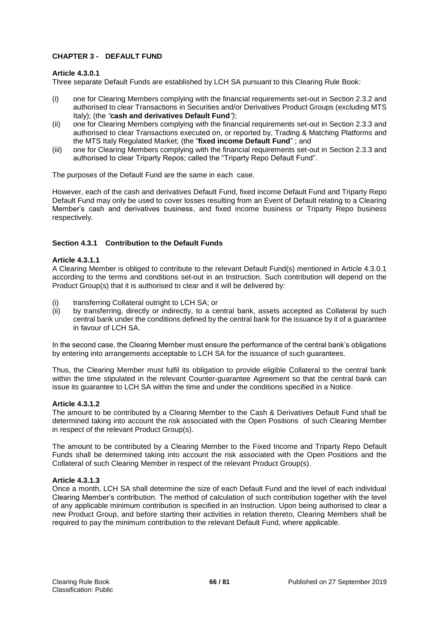# **CHAPTER 3 - DEFAULT FUND**

## **Article 4.3.0.1**

Three separate Default Funds are established by LCH SA pursuant to this Clearing Rule Book:

- (i) one for Clearing Members complying with the financial requirements set-out in Section 2.3.2 and authorised to clear Transactions in Securities and/or Derivatives Product Groups (excluding MTS Italy); (the *"***cash and derivatives Default Fund***")*;
- (ii) one for Clearing Members complying with the financial requirements set-out in Section 2.3.3 and authorised to clear Transactions executed on, or reported by, Trading & Matching Platforms and the MTS Italy Regulated Market; (the "**fixed income Default Fund**" ; and
- (iii) one for Clearing Members complying with the financial requirements set-out in Section 2.3.3 and authorised to clear Triparty Repos; called the "Triparty Repo Default Fund".

The purposes of the Default Fund are the same in each case.

However, each of the cash and derivatives Default Fund, fixed income Default Fund and Triparty Repo Default Fund may only be used to cover losses resulting from an Event of Default relating to a Clearing Member's cash and derivatives business, and fixed income business or Triparty Repo business respectively.

# **Section 4.3.1 Contribution to the Default Funds**

## **Article 4.3.1.1**

A Clearing Member is obliged to contribute to the relevant Default Fund(s) mentioned in Article 4.3.0.1 according to the terms and conditions set-out in an Instruction. Such contribution will depend on the Product Group(s) that it is authorised to clear and it will be delivered by:

- (i) transferring Collateral outright to LCH SA; or
- (ii) by transferring, directly or indirectly, to a central bank, assets accepted as Collateral by such central bank under the conditions defined by the central bank for the issuance by it of a guarantee in favour of LCH SA.

In the second case, the Clearing Member must ensure the performance of the central bank's obligations by entering into arrangements acceptable to LCH SA for the issuance of such guarantees.

Thus, the Clearing Member must fulfil its obligation to provide eligible Collateral to the central bank within the time stipulated in the relevant Counter-guarantee Agreement so that the central bank can issue its guarantee to LCH SA within the time and under the conditions specified in a Notice.

# **Article 4.3.1.2**

The amount to be contributed by a Clearing Member to the Cash & Derivatives Default Fund shall be determined taking into account the risk associated with the Open Positions of such Clearing Member in respect of the relevant Product Group(s).

The amount to be contributed by a Clearing Member to the Fixed Income and Triparty Repo Default Funds shall be determined taking into account the risk associated with the Open Positions and the Collateral of such Clearing Member in respect of the relevant Product Group(s).

# **Article 4.3.1.3**

Once a month, LCH SA shall determine the size of each Default Fund and the level of each individual Clearing Member's contribution. The method of calculation of such contribution together with the level of any applicable minimum contribution is specified in an Instruction. Upon being authorised to clear a new Product Group, and before starting their activities in relation thereto, Clearing Members shall be required to pay the minimum contribution to the relevant Default Fund, where applicable.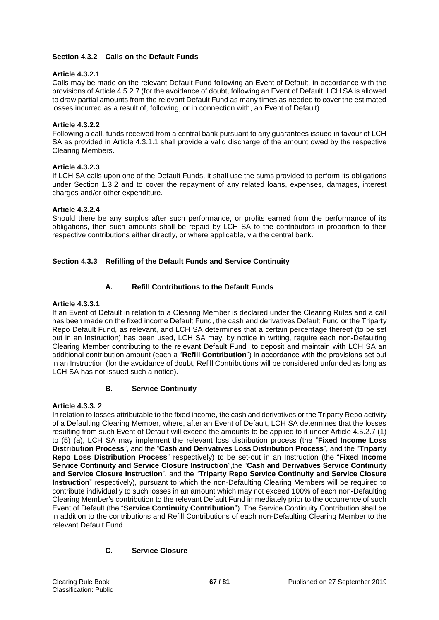# **Section 4.3.2 Calls on the Default Funds**

# **Article 4.3.2.1**

Calls may be made on the relevant Default Fund following an Event of Default, in accordance with the provisions of Article 4.5.2.7 (for the avoidance of doubt, following an Event of Default, LCH SA is allowed to draw partial amounts from the relevant Default Fund as many times as needed to cover the estimated losses incurred as a result of, following, or in connection with, an Event of Default).

# **Article 4.3.2.2**

Following a call, funds received from a central bank pursuant to any guarantees issued in favour of LCH SA as provided in Article 4.3.1.1 shall provide a valid discharge of the amount owed by the respective Clearing Members.

# **Article 4.3.2.3**

If LCH SA calls upon one of the Default Funds, it shall use the sums provided to perform its obligations under Section 1.3.2 and to cover the repayment of any related loans, expenses, damages, interest charges and/or other expenditure.

# **Article 4.3.2.4**

Should there be any surplus after such performance, or profits earned from the performance of its obligations, then such amounts shall be repaid by LCH SA to the contributors in proportion to their respective contributions either directly, or where applicable, via the central bank.

# **Section 4.3.3 Refilling of the Default Funds and Service Continuity**

# **A. Refill Contributions to the Default Funds**

# **Article 4.3.3.1**

If an Event of Default in relation to a Clearing Member is declared under the Clearing Rules and a call has been made on the fixed income Default Fund, the cash and derivatives Default Fund or the Triparty Repo Default Fund, as relevant, and LCH SA determines that a certain percentage thereof (to be set out in an Instruction) has been used, LCH SA may, by notice in writing, require each non-Defaulting Clearing Member contributing to the relevant Default Fund to deposit and maintain with LCH SA an additional contribution amount (each a "**Refill Contribution**") in accordance with the provisions set out in an Instruction (for the avoidance of doubt, Refill Contributions will be considered unfunded as long as LCH SA has not issued such a notice).

# **B. Service Continuity**

# **Article 4.3.3. 2**

In relation to losses attributable to the fixed income, the cash and derivatives or the Triparty Repo activity of a Defaulting Clearing Member, where, after an Event of Default, LCH SA determines that the losses resulting from such Event of Default will exceed the amounts to be applied to it under Article 4.5.2.7 (1) to (5) (a), LCH SA may implement the relevant loss distribution process (the "**Fixed Income Loss Distribution Process**", and the "**Cash and Derivatives Loss Distribution Process**", and the "**Triparty Repo Loss Distribution Process**" respectively) to be set-out in an Instruction (the "**Fixed Income Service Continuity and Service Closure Instruction**",the "**Cash and Derivatives Service Continuity and Service Closure Instruction**", and the "**Triparty Repo Service Continuity and Service Closure Instruction**" respectively), pursuant to which the non-Defaulting Clearing Members will be required to contribute individually to such losses in an amount which may not exceed 100% of each non-Defaulting Clearing Member's contribution to the relevant Default Fund immediately prior to the occurrence of such Event of Default (the "**Service Continuity Contribution**"). The Service Continuity Contribution shall be in addition to the contributions and Refill Contributions of each non-Defaulting Clearing Member to the relevant Default Fund.

# **C. Service Closure**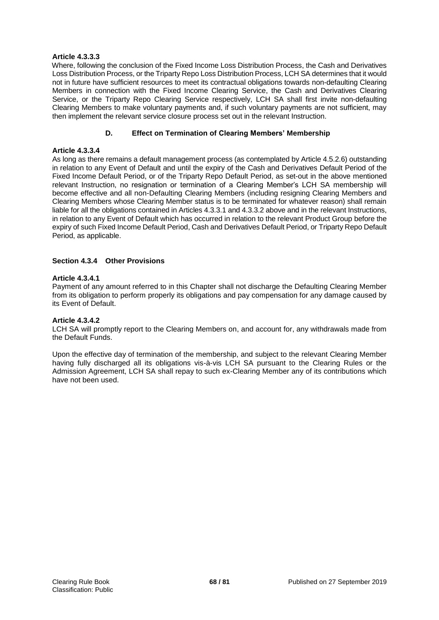# **Article 4.3.3.3**

Where, following the conclusion of the Fixed Income Loss Distribution Process, the Cash and Derivatives Loss Distribution Process, or the Triparty Repo Loss Distribution Process, LCH SA determines that it would not in future have sufficient resources to meet its contractual obligations towards non-defaulting Clearing Members in connection with the Fixed Income Clearing Service, the Cash and Derivatives Clearing Service, or the Triparty Repo Clearing Service respectively, LCH SA shall first invite non-defaulting Clearing Members to make voluntary payments and, if such voluntary payments are not sufficient, may then implement the relevant service closure process set out in the relevant Instruction.

# **D. Effect on Termination of Clearing Members' Membership**

# **Article 4.3.3.4**

As long as there remains a default management process (as contemplated by Article 4.5.2.6) outstanding in relation to any Event of Default and until the expiry of the Cash and Derivatives Default Period of the Fixed Income Default Period, or of the Triparty Repo Default Period, as set-out in the above mentioned relevant Instruction, no resignation or termination of a Clearing Member's LCH SA membership will become effective and all non-Defaulting Clearing Members (including resigning Clearing Members and Clearing Members whose Clearing Member status is to be terminated for whatever reason) shall remain liable for all the obligations contained in Articles 4.3.3.1 and 4.3.3.2 above and in the relevant Instructions, in relation to any Event of Default which has occurred in relation to the relevant Product Group before the expiry of such Fixed Income Default Period, Cash and Derivatives Default Period, or Triparty Repo Default Period, as applicable.

# **Section 4.3.4 Other Provisions**

# **Article 4.3.4.1**

Payment of any amount referred to in this Chapter shall not discharge the Defaulting Clearing Member from its obligation to perform properly its obligations and pay compensation for any damage caused by its Event of Default.

# **Article 4.3.4.2**

LCH SA will promptly report to the Clearing Members on, and account for, any withdrawals made from the Default Funds.

Upon the effective day of termination of the membership, and subject to the relevant Clearing Member having fully discharged all its obligations vis-à-vis LCH SA pursuant to the Clearing Rules or the Admission Agreement, LCH SA shall repay to such ex-Clearing Member any of its contributions which have not been used.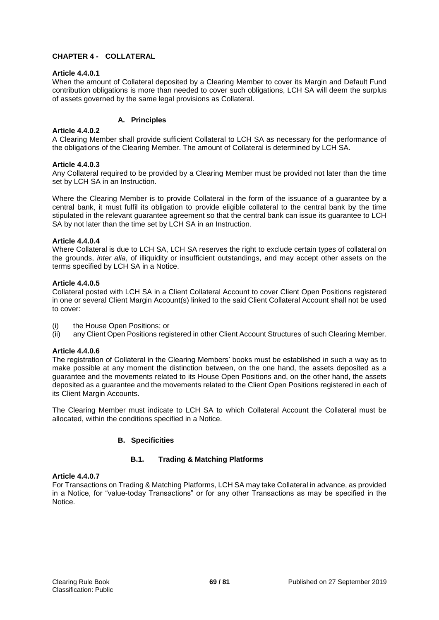# **CHAPTER 4 - COLLATERAL**

## **Article 4.4.0.1**

When the amount of Collateral deposited by a Clearing Member to cover its Margin and Default Fund contribution obligations is more than needed to cover such obligations, LCH SA will deem the surplus of assets governed by the same legal provisions as Collateral.

# **A. Principles**

## **Article 4.4.0.2**

A Clearing Member shall provide sufficient Collateral to LCH SA as necessary for the performance of the obligations of the Clearing Member. The amount of Collateral is determined by LCH SA.

## **Article 4.4.0.3**

Any Collateral required to be provided by a Clearing Member must be provided not later than the time set by LCH SA in an Instruction.

Where the Clearing Member is to provide Collateral in the form of the issuance of a guarantee by a central bank, it must fulfil its obligation to provide eligible collateral to the central bank by the time stipulated in the relevant guarantee agreement so that the central bank can issue its guarantee to LCH SA by not later than the time set by LCH SA in an Instruction.

## **Article 4.4.0.4**

Where Collateral is due to LCH SA, LCH SA reserves the right to exclude certain types of collateral on the grounds, *inter alia*, of illiquidity or insufficient outstandings, and may accept other assets on the terms specified by LCH SA in a Notice.

## **Article 4.4.0.5**

Collateral posted with LCH SA in a Client Collateral Account to cover Client Open Positions registered in one or several Client Margin Account(s) linked to the said Client Collateral Account shall not be used to cover:

- (i) the House Open Positions; or
- (ii) any Client Open Positions registered in other Client Account Structures of such Clearing Member.

# **Article 4.4.0.6**

The registration of Collateral in the Clearing Members' books must be established in such a way as to make possible at any moment the distinction between, on the one hand, the assets deposited as a guarantee and the movements related to its House Open Positions and, on the other hand, the assets deposited as a guarantee and the movements related to the Client Open Positions registered in each of its Client Margin Accounts.

The Clearing Member must indicate to LCH SA to which Collateral Account the Collateral must be allocated, within the conditions specified in a Notice.

# **B. Specificities**

# **B.1. Trading & Matching Platforms**

#### **Article 4.4.0.7**

For Transactions on Trading & Matching Platforms, LCH SA may take Collateral in advance, as provided in a Notice, for "value-today Transactions" or for any other Transactions as may be specified in the Notice.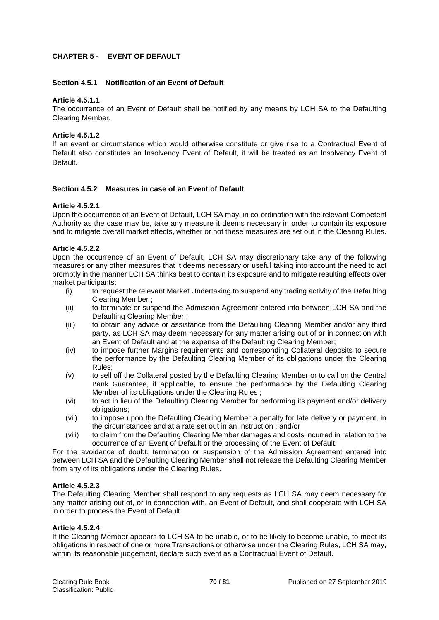# **CHAPTER 5 - EVENT OF DEFAULT**

## **Section 4.5.1 Notification of an Event of Default**

#### **Article 4.5.1.1**

The occurrence of an Event of Default shall be notified by any means by LCH SA to the Defaulting Clearing Member.

## **Article 4.5.1.2**

If an event or circumstance which would otherwise constitute or give rise to a Contractual Event of Default also constitutes an Insolvency Event of Default, it will be treated as an Insolvency Event of Default.

## **Section 4.5.2 Measures in case of an Event of Default**

#### **Article 4.5.2.1**

Upon the occurrence of an Event of Default, LCH SA may, in co-ordination with the relevant Competent Authority as the case may be, take any measure it deems necessary in order to contain its exposure and to mitigate overall market effects, whether or not these measures are set out in the Clearing Rules.

## **Article 4.5.2.2**

Upon the occurrence of an Event of Default, LCH SA may discretionary take any of the following measures or any other measures that it deems necessary or useful taking into account the need to act promptly in the manner LCH SA thinks best to contain its exposure and to mitigate resulting effects over market participants:

- (i) to request the relevant Market Undertaking to suspend any trading activity of the Defaulting Clearing Member ;
- (ii) to terminate or suspend the Admission Agreement entered into between LCH SA and the Defaulting Clearing Member ;
- (iii) to obtain any advice or assistance from the Defaulting Clearing Member and/or any third party, as LCH SA may deem necessary for any matter arising out of or in connection with an Event of Default and at the expense of the Defaulting Clearing Member;
- (iv) to impose further Margins requirements and corresponding Collateral deposits to secure the performance by the Defaulting Clearing Member of its obligations under the Clearing Rules;
- (v) to sell off the Collateral posted by the Defaulting Clearing Member or to call on the Central Bank Guarantee, if applicable, to ensure the performance by the Defaulting Clearing Member of its obligations under the Clearing Rules ;
- (vi) to act in lieu of the Defaulting Clearing Member for performing its payment and/or delivery obligations;
- (vii) to impose upon the Defaulting Clearing Member a penalty for late delivery or payment, in the circumstances and at a rate set out in an Instruction ; and/or
- (viii) to claim from the Defaulting Clearing Member damages and costs incurred in relation to the occurrence of an Event of Default or the processing of the Event of Default.

For the avoidance of doubt, termination or suspension of the Admission Agreement entered into between LCH SA and the Defaulting Clearing Member shall not release the Defaulting Clearing Member from any of its obligations under the Clearing Rules.

#### **Article 4.5.2.3**

The Defaulting Clearing Member shall respond to any requests as LCH SA may deem necessary for any matter arising out of, or in connection with, an Event of Default, and shall cooperate with LCH SA in order to process the Event of Default.

#### **Article 4.5.2.4**

If the Clearing Member appears to LCH SA to be unable, or to be likely to become unable, to meet its obligations in respect of one or more Transactions or otherwise under the Clearing Rules, LCH SA may, within its reasonable judgement, declare such event as a Contractual Event of Default.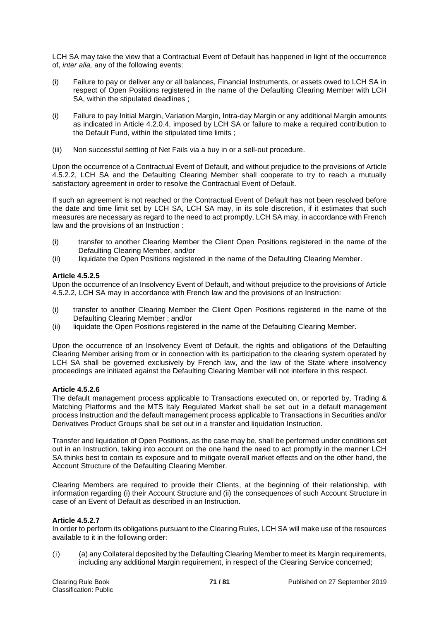LCH SA may take the view that a Contractual Event of Default has happened in light of the occurrence of, *inter alia,* any of the following events:

- (i) Failure to pay or deliver any or all balances, Financial Instruments, or assets owed to LCH SA in respect of Open Positions registered in the name of the Defaulting Clearing Member with LCH SA, within the stipulated deadlines ;
- (i) Failure to pay Initial Margin, Variation Margin, Intra-day Margin or any additional Margin amounts as indicated in Article 4.2.0.4, imposed by LCH SA or failure to make a required contribution to the Default Fund, within the stipulated time limits ;
- (iii) Non successful settling of Net Fails via a buy in or a sell-out procedure.

Upon the occurrence of a Contractual Event of Default, and without prejudice to the provisions of Article 4.5.2.2, LCH SA and the Defaulting Clearing Member shall cooperate to try to reach a mutually satisfactory agreement in order to resolve the Contractual Event of Default.

If such an agreement is not reached or the Contractual Event of Default has not been resolved before the date and time limit set by LCH SA, LCH SA may, in its sole discretion, if it estimates that such measures are necessary as regard to the need to act promptly, LCH SA may, in accordance with French law and the provisions of an Instruction :

- (i) transfer to another Clearing Member the Client Open Positions registered in the name of the Defaulting Clearing Member, and/or
- (ii) liquidate the Open Positions registered in the name of the Defaulting Clearing Member.

# **Article 4.5.2.5**

Upon the occurrence of an Insolvency Event of Default, and without prejudice to the provisions of Article 4.5.2.2, LCH SA may in accordance with French law and the provisions of an Instruction:

- (i) transfer to another Clearing Member the Client Open Positions registered in the name of the Defaulting Clearing Member ; and/or
- (ii) liquidate the Open Positions registered in the name of the Defaulting Clearing Member.

Upon the occurrence of an Insolvency Event of Default, the rights and obligations of the Defaulting Clearing Member arising from or in connection with its participation to the clearing system operated by LCH SA shall be governed exclusively by French law, and the law of the State where insolvency proceedings are initiated against the Defaulting Clearing Member will not interfere in this respect.

# **Article 4.5.2.6**

The default management process applicable to Transactions executed on, or reported by, Trading & Matching Platforms and the MTS Italy Regulated Market shall be set out in a default management process Instruction and the default management process applicable to Transactions in Securities and/or Derivatives Product Groups shall be set out in a transfer and liquidation Instruction.

Transfer and liquidation of Open Positions, as the case may be, shall be performed under conditions set out in an Instruction, taking into account on the one hand the need to act promptly in the manner LCH SA thinks best to contain its exposure and to mitigate overall market effects and on the other hand, the Account Structure of the Defaulting Clearing Member.

Clearing Members are required to provide their Clients, at the beginning of their relationship, with information regarding (i) their Account Structure and (ii) the consequences of such Account Structure in case of an Event of Default as described in an Instruction.

# **Article 4.5.2.7**

In order to perform its obligations pursuant to the Clearing Rules, LCH SA will make use of the resources available to it in the following order:

(i) (a) any Collateral deposited by the Defaulting Clearing Member to meet its Margin requirements, including any additional Margin requirement, in respect of the Clearing Service concerned;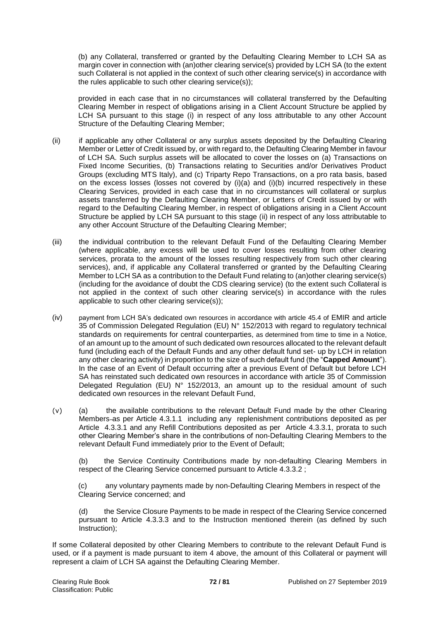(b) any Collateral, transferred or granted by the Defaulting Clearing Member to LCH SA as margin cover in connection with (an)other clearing service(s) provided by LCH SA (to the extent such Collateral is not applied in the context of such other clearing service(s) in accordance with the rules applicable to such other clearing service(s));

provided in each case that in no circumstances will collateral transferred by the Defaulting Clearing Member in respect of obligations arising in a Client Account Structure be applied by LCH SA pursuant to this stage (i) in respect of any loss attributable to any other Account Structure of the Defaulting Clearing Member;

- (ii) if applicable any other Collateral or any surplus assets deposited by the Defaulting Clearing Member or Letter of Credit issued by, or with regard to, the Defaulting Clearing Member in favour of LCH SA. Such surplus assets will be allocated to cover the losses on (a) Transactions on Fixed Income Securities, (b) Transactions relating to Securities and/or Derivatives Product Groups (excluding MTS Italy), and (c) Triparty Repo Transactions, on a pro rata basis, based on the excess losses (losses not covered by (i)(a) and (i)(b) incurred respectively in these Clearing Services, provided in each case that in no circumstances will collateral or surplus assets transferred by the Defaulting Clearing Member, or Letters of Credit issued by or with regard to the Defaulting Clearing Member, in respect of obligations arising in a Client Account Structure be applied by LCH SA pursuant to this stage (ii) in respect of any loss attributable to any other Account Structure of the Defaulting Clearing Member;
- (iii) the individual contribution to the relevant Default Fund of the Defaulting Clearing Member (where applicable, any excess will be used to cover losses resulting from other clearing services, prorata to the amount of the losses resulting respectively from such other clearing services), and, if applicable any Collateral transferred or granted by the Defaulting Clearing Member to LCH SA as a contribution to the Default Fund relating to (an)other clearing service(s) (including for the avoidance of doubt the CDS clearing service) (to the extent such Collateral is not applied in the context of such other clearing service(s) in accordance with the rules applicable to such other clearing service(s));
- (iv) payment from LCH SA's dedicated own resources in accordance with article 45.4 of EMIR and article 35 of Commission Delegated Regulation (EU) N° 152/2013 with regard to regulatory technical standards on requirements for central counterparties, as determined from time to time in a Notice, of an amount up to the amount of such dedicated own resources allocated to the relevant default fund (including each of the Default Funds and any other default fund set- up by LCH in relation any other clearing activity) in proportion to the size of such default fund (the "**Capped Amount**"). In the case of an Event of Default occurring after a previous Event of Default but before LCH SA has reinstated such dedicated own resources in accordance with article 35 of Commission Delegated Regulation (EU) N° 152/2013, an amount up to the residual amount of such dedicated own resources in the relevant Default Fund,
- (v) (a) the available contributions to the relevant Default Fund made by the other Clearing Members as per Article 4.3.1.1 including any replenishment contributions deposited as per Article 4.3.3.1 and any Refill Contributions deposited as per Article 4.3.3.1, prorata to such other Clearing Member's share in the contributions of non-Defaulting Clearing Members to the relevant Default Fund immediately prior to the Event of Default;

(b) the Service Continuity Contributions made by non-defaulting Clearing Members in respect of the Clearing Service concerned pursuant to Article 4.3.3.2 ;

(c) any voluntary payments made by non-Defaulting Clearing Members in respect of the Clearing Service concerned; and

(d) the Service Closure Payments to be made in respect of the Clearing Service concerned pursuant to Article 4.3.3.3 and to the Instruction mentioned therein (as defined by such instruction):

If some Collateral deposited by other Clearing Members to contribute to the relevant Default Fund is used, or if a payment is made pursuant to item 4 above, the amount of this Collateral or payment will represent a claim of LCH SA against the Defaulting Clearing Member.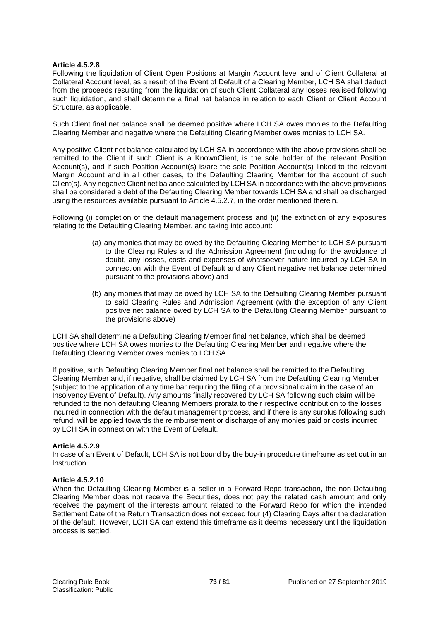## **Article 4.5.2.8**

Following the liquidation of Client Open Positions at Margin Account level and of Client Collateral at Collateral Account level, as a result of the Event of Default of a Clearing Member, LCH SA shall deduct from the proceeds resulting from the liquidation of such Client Collateral any losses realised following such liquidation, and shall determine a final net balance in relation to each Client or Client Account Structure, as applicable.

Such Client final net balance shall be deemed positive where LCH SA owes monies to the Defaulting Clearing Member and negative where the Defaulting Clearing Member owes monies to LCH SA.

Any positive Client net balance calculated by LCH SA in accordance with the above provisions shall be remitted to the Client if such Client is a KnownClient, is the sole holder of the relevant Position Account(s), and if such Position Account(s) is/are the sole Position Account(s) linked to the relevant Margin Account and in all other cases, to the Defaulting Clearing Member for the account of such Client(s). Any negative Client net balance calculated by LCH SA in accordance with the above provisions shall be considered a debt of the Defaulting Clearing Member towards LCH SA and shall be discharged using the resources available pursuant to Article 4.5.2.7, in the order mentioned therein.

Following (i) completion of the default management process and (ii) the extinction of any exposures relating to the Defaulting Clearing Member, and taking into account:

- (a) any monies that may be owed by the Defaulting Clearing Member to LCH SA pursuant to the Clearing Rules and the Admission Agreement (including for the avoidance of doubt, any losses, costs and expenses of whatsoever nature incurred by LCH SA in connection with the Event of Default and any Client negative net balance determined pursuant to the provisions above) and
- (b) any monies that may be owed by LCH SA to the Defaulting Clearing Member pursuant to said Clearing Rules and Admission Agreement (with the exception of any Client positive net balance owed by LCH SA to the Defaulting Clearing Member pursuant to the provisions above)

LCH SA shall determine a Defaulting Clearing Member final net balance, which shall be deemed positive where LCH SA owes monies to the Defaulting Clearing Member and negative where the Defaulting Clearing Member owes monies to LCH SA.

If positive, such Defaulting Clearing Member final net balance shall be remitted to the Defaulting Clearing Member and, if negative, shall be claimed by LCH SA from the Defaulting Clearing Member (subject to the application of any time bar requiring the filing of a provisional claim in the case of an Insolvency Event of Default). Any amounts finally recovered by LCH SA following such claim will be refunded to the non defaulting Clearing Members prorata to their respective contribution to the losses incurred in connection with the default management process, and if there is any surplus following such refund, will be applied towards the reimbursement or discharge of any monies paid or costs incurred by LCH SA in connection with the Event of Default.

## **Article 4.5.2.9**

In case of an Event of Default, LCH SA is not bound by the buy-in procedure timeframe as set out in an Instruction.

## **Article 4.5.2.10**

When the Defaulting Clearing Member is a seller in a Forward Repo transaction, the non-Defaulting Clearing Member does not receive the Securities, does not pay the related cash amount and only receives the payment of the interests amount related to the Forward Repo for which the intended Settlement Date of the Return Transaction does not exceed four (4) Clearing Days after the declaration of the default. However, LCH SA can extend this timeframe as it deems necessary until the liquidation process is settled.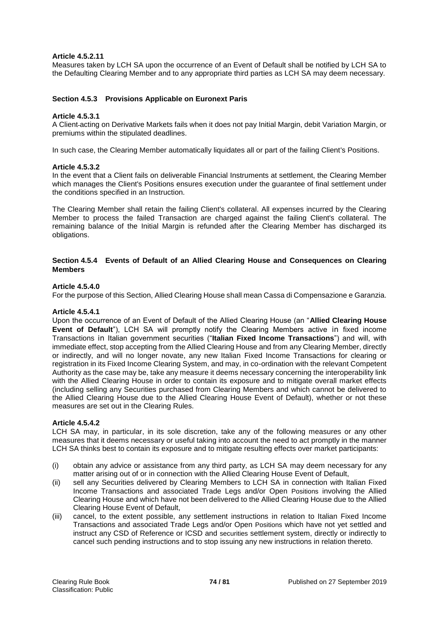#### **Article 4.5.2.11**

Measures taken by LCH SA upon the occurrence of an Event of Default shall be notified by LCH SA to the Defaulting Clearing Member and to any appropriate third parties as LCH SA may deem necessary.

#### **Section 4.5.3 Provisions Applicable on Euronext Paris**

#### **Article 4.5.3.1**

A Client acting on Derivative Markets fails when it does not pay Initial Margin, debit Variation Margin, or premiums within the stipulated deadlines.

In such case, the Clearing Member automatically liquidates all or part of the failing Client's Positions.

#### **Article 4.5.3.2**

In the event that a Client fails on deliverable Financial Instruments at settlement, the Clearing Member which manages the Client's Positions ensures execution under the guarantee of final settlement under the conditions specified in an Instruction.

The Clearing Member shall retain the failing Client's collateral. All expenses incurred by the Clearing Member to process the failed Transaction are charged against the failing Client's collateral. The remaining balance of the Initial Margin is refunded after the Clearing Member has discharged its obligations.

#### **Section 4.5.4 Events of Default of an Allied Clearing House and Consequences on Clearing Members**

#### **Article 4.5.4.0**

For the purpose of this Section, Allied Clearing House shall mean Cassa di Compensazione e Garanzia.

#### **Article 4.5.4.1**

Upon the occurrence of an Event of Default of the Allied Clearing House (an "**Allied Clearing House Event of Default**"), LCH SA will promptly notify the Clearing Members active in fixed income Transactions in Italian government securities ("**Italian Fixed Income Transactions**") and will, with immediate effect, stop accepting from the Allied Clearing House and from any Clearing Member, directly or indirectly, and will no longer novate, any new Italian Fixed Income Transactions for clearing or registration in its Fixed Income Clearing System, and may, in co-ordination with the relevant Competent Authority as the case may be, take any measure it deems necessary concerning the interoperability link with the Allied Clearing House in order to contain its exposure and to mitigate overall market effects (including selling any Securities purchased from Clearing Members and which cannot be delivered to the Allied Clearing House due to the Allied Clearing House Event of Default), whether or not these measures are set out in the Clearing Rules.

#### **Article 4.5.4.2**

LCH SA may, in particular, in its sole discretion, take any of the following measures or any other measures that it deems necessary or useful taking into account the need to act promptly in the manner LCH SA thinks best to contain its exposure and to mitigate resulting effects over market participants:

- (i) obtain any advice or assistance from any third party, as LCH SA may deem necessary for any matter arising out of or in connection with the Allied Clearing House Event of Default,
- (ii) sell any Securities delivered by Clearing Members to LCH SA in connection with Italian Fixed Income Transactions and associated Trade Legs and/or Open Positions involving the Allied Clearing House and which have not been delivered to the Allied Clearing House due to the Allied Clearing House Event of Default,
- (iii) cancel, to the extent possible, any settlement instructions in relation to Italian Fixed Income Transactions and associated Trade Legs and/or Open Positions which have not yet settled and instruct any CSD of Reference or ICSD and securities settlement system, directly or indirectly to cancel such pending instructions and to stop issuing any new instructions in relation thereto.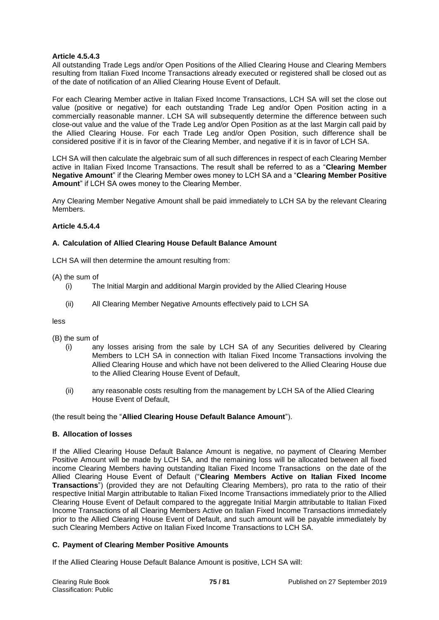## **Article 4.5.4.3**

All outstanding Trade Legs and/or Open Positions of the Allied Clearing House and Clearing Members resulting from Italian Fixed Income Transactions already executed or registered shall be closed out as of the date of notification of an Allied Clearing House Event of Default.

For each Clearing Member active in Italian Fixed Income Transactions, LCH SA will set the close out value (positive or negative) for each outstanding Trade Leg and/or Open Position acting in a commercially reasonable manner. LCH SA will subsequently determine the difference between such close-out value and the value of the Trade Leg and/or Open Position as at the last Margin call paid by the Allied Clearing House. For each Trade Leg and/or Open Position, such difference shall be considered positive if it is in favor of the Clearing Member, and negative if it is in favor of LCH SA.

LCH SA will then calculate the algebraic sum of all such differences in respect of each Clearing Member active in Italian Fixed Income Transactions. The result shall be referred to as a "**Clearing Member Negative Amount**" if the Clearing Member owes money to LCH SA and a "**Clearing Member Positive Amount**" if LCH SA owes money to the Clearing Member.

Any Clearing Member Negative Amount shall be paid immediately to LCH SA by the relevant Clearing **Members** 

# **Article 4.5.4.4**

## **A. Calculation of Allied Clearing House Default Balance Amount**

LCH SA will then determine the amount resulting from:

## (A) the sum of

- (i) The Initial Margin and additional Margin provided by the Allied Clearing House
- (ii) All Clearing Member Negative Amounts effectively paid to LCH SA

less

- (B) the sum of
	- (i) any losses arising from the sale by LCH SA of any Securities delivered by Clearing Members to LCH SA in connection with Italian Fixed Income Transactions involving the Allied Clearing House and which have not been delivered to the Allied Clearing House due to the Allied Clearing House Event of Default,
	- (ii) any reasonable costs resulting from the management by LCH SA of the Allied Clearing House Event of Default,

(the result being the "**Allied Clearing House Default Balance Amount**").

## **B. Allocation of losses**

If the Allied Clearing House Default Balance Amount is negative, no payment of Clearing Member Positive Amount will be made by LCH SA, and the remaining loss will be allocated between all fixed income Clearing Members having outstanding Italian Fixed Income Transactions on the date of the Allied Clearing House Event of Default ("**Clearing Members Active on Italian Fixed Income Transactions**") (provided they are not Defaulting Clearing Members), pro rata to the ratio of their respective Initial Margin attributable to Italian Fixed Income Transactions immediately prior to the Allied Clearing House Event of Default compared to the aggregate Initial Margin attributable to Italian Fixed Income Transactions of all Clearing Members Active on Italian Fixed Income Transactions immediately prior to the Allied Clearing House Event of Default, and such amount will be payable immediately by such Clearing Members Active on Italian Fixed Income Transactions to LCH SA.

## **C. Payment of Clearing Member Positive Amounts**

If the Allied Clearing House Default Balance Amount is positive, LCH SA will: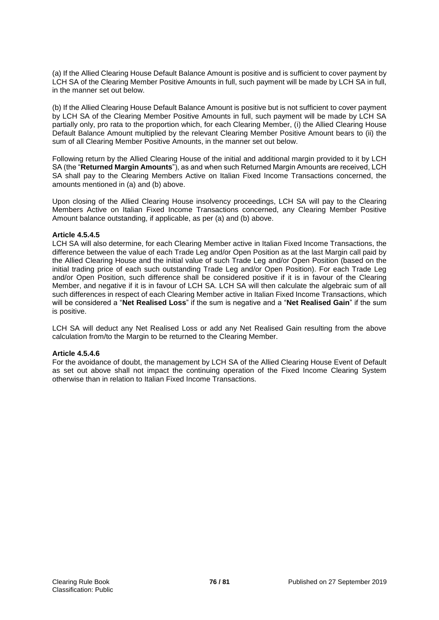(a) If the Allied Clearing House Default Balance Amount is positive and is sufficient to cover payment by LCH SA of the Clearing Member Positive Amounts in full, such payment will be made by LCH SA in full, in the manner set out below.

(b) If the Allied Clearing House Default Balance Amount is positive but is not sufficient to cover payment by LCH SA of the Clearing Member Positive Amounts in full, such payment will be made by LCH SA partially only, pro rata to the proportion which, for each Clearing Member, (i) the Allied Clearing House Default Balance Amount multiplied by the relevant Clearing Member Positive Amount bears to (ii) the sum of all Clearing Member Positive Amounts, in the manner set out below.

Following return by the Allied Clearing House of the initial and additional margin provided to it by LCH SA (the "**Returned Margin Amounts**"), as and when such Returned Margin Amounts are received, LCH SA shall pay to the Clearing Members Active on Italian Fixed Income Transactions concerned, the amounts mentioned in (a) and (b) above.

Upon closing of the Allied Clearing House insolvency proceedings, LCH SA will pay to the Clearing Members Active on Italian Fixed Income Transactions concerned, any Clearing Member Positive Amount balance outstanding, if applicable, as per (a) and (b) above.

#### **Article 4.5.4.5**

LCH SA will also determine, for each Clearing Member active in Italian Fixed Income Transactions, the difference between the value of each Trade Leg and/or Open Position as at the last Margin call paid by the Allied Clearing House and the initial value of such Trade Leg and/or Open Position (based on the initial trading price of each such outstanding Trade Leg and/or Open Position). For each Trade Leg and/or Open Position, such difference shall be considered positive if it is in favour of the Clearing Member, and negative if it is in favour of LCH SA. LCH SA will then calculate the algebraic sum of all such differences in respect of each Clearing Member active in Italian Fixed Income Transactions, which will be considered a "**Net Realised Loss**" if the sum is negative and a "**Net Realised Gain**" if the sum is positive.

LCH SA will deduct any Net Realised Loss or add any Net Realised Gain resulting from the above calculation from/to the Margin to be returned to the Clearing Member.

## **Article 4.5.4.6**

For the avoidance of doubt, the management by LCH SA of the Allied Clearing House Event of Default as set out above shall not impact the continuing operation of the Fixed Income Clearing System otherwise than in relation to Italian Fixed Income Transactions.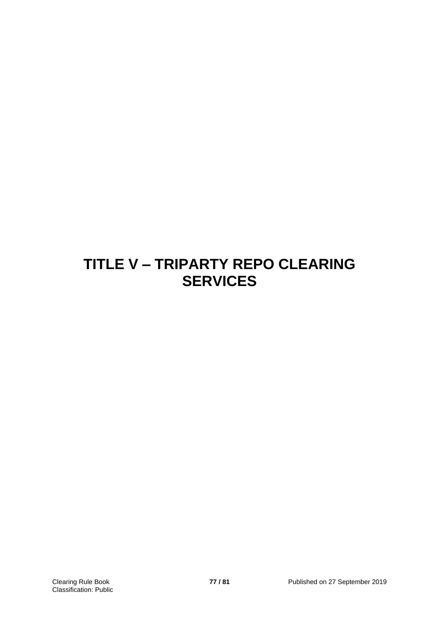# **TITLE V – TRIPARTY REPO CLEARING SERVICES**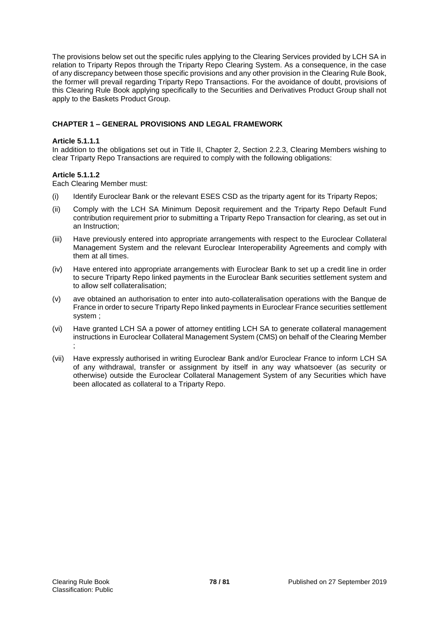The provisions below set out the specific rules applying to the Clearing Services provided by LCH SA in relation to Triparty Repos through the Triparty Repo Clearing System. As a consequence, in the case of any discrepancy between those specific provisions and any other provision in the Clearing Rule Book, the former will prevail regarding Triparty Repo Transactions. For the avoidance of doubt, provisions of this Clearing Rule Book applying specifically to the Securities and Derivatives Product Group shall not apply to the Baskets Product Group.

# **CHAPTER 1 – GENERAL PROVISIONS AND LEGAL FRAMEWORK**

## **Article 5.1.1.1**

In addition to the obligations set out in Title II, Chapter 2, Section 2.2.3, Clearing Members wishing to clear Triparty Repo Transactions are required to comply with the following obligations:

# **Article 5.1.1.2**

Each Clearing Member must:

- (i) Identify Euroclear Bank or the relevant ESES CSD as the triparty agent for its Triparty Repos;
- (ii) Comply with the LCH SA Minimum Deposit requirement and the Triparty Repo Default Fund contribution requirement prior to submitting a Triparty Repo Transaction for clearing, as set out in an Instruction;
- (iii) Have previously entered into appropriate arrangements with respect to the Euroclear Collateral Management System and the relevant Euroclear Interoperability Agreements and comply with them at all times.
- (iv) Have entered into appropriate arrangements with Euroclear Bank to set up a credit line in order to secure Triparty Repo linked payments in the Euroclear Bank securities settlement system and to allow self collateralisation;
- (v) ave obtained an authorisation to enter into auto-collateralisation operations with the Banque de France in order to secure Triparty Repo linked payments in Euroclear France securities settlement system ;
- (vi) Have granted LCH SA a power of attorney entitling LCH SA to generate collateral management instructions in Euroclear Collateral Management System (CMS) on behalf of the Clearing Member ;
- (vii) Have expressly authorised in writing Euroclear Bank and/or Euroclear France to inform LCH SA of any withdrawal, transfer or assignment by itself in any way whatsoever (as security or otherwise) outside the Euroclear Collateral Management System of any Securities which have been allocated as collateral to a Triparty Repo.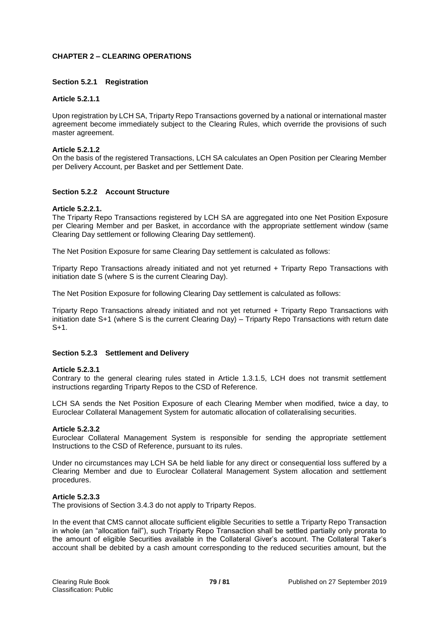## **CHAPTER 2 – CLEARING OPERATIONS**

#### **Section 5.2.1 Registration**

#### **Article 5.2.1.1**

Upon registration by LCH SA, Triparty Repo Transactions governed by a national or international master agreement become immediately subject to the Clearing Rules, which override the provisions of such master agreement.

#### **Article 5.2.1.2**

On the basis of the registered Transactions, LCH SA calculates an Open Position per Clearing Member per Delivery Account, per Basket and per Settlement Date.

# **Section 5.2.2 Account Structure**

#### **Article 5.2.2.1.**

The Triparty Repo Transactions registered by LCH SA are aggregated into one Net Position Exposure per Clearing Member and per Basket, in accordance with the appropriate settlement window (same Clearing Day settlement or following Clearing Day settlement).

The Net Position Exposure for same Clearing Day settlement is calculated as follows:

Triparty Repo Transactions already initiated and not yet returned + Triparty Repo Transactions with initiation date S (where S is the current Clearing Day).

The Net Position Exposure for following Clearing Day settlement is calculated as follows:

Triparty Repo Transactions already initiated and not yet returned + Triparty Repo Transactions with initiation date S+1 (where S is the current Clearing Day) – Triparty Repo Transactions with return date S+1.

#### **Section 5.2.3 Settlement and Delivery**

#### **Article 5.2.3.1**

Contrary to the general clearing rules stated in Article 1.3.1.5, LCH does not transmit settlement instructions regarding Triparty Repos to the CSD of Reference.

LCH SA sends the Net Position Exposure of each Clearing Member when modified, twice a day, to Euroclear Collateral Management System for automatic allocation of collateralising securities.

#### **Article 5.2.3.2**

Euroclear Collateral Management System is responsible for sending the appropriate settlement Instructions to the CSD of Reference, pursuant to its rules.

Under no circumstances may LCH SA be held liable for any direct or consequential loss suffered by a Clearing Member and due to Euroclear Collateral Management System allocation and settlement procedures.

#### **Article 5.2.3.3**

The provisions of Section 3.4.3 do not apply to Triparty Repos.

In the event that CMS cannot allocate sufficient eligible Securities to settle a Triparty Repo Transaction in whole (an "allocation fail"), such Triparty Repo Transaction shall be settled partially only prorata to the amount of eligible Securities available in the Collateral Giver's account. The Collateral Taker's account shall be debited by a cash amount corresponding to the reduced securities amount, but the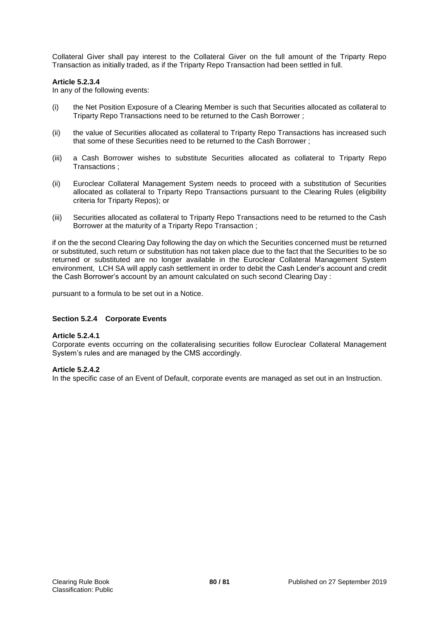Collateral Giver shall pay interest to the Collateral Giver on the full amount of the Triparty Repo Transaction as initially traded, as if the Triparty Repo Transaction had been settled in full.

## **Article 5.2.3.4**

In any of the following events:

- (i) the Net Position Exposure of a Clearing Member is such that Securities allocated as collateral to Triparty Repo Transactions need to be returned to the Cash Borrower ;
- (ii) the value of Securities allocated as collateral to Triparty Repo Transactions has increased such that some of these Securities need to be returned to the Cash Borrower ;
- (iii) a Cash Borrower wishes to substitute Securities allocated as collateral to Triparty Repo Transactions ;
- (ii) Euroclear Collateral Management System needs to proceed with a substitution of Securities allocated as collateral to Triparty Repo Transactions pursuant to the Clearing Rules (eligibility criteria for Triparty Repos); or
- (iii) Securities allocated as collateral to Triparty Repo Transactions need to be returned to the Cash Borrower at the maturity of a Triparty Repo Transaction ;

if on the the second Clearing Day following the day on which the Securities concerned must be returned or substituted, such return or substitution has not taken place due to the fact that the Securities to be so returned or substituted are no longer available in the Euroclear Collateral Management System environment, LCH SA will apply cash settlement in order to debit the Cash Lender's account and credit the Cash Borrower's account by an amount calculated on such second Clearing Day :

pursuant to a formula to be set out in a Notice.

## **Section 5.2.4 Corporate Events**

## **Article 5.2.4.1**

Corporate events occurring on the collateralising securities follow Euroclear Collateral Management System's rules and are managed by the CMS accordingly.

## **Article 5.2.4.2**

In the specific case of an Event of Default, corporate events are managed as set out in an Instruction.